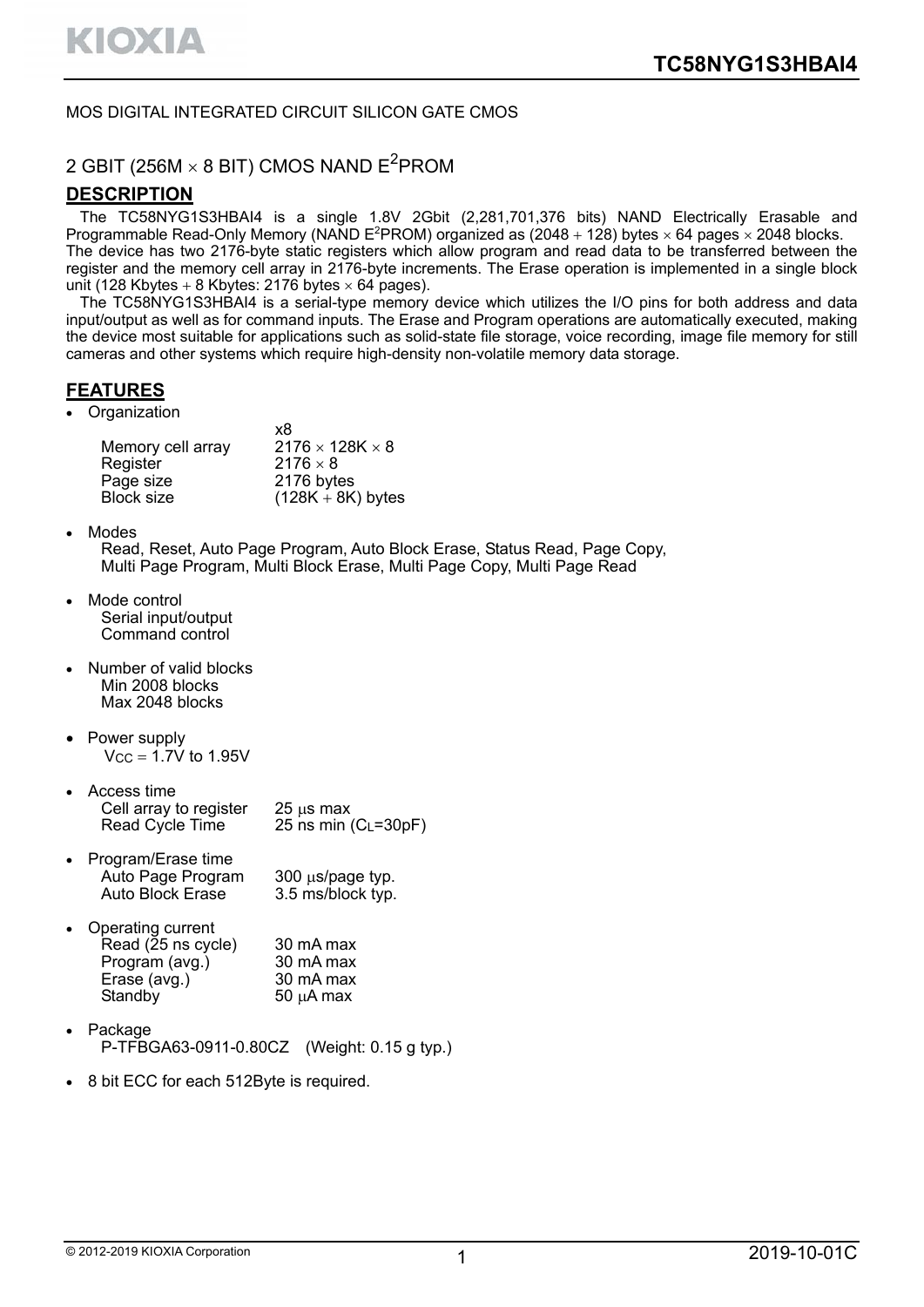### MOS DIGITAL INTEGRATED CIRCUIT SILICON GATE CMOS

# 2 GBIT (256M  $\times$  8 BIT) CMOS NAND E<sup>2</sup>PROM

### **DESCRIPTION**

The TC58NYG1S3HBAI4 is a single 1.8V 2Gbit (2,281,701,376 bits) NAND Electrically Erasable and Programmable Read-Only Memory (NAND E<sup>2</sup>PROM) organized as  $(2048 + 128)$  bytes  $\times$  64 pages  $\times$  2048 blocks. The device has two 2176-byte static registers which allow program and read data to be transferred between the register and the memory cell array in 2176-byte increments. The Erase operation is implemented in a single block unit (128 Kbytes + 8 Kbytes: 2176 bytes  $\times$  64 pages).

The TC58NYG1S3HBAI4 is a serial-type memory device which utilizes the I/O pins for both address and data input/output as well as for command inputs. The Erase and Program operations are automatically executed, making the device most suitable for applications such as solid-state file storage, voice recording, image file memory for still cameras and other systems which require high-density non-volatile memory data storage.

# **FEATURES**

**Organization** 

| x8                          |
|-----------------------------|
| $2176 \times 128K \times 8$ |
| $2176 \times 8$             |
| 2176 bytes                  |
| $(128K + 8K)$ bytes         |
|                             |

• Modes

Read, Reset, Auto Page Program, Auto Block Erase, Status Read, Page Copy, Multi Page Program, Multi Block Erase, Multi Page Copy, Multi Page Read

- Mode control Serial input/output Command control
- Number of valid blocks Min 2008 blocks Max 2048 blocks
- Power supply  $Vcc = 1.7V$  to 1.95V
- Access time Cell array to register  $25 \text{ }\mu\text{s}$  max<br>Read Cycle Time  $25 \text{ ns}$  min 25 ns min  $(C_L=30pF)$
- Program/Erase time Auto Page Program 300 us/page typ.<br>Auto Block Erase 3.5 ms/block typ. 3.5 ms/block typ.
- Operating current Read (25 ns cycle) 30 mA max<br>Program (avg.) 30 mA max Program (avg.) 30 mA max<br>Erase (avg.) 30 mA max Erase (avg.) Standby  $50 \mu A$  max
- Package P-TFBGA63-0911-0.80CZ (Weight: 0.15 g typ.)
- 8 bit ECC for each 512Byte is required.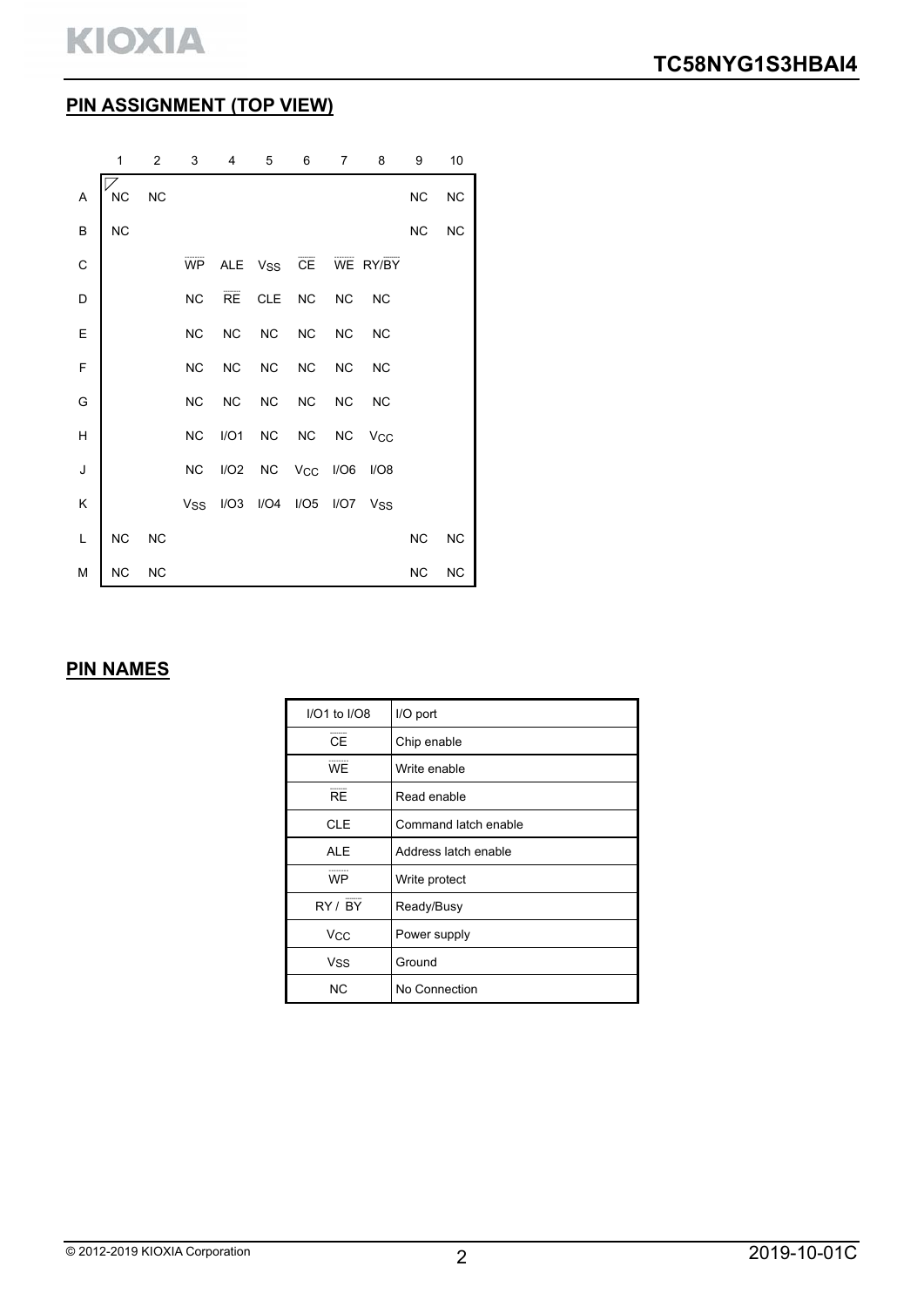# **PIN ASSIGNMENT (TOP VIEW)**

|                                                                                                             | 1         | 2         | 3          | 4         | 5                      | 6         | 7         | 8                     | 9         | 10        |
|-------------------------------------------------------------------------------------------------------------|-----------|-----------|------------|-----------|------------------------|-----------|-----------|-----------------------|-----------|-----------|
| A                                                                                                           | <b>NC</b> | <b>NC</b> |            |           |                        |           |           |                       | NC        | <b>NC</b> |
| B                                                                                                           | <b>NC</b> |           |            |           |                        |           |           |                       | <b>NC</b> | <b>NC</b> |
| $\mathsf{C}$                                                                                                |           |           | WP         |           | ALE V <sub>SS</sub> CE |           |           | WE RY/BY              |           |           |
| D                                                                                                           |           |           | NC         | RE        | <b>CLE</b>             | <b>NC</b> | <b>NC</b> | <b>NC</b>             |           |           |
| E                                                                                                           |           |           | <b>NC</b>  | <b>NC</b> | $NC$                   | <b>NC</b> | <b>NC</b> | <b>NC</b>             |           |           |
| $\mathsf F$                                                                                                 |           |           | <b>NC</b>  | <b>NC</b> | $NC$                   | <b>NC</b> | <b>NC</b> | <b>NC</b>             |           |           |
| G                                                                                                           |           |           | NC         | <b>NC</b> | <b>NC</b>              | <b>NC</b> | NC        | <b>NC</b>             |           |           |
| $\overline{H}$                                                                                              |           |           | <b>NC</b>  | I/O1      | <b>NC</b>              | <b>NC</b> | <b>NC</b> | <b>V<sub>CC</sub></b> |           |           |
| J                                                                                                           |           |           | NC         | I/O2      | <b>NC</b>              | Vcc       | I/O6      | I/O8                  |           |           |
| K                                                                                                           |           |           | <b>Vss</b> | I/O3      | I/O4                   | I/O5      | I/O7      | Vss                   |           |           |
| $\mathsf{L}% _{0}\left( \mathsf{L}_{0}\right) ^{\ast }=\mathsf{L}_{0}\left( \mathsf{L}_{0}\right) ^{\ast }$ | NC        | <b>NC</b> |            |           |                        |           |           |                       | NC        | <b>NC</b> |
| M                                                                                                           | <b>NC</b> | <b>NC</b> |            |           |                        |           |           |                       | NC        | <b>NC</b> |

# **PIN NAMES**

| $I/O1$ to $I/O8$ | I/O port             |
|------------------|----------------------|
| <b>CE</b>        | Chip enable          |
| <b>WE</b>        | Write enable         |
| <b>RE</b>        | Read enable          |
| <b>CLE</b>       | Command latch enable |
| <b>ALE</b>       | Address latch enable |
| <b>WP</b>        | Write protect        |
| RY / BY          | Ready/Busy           |
| Vcc              | Power supply         |
| <b>Vss</b>       | Ground               |
| <b>NC</b>        | No Connection        |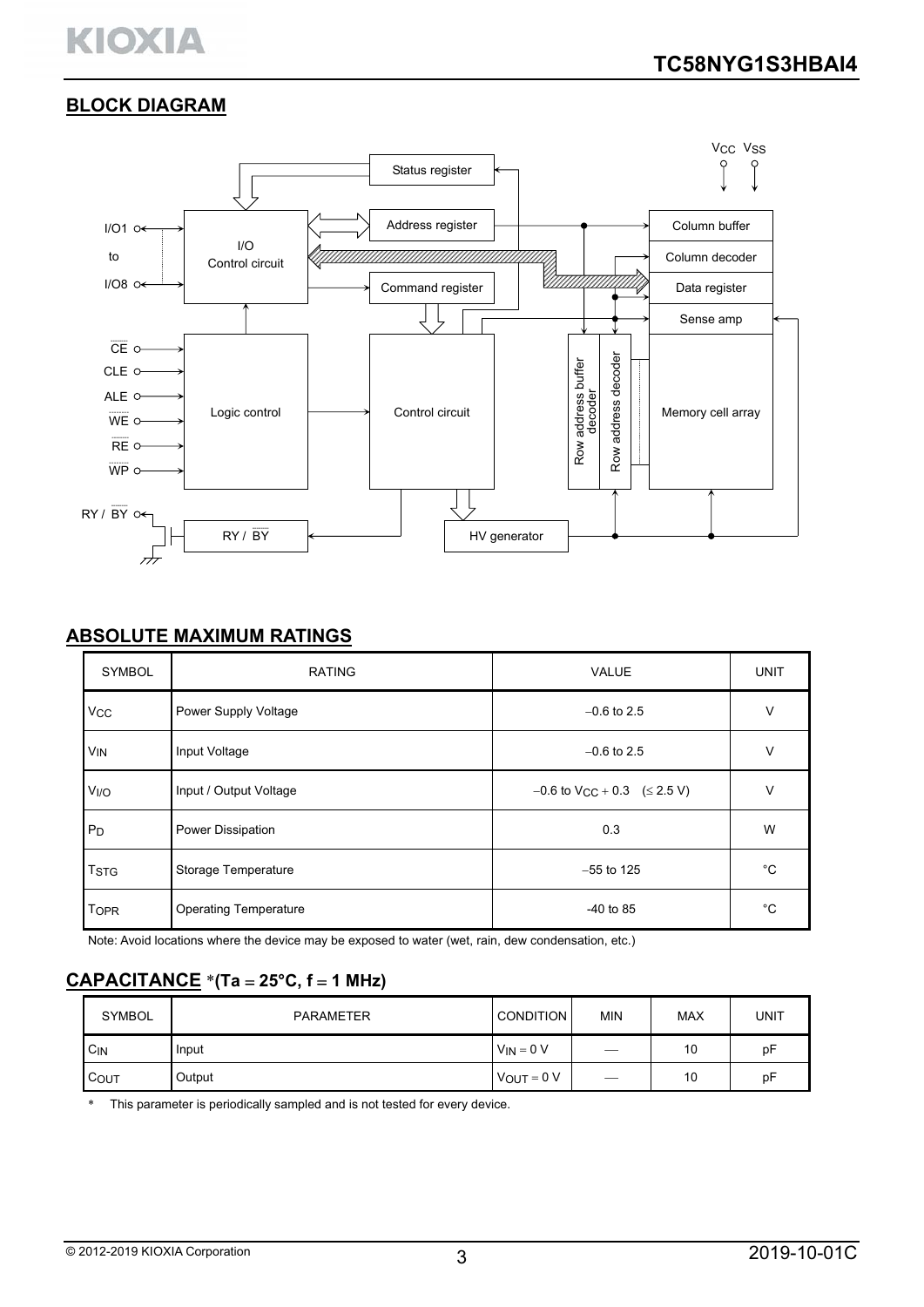# **KIOXIA**

# **BLOCK DIAGRAM**



# **ABSOLUTE MAXIMUM RATINGS**

| <b>SYMBOL</b>         | <b>RATING</b>                | <b>VALUE</b>                                    | <b>UNIT</b> |
|-----------------------|------------------------------|-------------------------------------------------|-------------|
| <b>V<sub>CC</sub></b> | Power Supply Voltage         | $-0.6$ to 2.5                                   | $\vee$      |
| <b>V<sub>IN</sub></b> | Input Voltage                | $-0.6$ to 2.5                                   | V           |
| V <sub>I/O</sub>      | Input / Output Voltage       | $-0.6$ to V <sub>CC</sub> + 0.3 ( $\leq$ 2.5 V) | $\vee$      |
| P <sub>D</sub>        | Power Dissipation            | 0.3                                             | W           |
| <b>TSTG</b>           | Storage Temperature          | $-55$ to 125                                    | °C          |
| <b>TOPR</b>           | <b>Operating Temperature</b> | $-40$ to 85                                     | °C          |

Note: Avoid locations where the device may be exposed to water (wet, rain, dew condensation, etc.)

# **CAPACITANCE** \***(Ta 25°C, f 1 MHz)**

| <b>SYMBOL</b> | PARAMETER | <b>CONDITION</b> | <b>MIN</b> | <b>MAX</b> | UNIT |
|---------------|-----------|------------------|------------|------------|------|
| CIN           | Input     | $V_{IN} = 0 V$   | —          | 10         | pF   |
| COUT          | Output    | $V_{OUT} = 0 V$  |            | 10         | pF   |

\* This parameter is periodically sampled and is not tested for every device.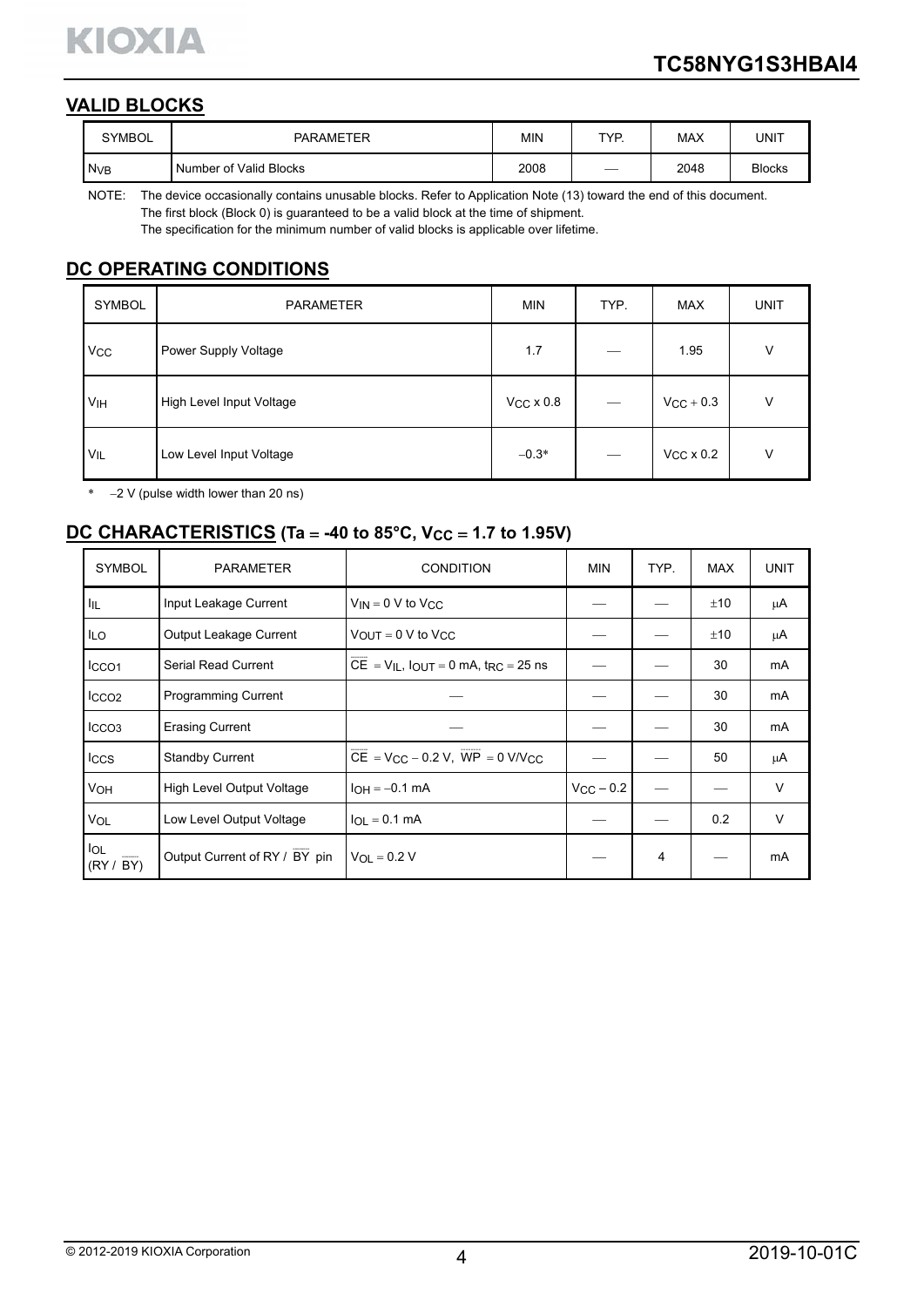

# **VALID BLOCKS**

| <b>SYMBOL</b>   | <b>PARAMETER</b>       | ΜIΝ  | TYP. | <b>MAX</b> | UNIT          |
|-----------------|------------------------|------|------|------------|---------------|
| N <sub>VB</sub> | Number of Valid Blocks | 2008 |      | 2048       | <b>Blocks</b> |

NOTE: The device occasionally contains unusable blocks. Refer to Application Note (13) toward the end of this document. The first block (Block 0) is guaranteed to be a valid block at the time of shipment.

The specification for the minimum number of valid blocks is applicable over lifetime.

# **DC OPERATING CONDITIONS**

| SYMBOL                | <b>PARAMETER</b>         | <b>MIN</b>       | TYP. | <b>MAX</b>       | <b>UNIT</b> |
|-----------------------|--------------------------|------------------|------|------------------|-------------|
| <b>V<sub>CC</sub></b> | Power Supply Voltage     | 1.7              |      | 1.95             | v           |
| VIH                   | High Level Input Voltage | $VCC \times 0.8$ |      | $V_{CC}$ + 0.3   | V           |
| <b>VIL</b>            | Low Level Input Voltage  | $-0.3*$          |      | $VCC \times 0.2$ | V           |

 $*$  -2 V (pulse width lower than 20 ns)

# **DC CHARACTERISTICS** (Ta = -40 to 85°C, Vcc = 1.7 to 1.95V)

| <b>SYMBOL</b>           | <b>PARAMETER</b>              | <b>CONDITION</b>                                  | <b>MIN</b>     | TYP. | <b>MAX</b> | <b>UNIT</b>    |
|-------------------------|-------------------------------|---------------------------------------------------|----------------|------|------------|----------------|
| 址                       | Input Leakage Current         | $V_{IN} = 0 V$ to $V_{CC}$                        |                |      | ±10        | μA             |
| <b>ILO</b>              | <b>Output Leakage Current</b> | $V_{\text{OUT}} = 0 \text{ V}$ to $V_{\text{CC}}$ |                |      | ±10        | μA             |
| ICCO <sub>1</sub>       | <b>Serial Read Current</b>    | $CE = V_{IL}$ , $IOUT = 0$ mA, $tRC = 25$ ns      |                |      | 30         | mA             |
| ICCO <sub>2</sub>       | <b>Programming Current</b>    |                                                   |                |      | 30         | mA             |
| ICCO <sub>3</sub>       | <b>Erasing Current</b>        |                                                   |                |      | 30         | m <sub>A</sub> |
| Iccs                    | <b>Standby Current</b>        | $CE = VCC - 0.2 V$ , $WP = 0 V/VCC$               |                |      | 50         | μA             |
| VOH                     | High Level Output Voltage     | $I_{OH} = -0.1$ mA                                | $V_{CC}$ - 0.2 |      |            | V              |
| VOL                     | Low Level Output Voltage      | $I_{OL} = 0.1$ mA                                 |                |      | 0.2        | V              |
| <b>IOL</b><br>(RY / BY) | Output Current of RY / BY pin | $V_{OL} = 0.2 V$                                  |                | 4    |            | mA             |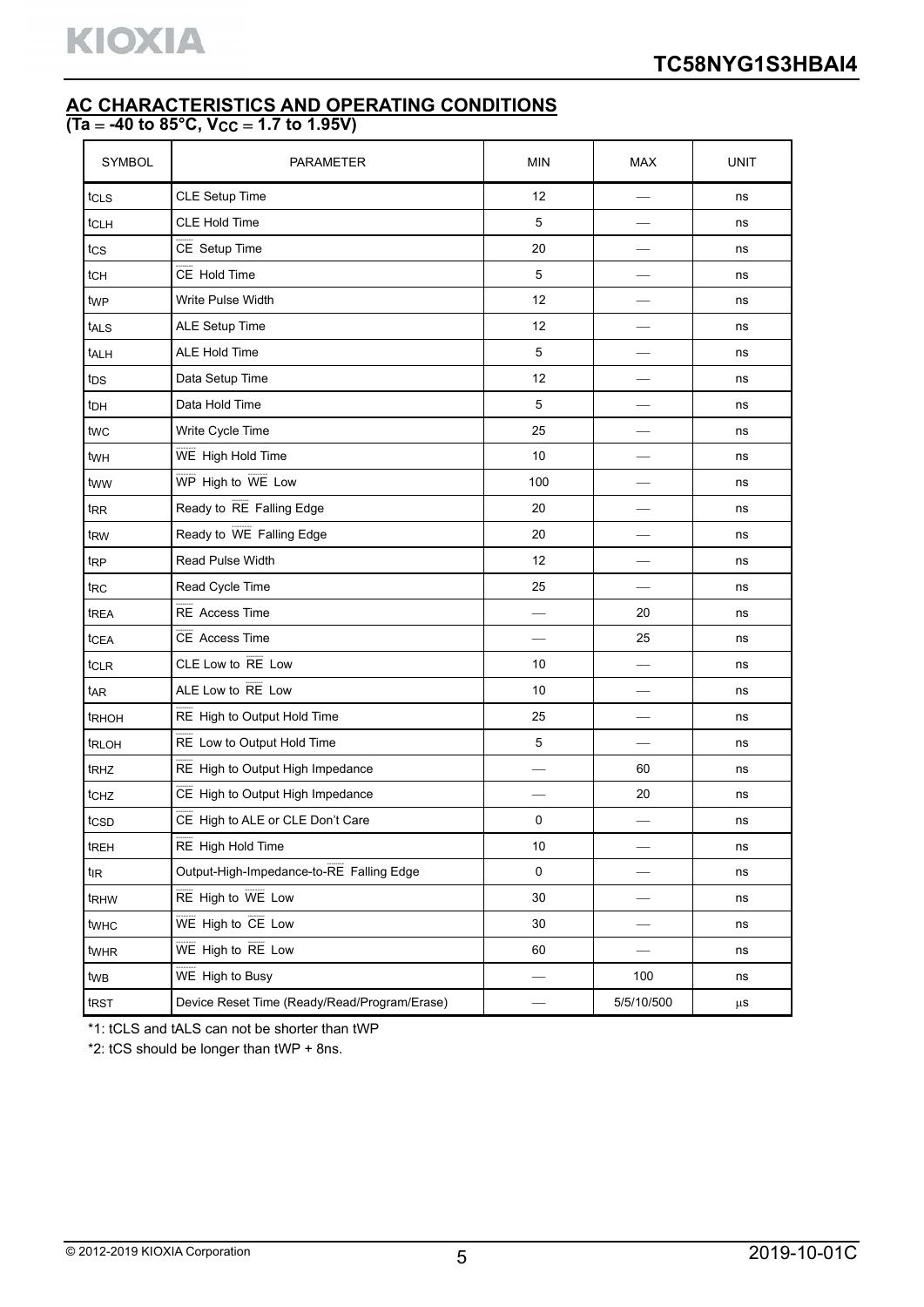# **AC CHARACTERISTICS AND OPERATING CONDITIONS (Ta -40 to 85°C, VCC 1.7 to 1.95V)**

| SYMBOL           | PARAMETER                                    | <b>MIN</b>               | <b>MAX</b> | UNIT    |
|------------------|----------------------------------------------|--------------------------|------------|---------|
| tcls             | CLE Setup Time                               | 12                       |            | ns      |
| tcLH             | <b>CLE Hold Time</b>                         | 5                        |            | ns      |
| tcs              | CE Setup Time                                | 20                       |            | ns      |
| t <sub>CH</sub>  | CE Hold Time                                 | 5                        |            | ns      |
| twp              | Write Pulse Width                            | 12                       |            | ns      |
| tALS             | <b>ALE Setup Time</b>                        | 12                       |            | ns      |
| t <sub>ALH</sub> | <b>ALE Hold Time</b>                         | $\mathbf 5$              |            | ns      |
| t <sub>DS</sub>  | Data Setup Time                              | 12                       |            | ns      |
| t <sub>DH</sub>  | Data Hold Time                               | 5                        |            | ns      |
| twc              | Write Cycle Time                             | 25                       |            | ns      |
| twH              | WE High Hold Time                            | 10                       |            | ns      |
| tww              | WP High to WE Low                            | 100                      |            | ns      |
| t <sub>RR</sub>  | Ready to RE Falling Edge                     | 20                       |            | ns      |
| t <sub>RW</sub>  | Ready to WE Falling Edge                     | 20                       |            | ns      |
| t <sub>RP</sub>  | <b>Read Pulse Width</b>                      | 12                       |            | ns      |
| t <sub>RC</sub>  | Read Cycle Time                              | 25                       |            | ns      |
| t <sub>REA</sub> | RE Access Time                               |                          | 20         | ns      |
| tcEA             | CE Access Time                               | $\overline{\phantom{0}}$ | 25         | ns      |
| t <sub>CLR</sub> | CLE Low to RE Low                            | 10                       |            | ns      |
| t <sub>AR</sub>  | ALE Low to RE Low                            | 10                       |            | ns      |
| tRHOH            | RE High to Output Hold Time                  | 25                       |            | ns      |
| trloh            | RE Low to Output Hold Time                   | $\mathbf 5$              |            | ns      |
| t <sub>RHZ</sub> | RE High to Output High Impedance             |                          | 60         | ns      |
| t <sub>CHZ</sub> | CE High to Output High Impedance             |                          | 20         | ns      |
| tcsp             | CE High to ALE or CLE Don't Care             | 0                        |            | ns      |
| treh             | RE High Hold Time                            | $10$                     |            | ns      |
| tıR              | Output-High-Impedance-to-RE Falling Edge     | 0                        |            | ns      |
| t <sub>RHW</sub> | RE High to WE Low                            | 30                       |            | ns      |
| twhc             | WE High to CE Low                            | 30                       |            | ns      |
| twhR             | WE High to RE Low                            | 60                       |            | ns      |
| twB              | WE High to Busy                              |                          | 100        | ns      |
| trst             | Device Reset Time (Ready/Read/Program/Erase) |                          | 5/5/10/500 | $\mu$ s |

\*1: tCLS and tALS can not be shorter than tWP

\*2: tCS should be longer than tWP + 8ns.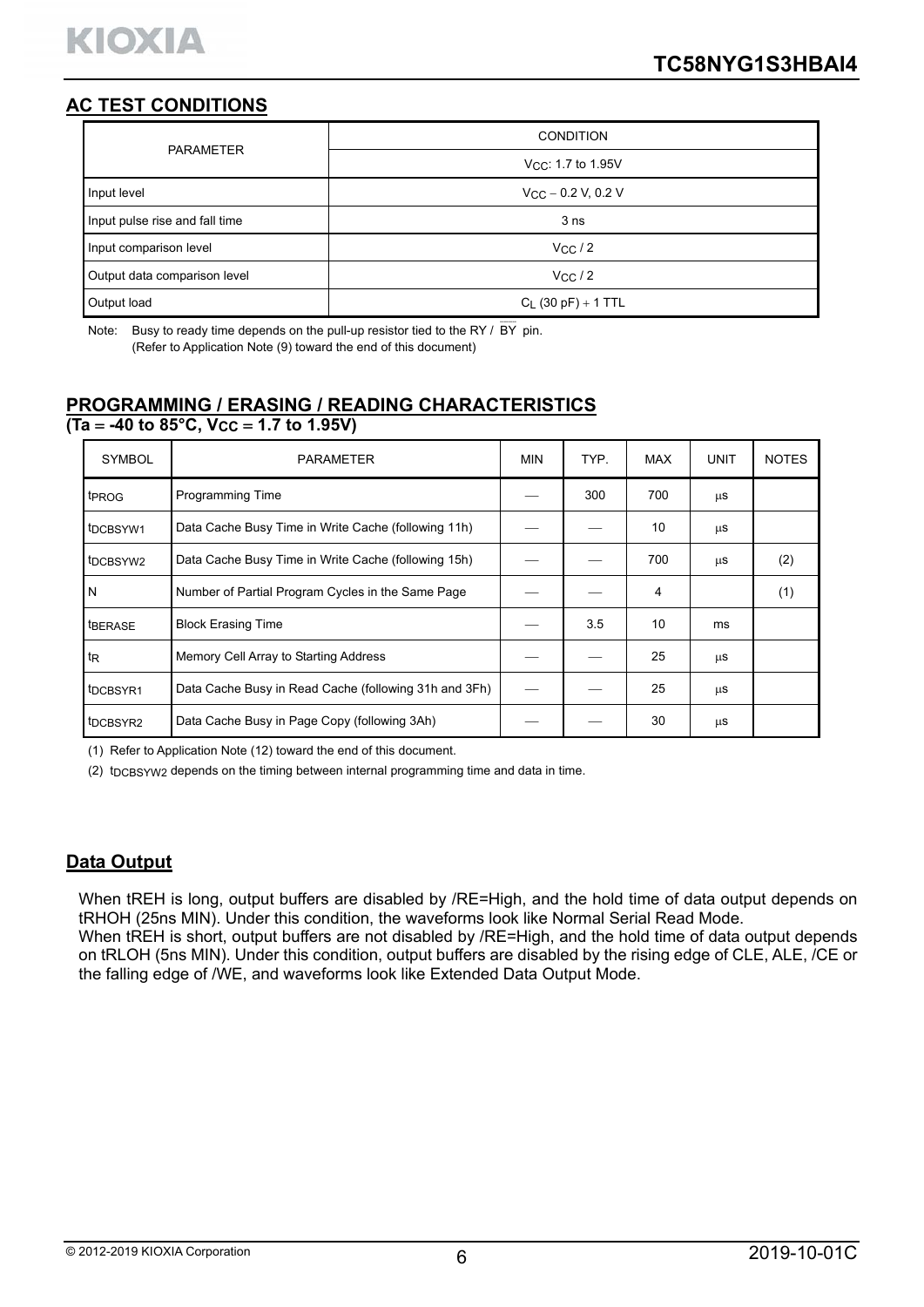# **AC TEST CONDITIONS**

| <b>PARAMETER</b>               | <b>CONDITION</b>               |
|--------------------------------|--------------------------------|
|                                | V <sub>CC</sub> : 1.7 to 1.95V |
| Input level                    | $V_{CC}$ – 0.2 V, 0.2 V        |
| Input pulse rise and fall time | 3 <sub>ns</sub>                |
| Input comparison level         | VCC/2                          |
| Output data comparison level   | $V_{CC}/2$                     |
| Output load                    | $C_L$ (30 pF) + 1 TTL          |

Note: Busy to ready time depends on the pull-up resistor tied to the RY /  $\overline{BY}$  pin. (Refer to Application Note (9) toward the end of this document)

# **PROGRAMMING / ERASING / READING CHARACTERISTICS**

 $\overline{(\text{Ta} = -40 \text{ to } 85^{\circ} \text{C}, \text{V}_{CC} = 1.7 \text{ to } 1.95 \text{V})}$ 

| <b>SYMBOL</b>                     | <b>PARAMETER</b>                                      | <b>MIN</b> | TYP. | <b>MAX</b> | <b>UNIT</b> | <b>NOTES</b> |
|-----------------------------------|-------------------------------------------------------|------------|------|------------|-------------|--------------|
| t <sub>PROG</sub>                 | Programming Time                                      |            | 300  | 700        | μs          |              |
| t <sub>DCB</sub> SYW <sub>1</sub> | Data Cache Busy Time in Write Cache (following 11h)   |            |      | 10         | μS          |              |
| t <sub>DCBSYW2</sub>              | Data Cache Busy Time in Write Cache (following 15h)   |            |      | 700        | μs          | (2)          |
| l N                               | Number of Partial Program Cycles in the Same Page     |            |      | 4          |             | (1)          |
| <b>IBERASE</b>                    | <b>Block Erasing Time</b>                             |            | 3.5  | 10         | ms          |              |
| $t_{\mathsf{R}}$                  | Memory Cell Array to Starting Address                 |            |      | 25         | μs          |              |
| t <sub>DCBSYR1</sub>              | Data Cache Busy in Read Cache (following 31h and 3Fh) |            |      | 25         | μS          |              |
| t <sub>DCBSYR2</sub>              | Data Cache Busy in Page Copy (following 3Ah)          |            |      | 30         | μS          |              |

(1) Refer to Application Note (12) toward the end of this document.

(2) t<sub>DCBSYW2</sub> depends on the timing between internal programming time and data in time.

# **Data Output**

When tREH is long, output buffers are disabled by /RE=High, and the hold time of data output depends on tRHOH (25ns MIN). Under this condition, the waveforms look like Normal Serial Read Mode.

When tREH is short, output buffers are not disabled by /RE=High, and the hold time of data output depends on tRLOH (5ns MIN). Under this condition, output buffers are disabled by the rising edge of CLE, ALE, /CE or the falling edge of /WE, and waveforms look like Extended Data Output Mode.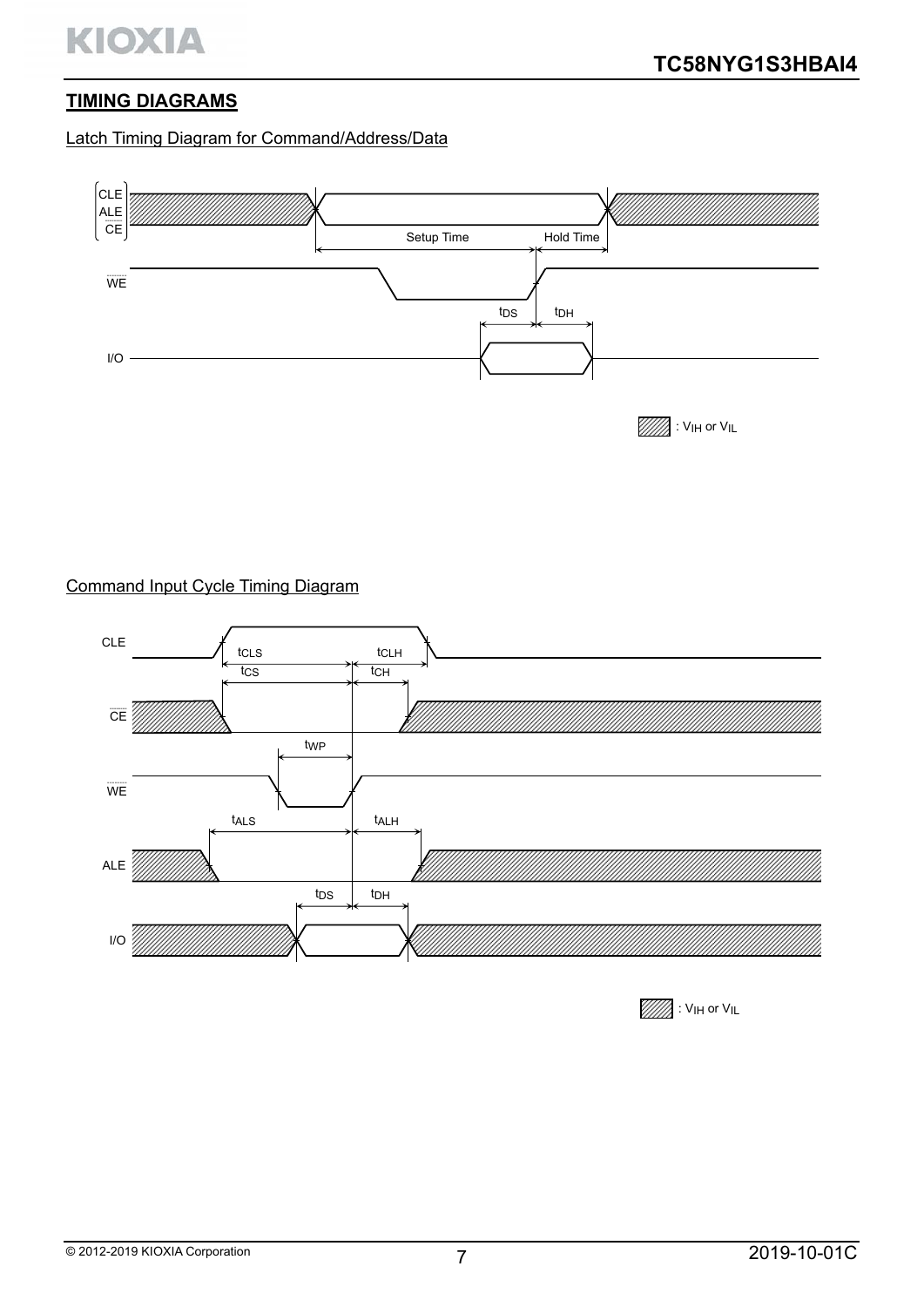# **TIMING DIAGRAMS**

# Latch Timing Diagram for Command/Address/Data



# Command Input Cycle Timing Diagram



 $\mathbb{Z}$ : V<sub>IH</sub> or V<sub>IL</sub>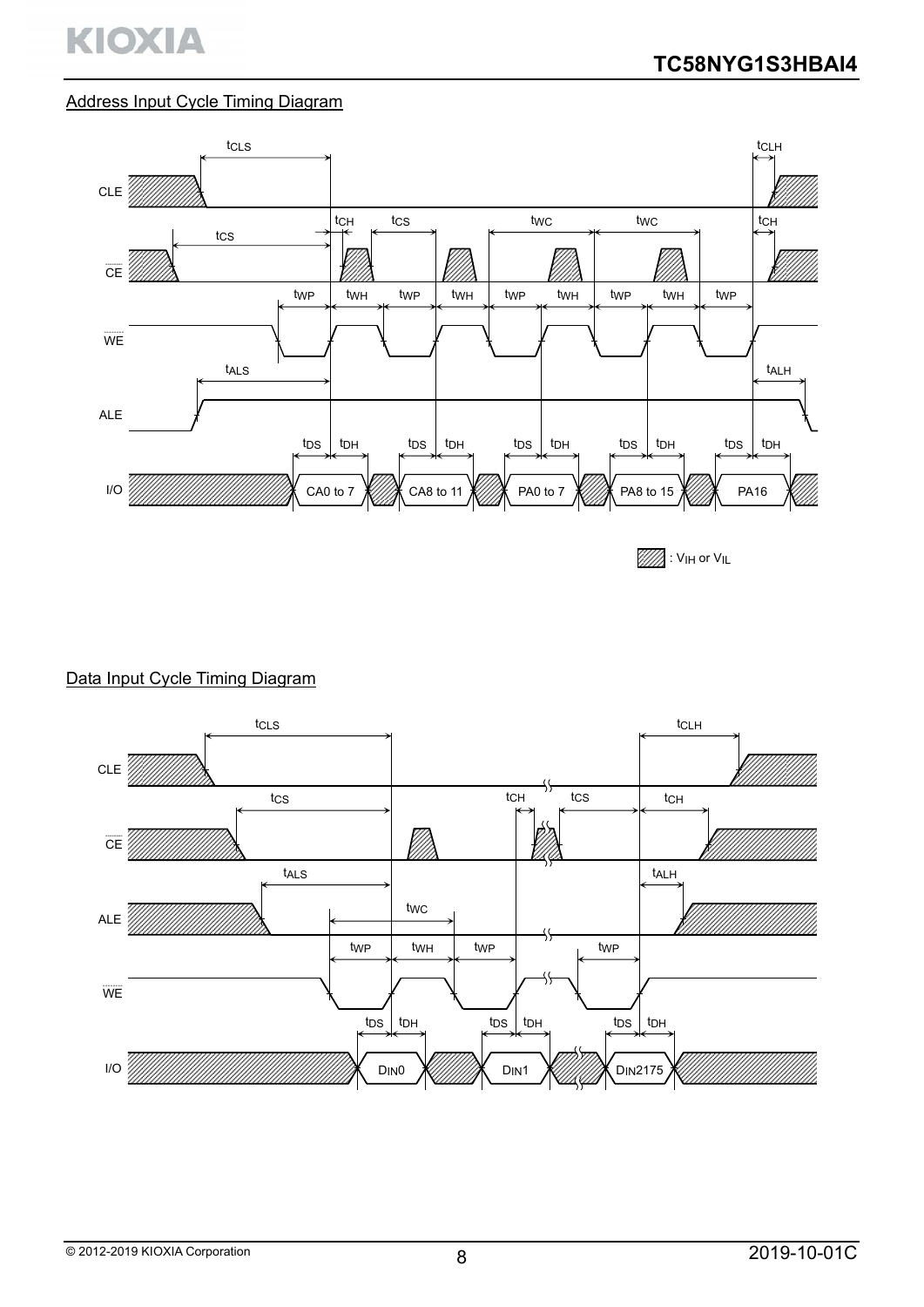# Address Input Cycle Timing Diagram





# Data Input Cycle Timing Diagram

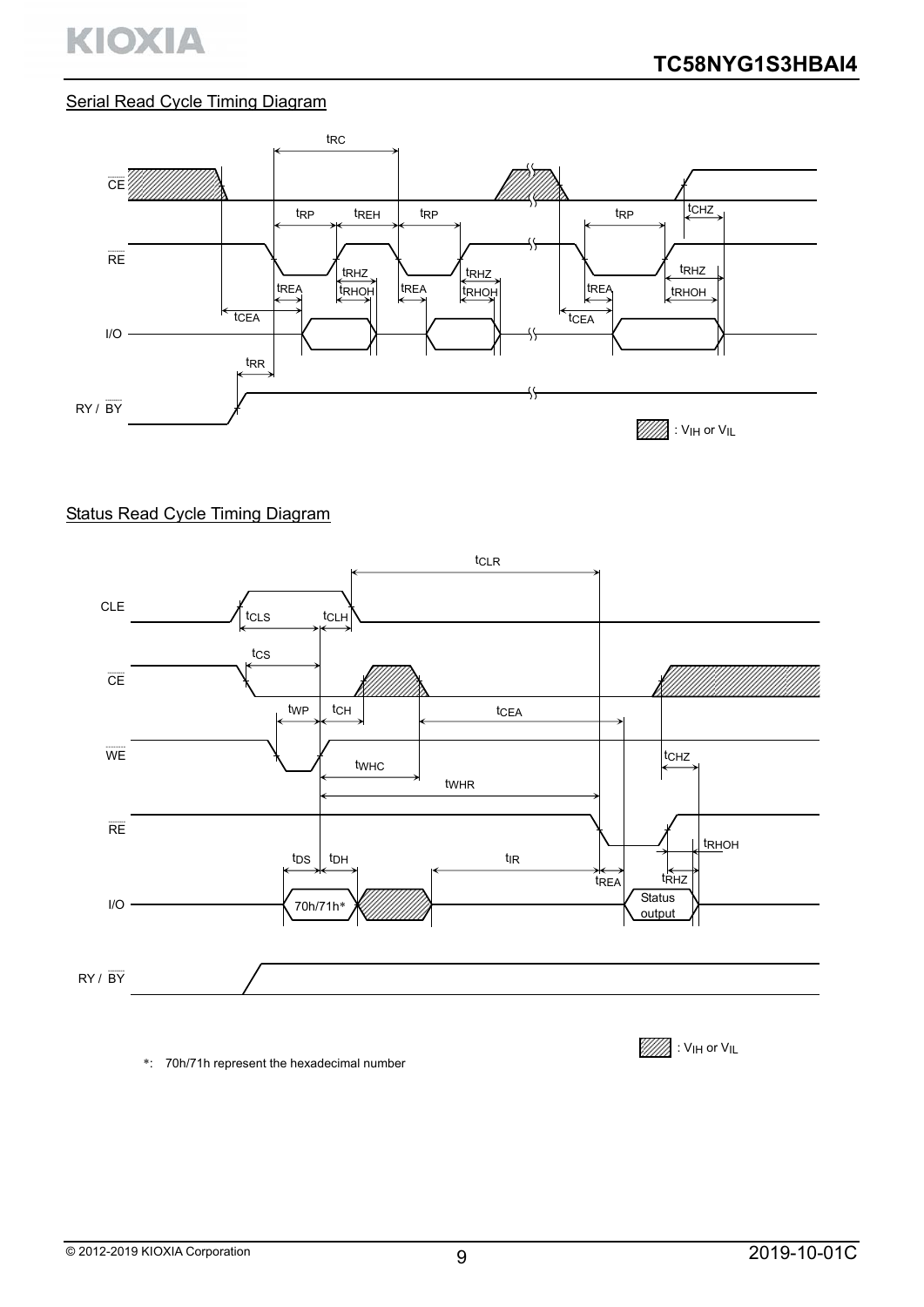

### Serial Read Cycle Timing Diagram



#### Status Read Cycle Timing Diagram



\*: 70h/71h represent the hexadecimal number

 $\mathbb{Z}$  : Vih or Vil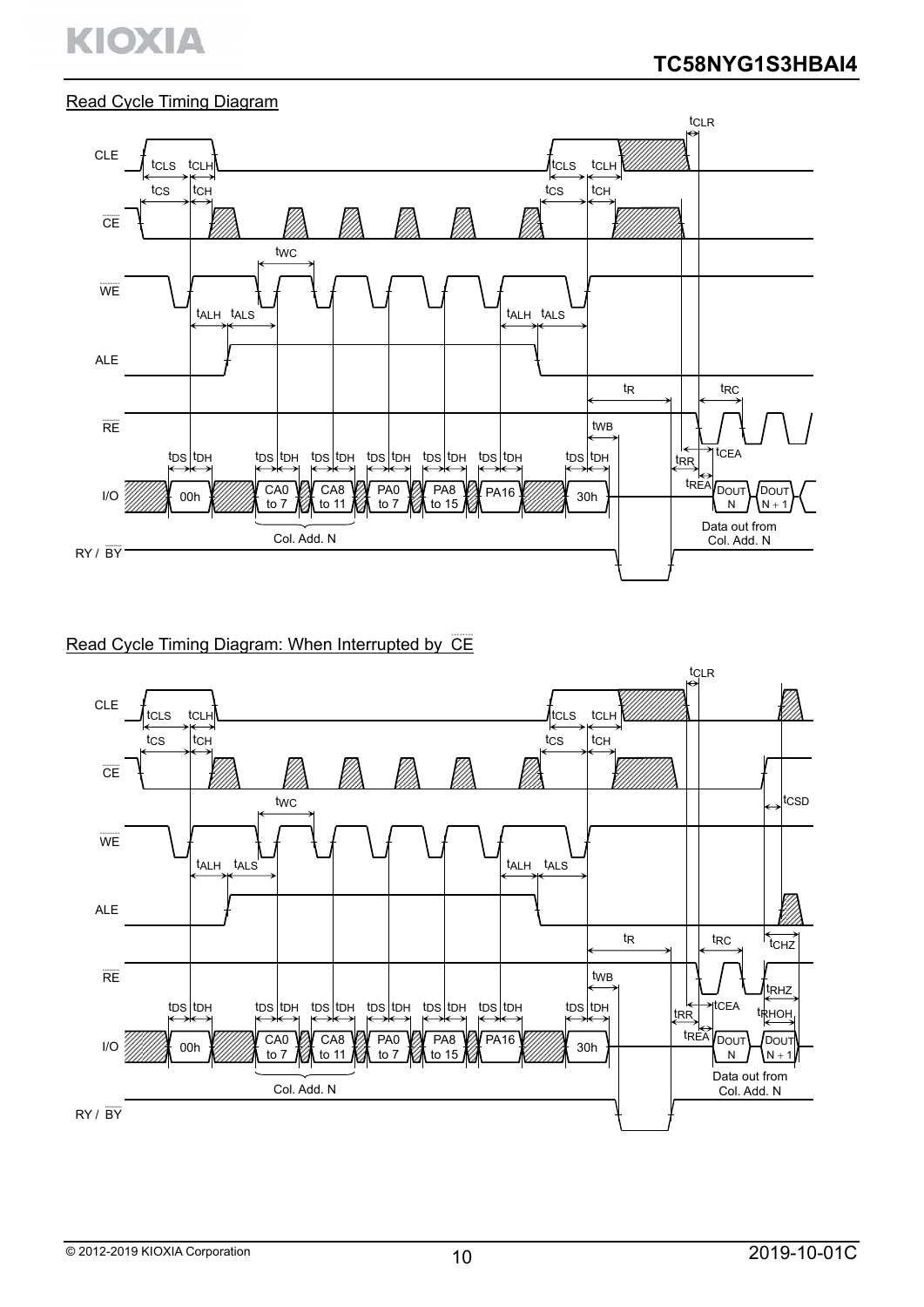# KIOXIA

#### Read Cycle Timing Diagram



# Read Cycle Timing Diagram: When Interrupted by CE

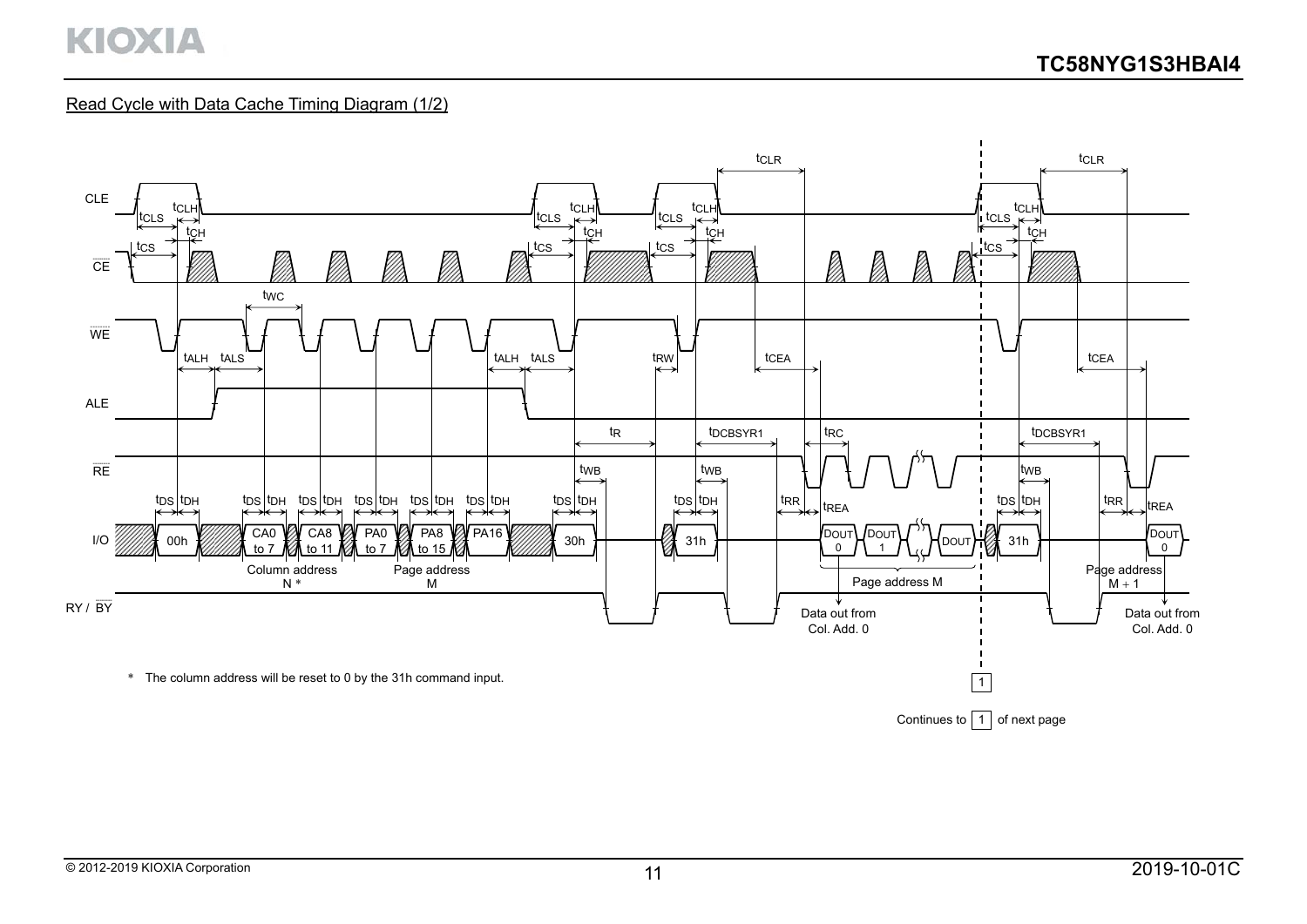### Read Cycle with Data Cache Timing Diagram (1/2)

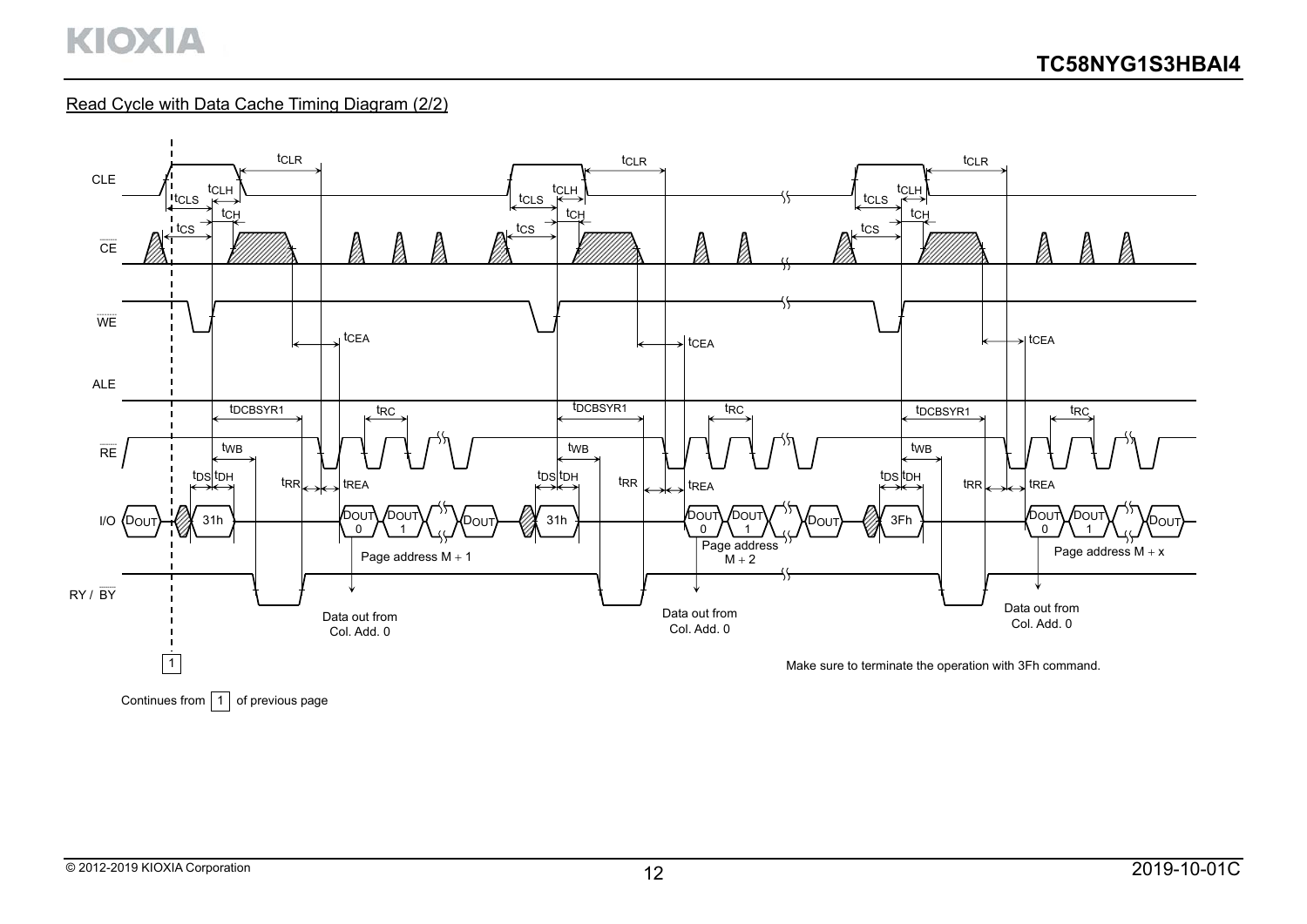### Read Cycle with Data Cache Timing Diagram (2/2)

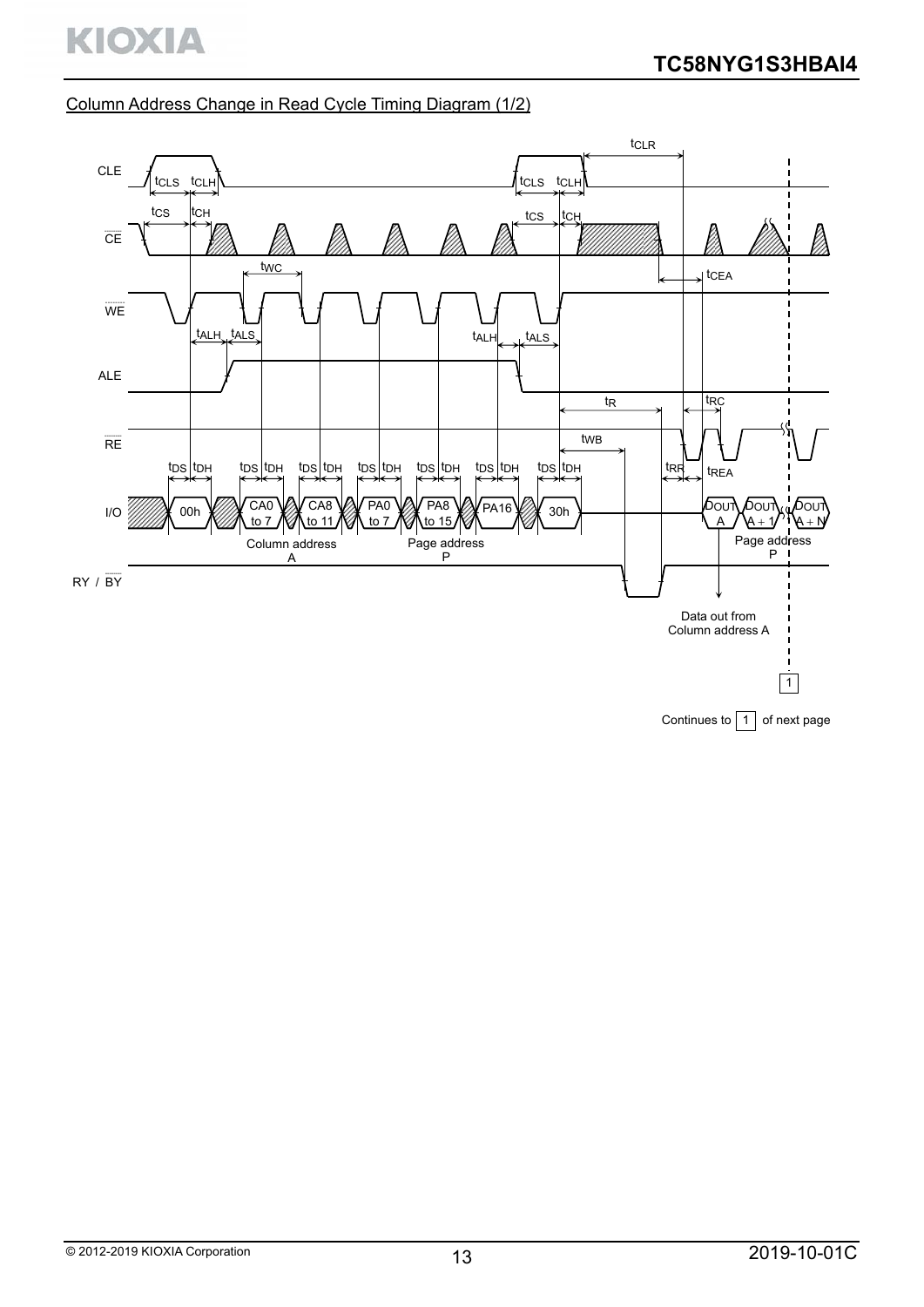# Column Address Change in Read Cycle Timing Diagram (1/2)



Continues to  $\boxed{1}$  of next page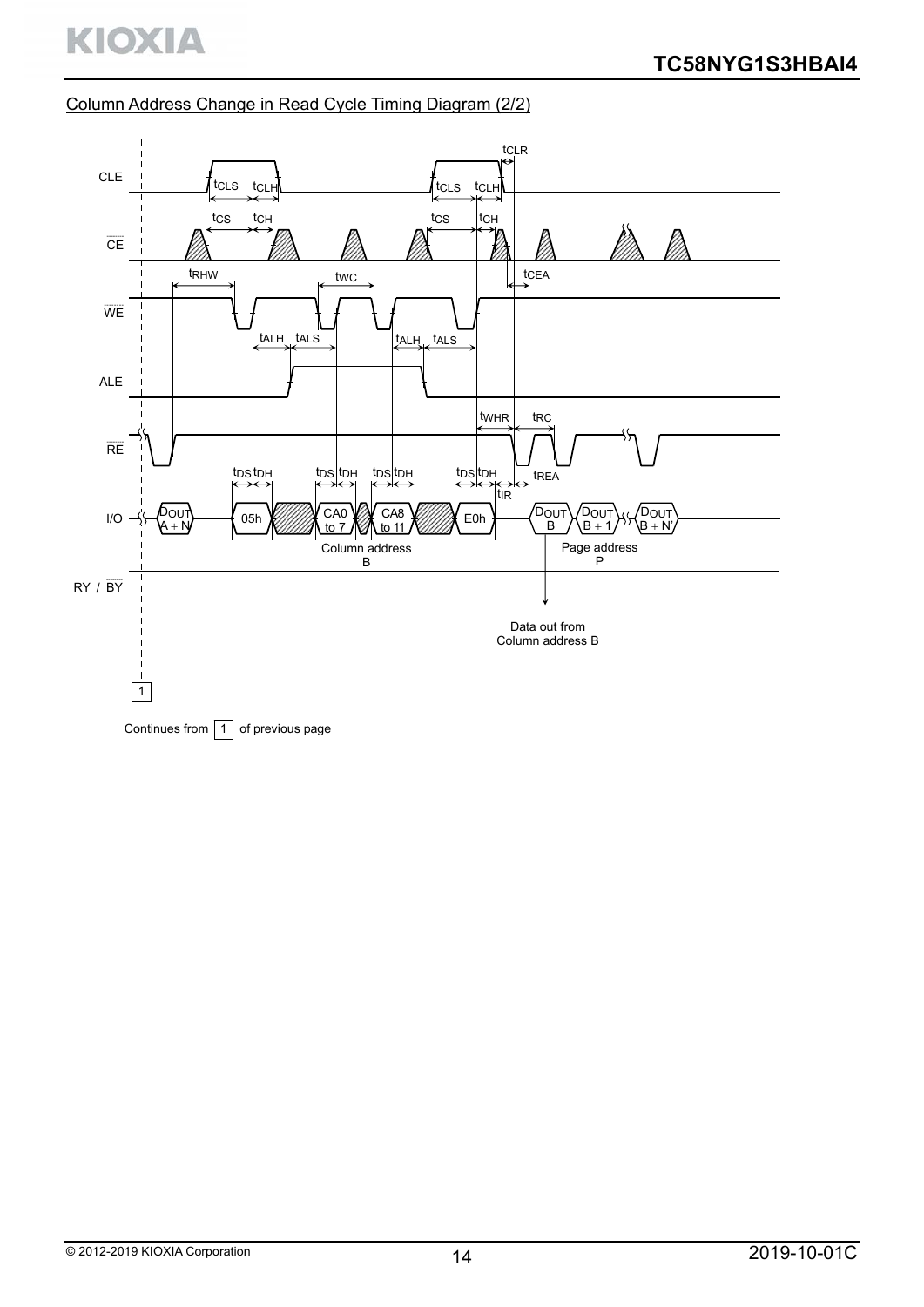# Column Address Change in Read Cycle Timing Diagram (2/2)

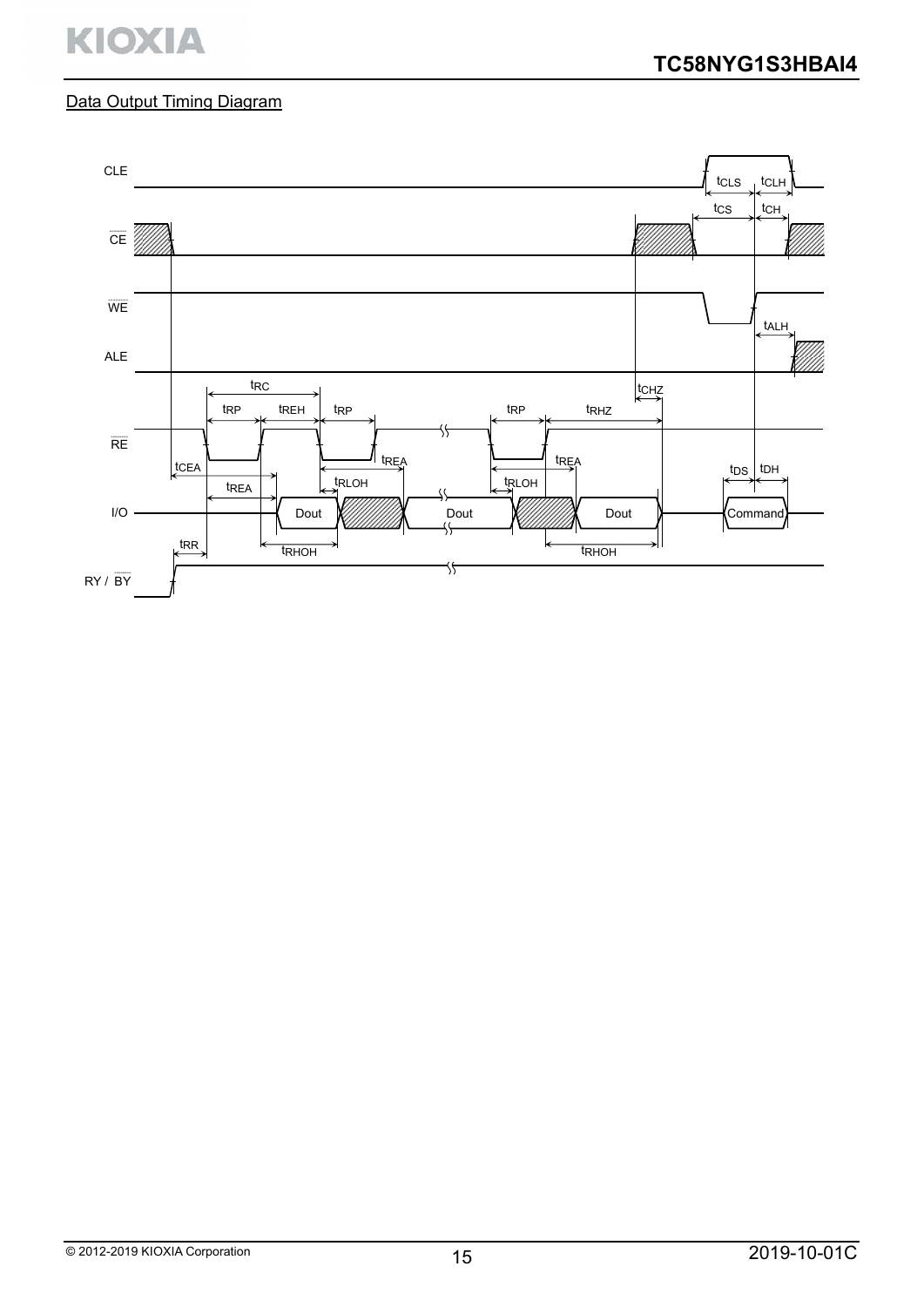# **KIOXIA**

# Data Output Timing Diagram

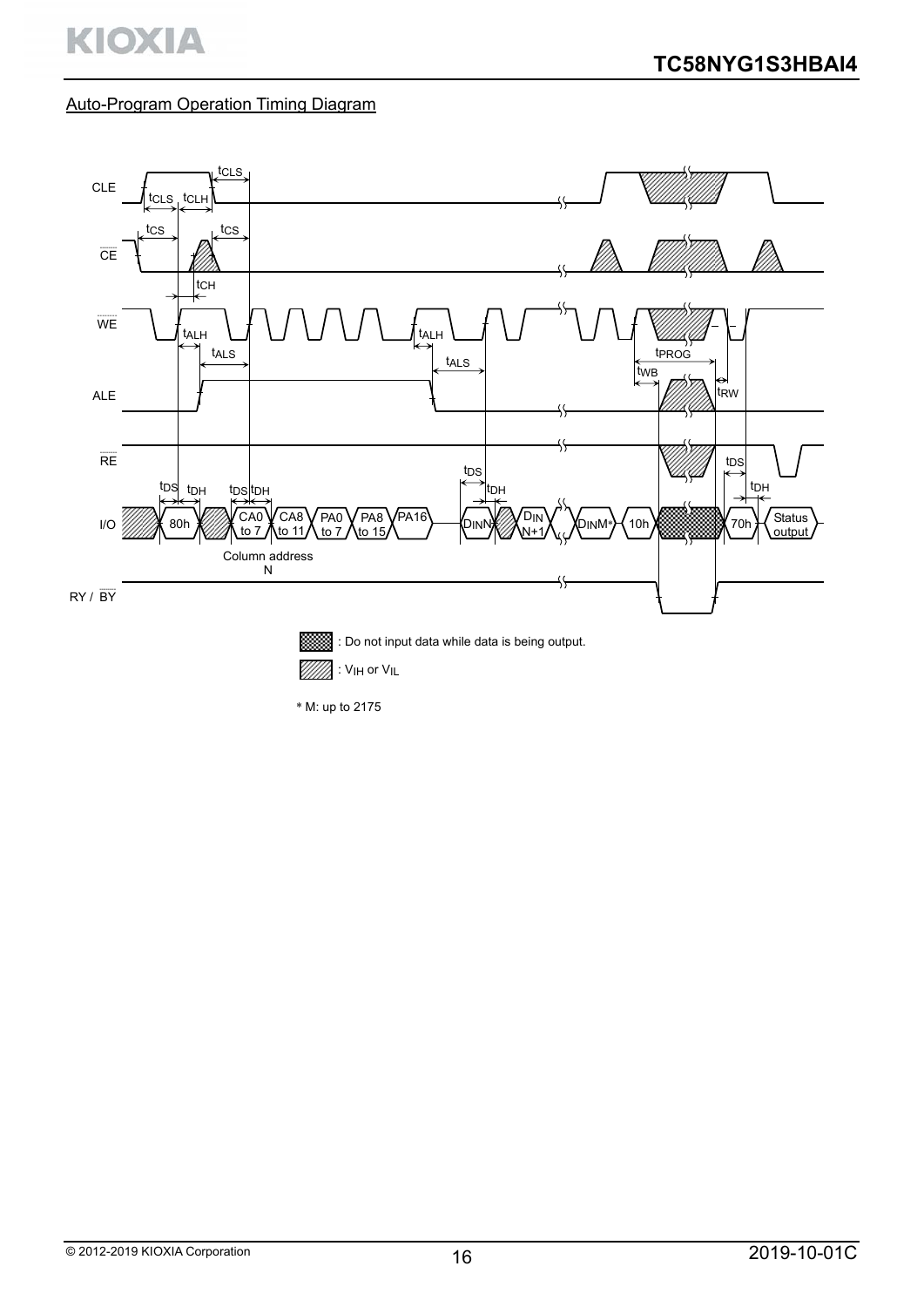# Auto-Program Operation Timing Diagram

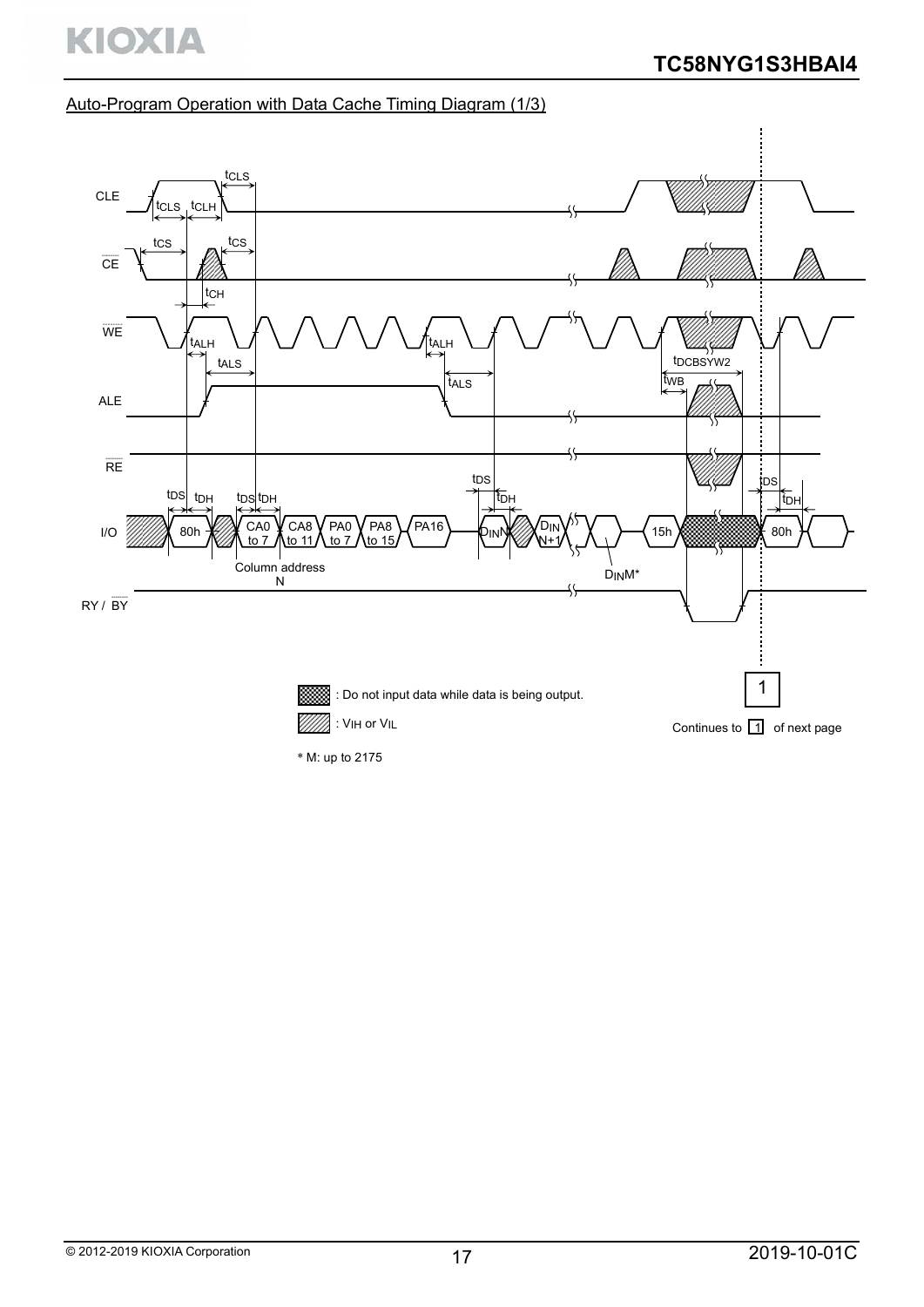# Auto-Program Operation with Data Cache Timing Diagram (1/3)



\* M: up to 2175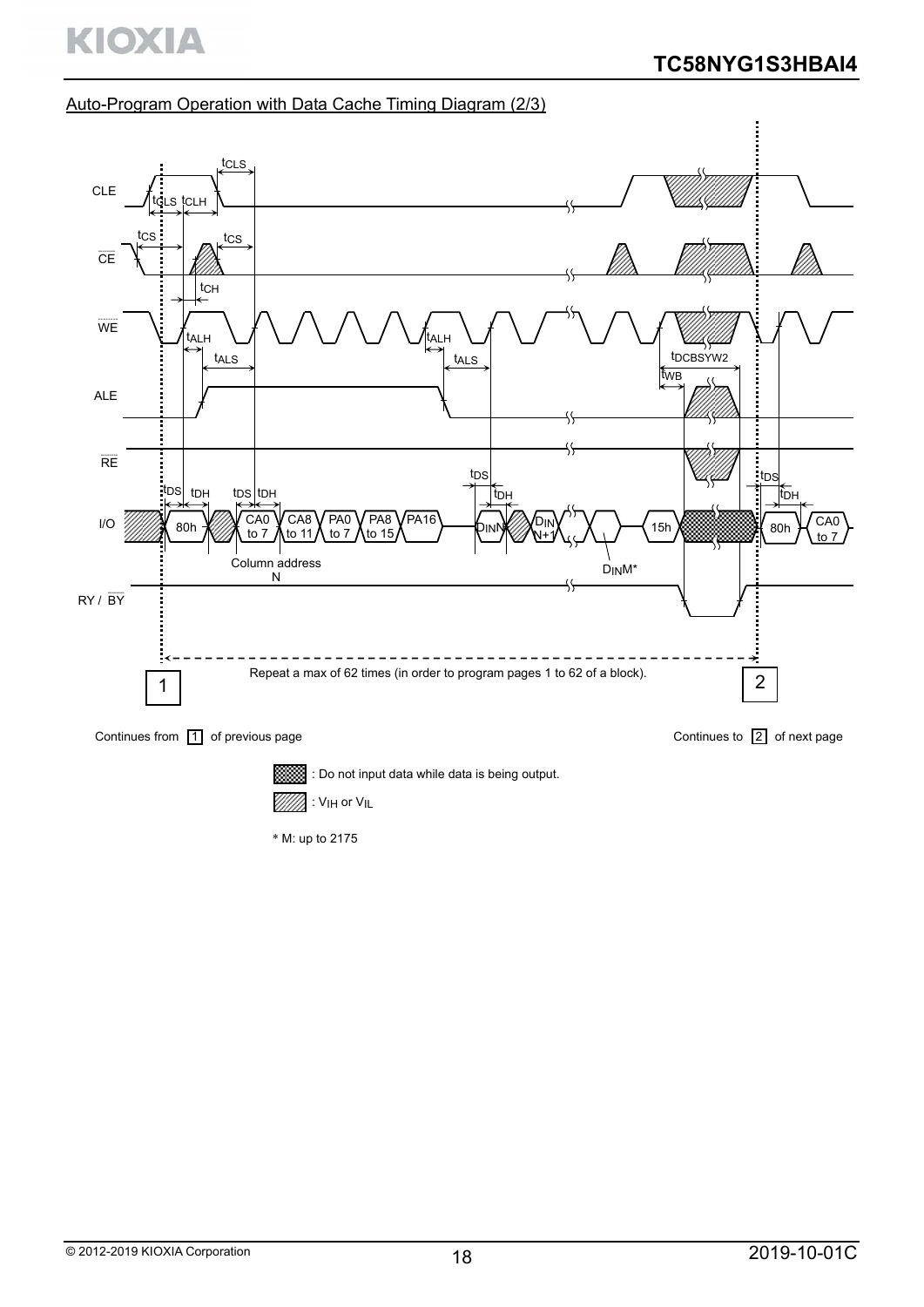# Auto-Program Operation with Data Cache Timing Diagram (2/3)



: Do not input data while data is being output.

: VIH or VIL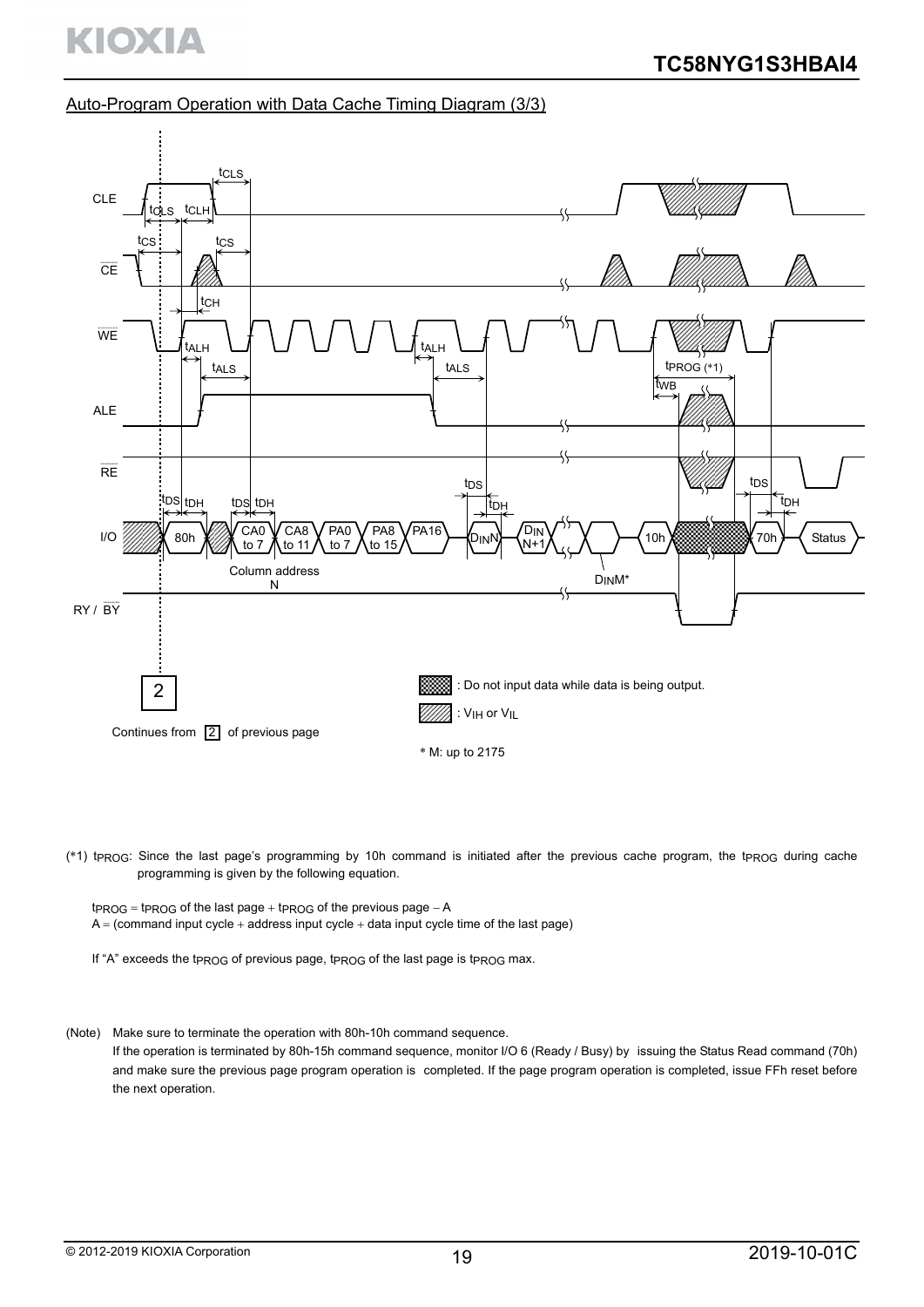#### Auto-Program Operation with Data Cache Timing Diagram (3/3)



(\*1) tPROG: Since the last page's programming by 10h command is initiated after the previous cache program, the tpROG during cache programming is given by the following equation.

 $t_{PROG}$  =  $t_{PROG}$  of the last page  $+$   $t_{PROG}$  of the previous page  $-A$  $A = (command input cycle + address input cycle + data input cycle time of the last page)$ 

If "A" exceeds the tpROG of previous page, tpROG of the last page is tpROG max.

(Note) Make sure to terminate the operation with 80h-10h command sequence.

If the operation is terminated by 80h-15h command sequence, monitor I/O 6 (Ready / Busy) by issuing the Status Read command (70h) and make sure the previous page program operation is completed. If the page program operation is completed, issue FFh reset before the next operation.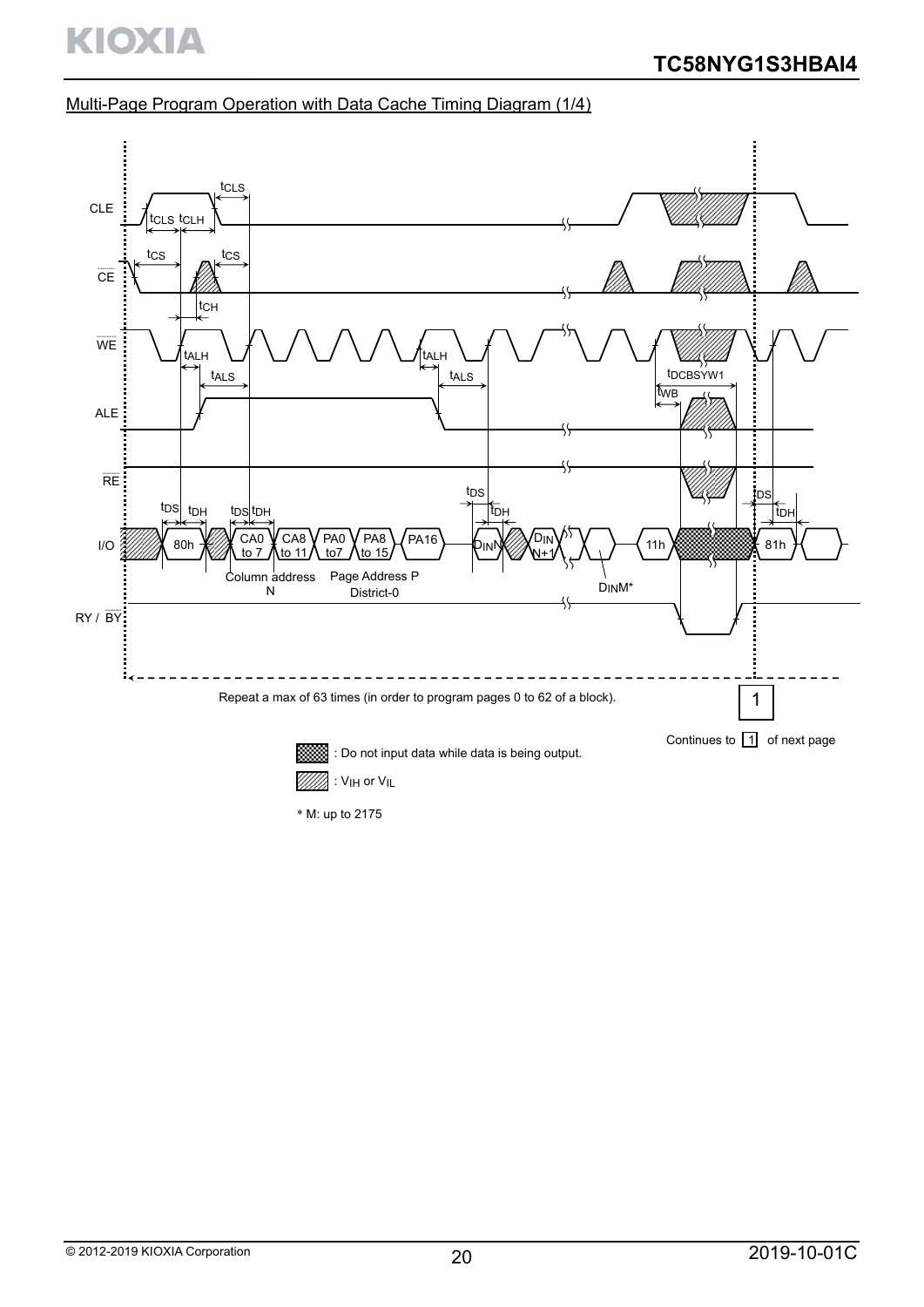**KIOXIA** 

# Multi-Page Program Operation with Data Cache Timing Diagram (1/4)



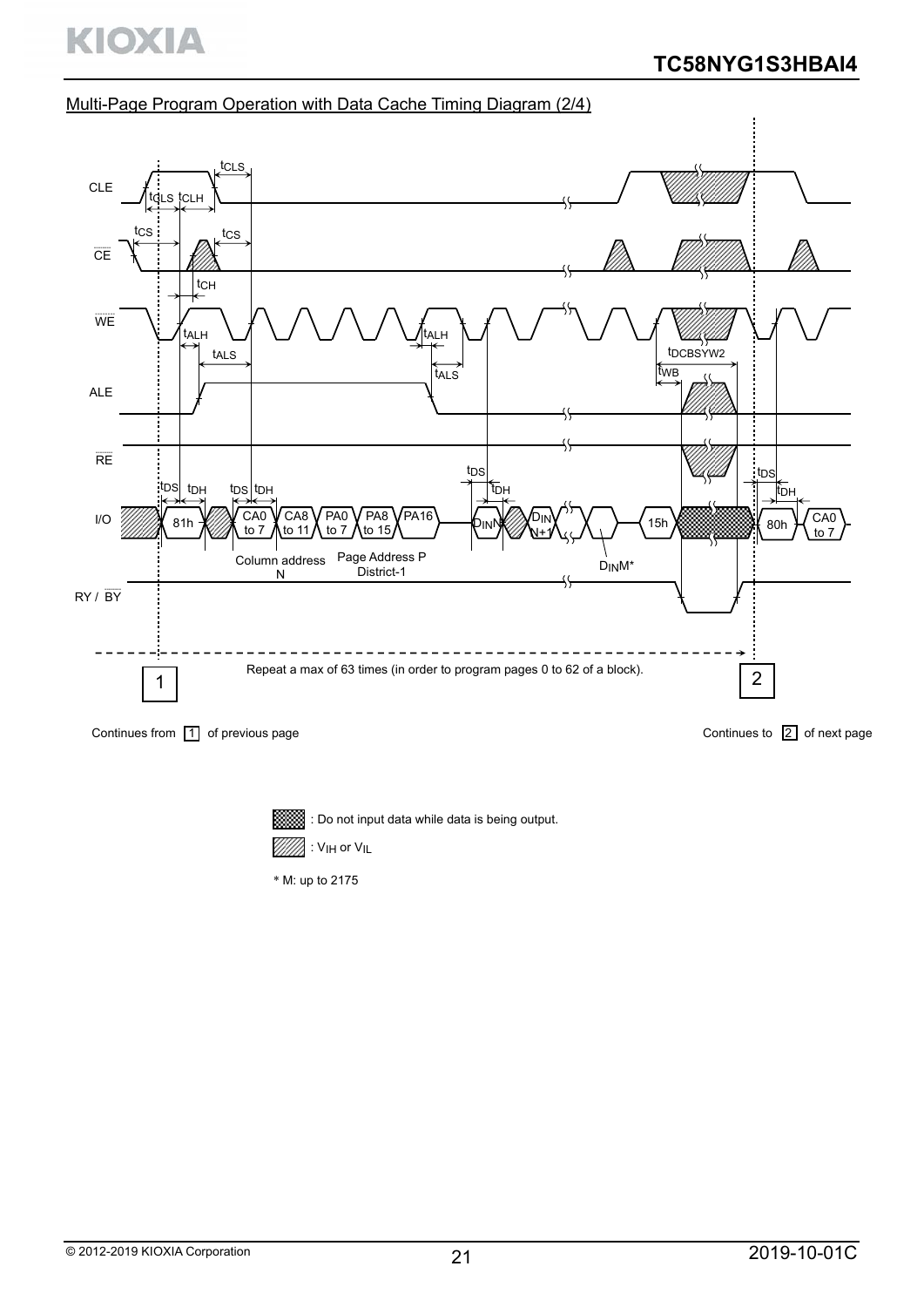# Multi-Page Program Operation with Data Cache Timing Diagram (2/4)



Continues from  $\boxed{1}$  of previous page

Continues to  $\boxed{2}$  of next page



 $\overline{\mathbb{S}}$  : Do not input data while data is being output.

: VIH or VIL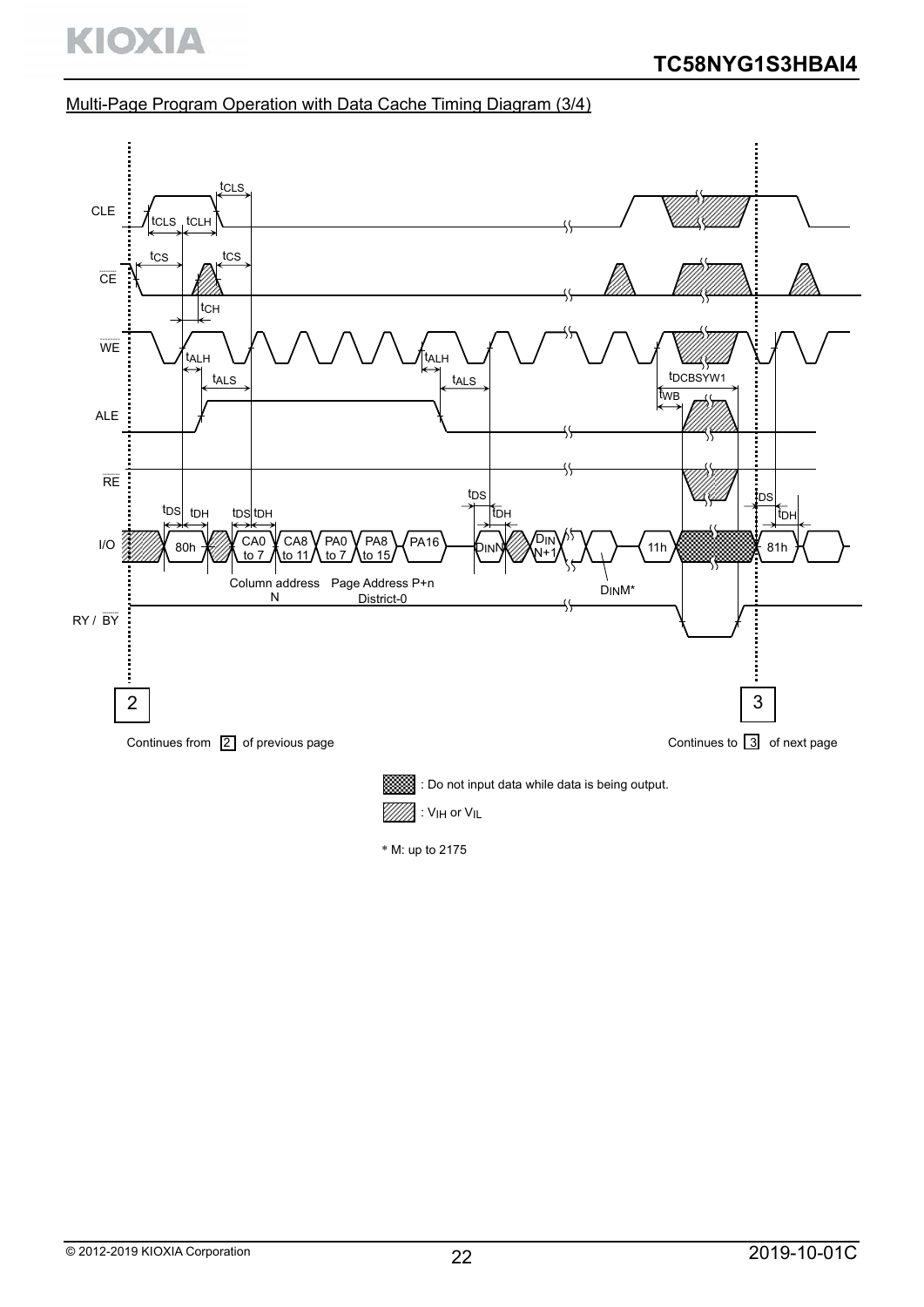**KIOXIA** 

## Multi-Page Program Operation with Data Cache Timing Diagram (3/4)

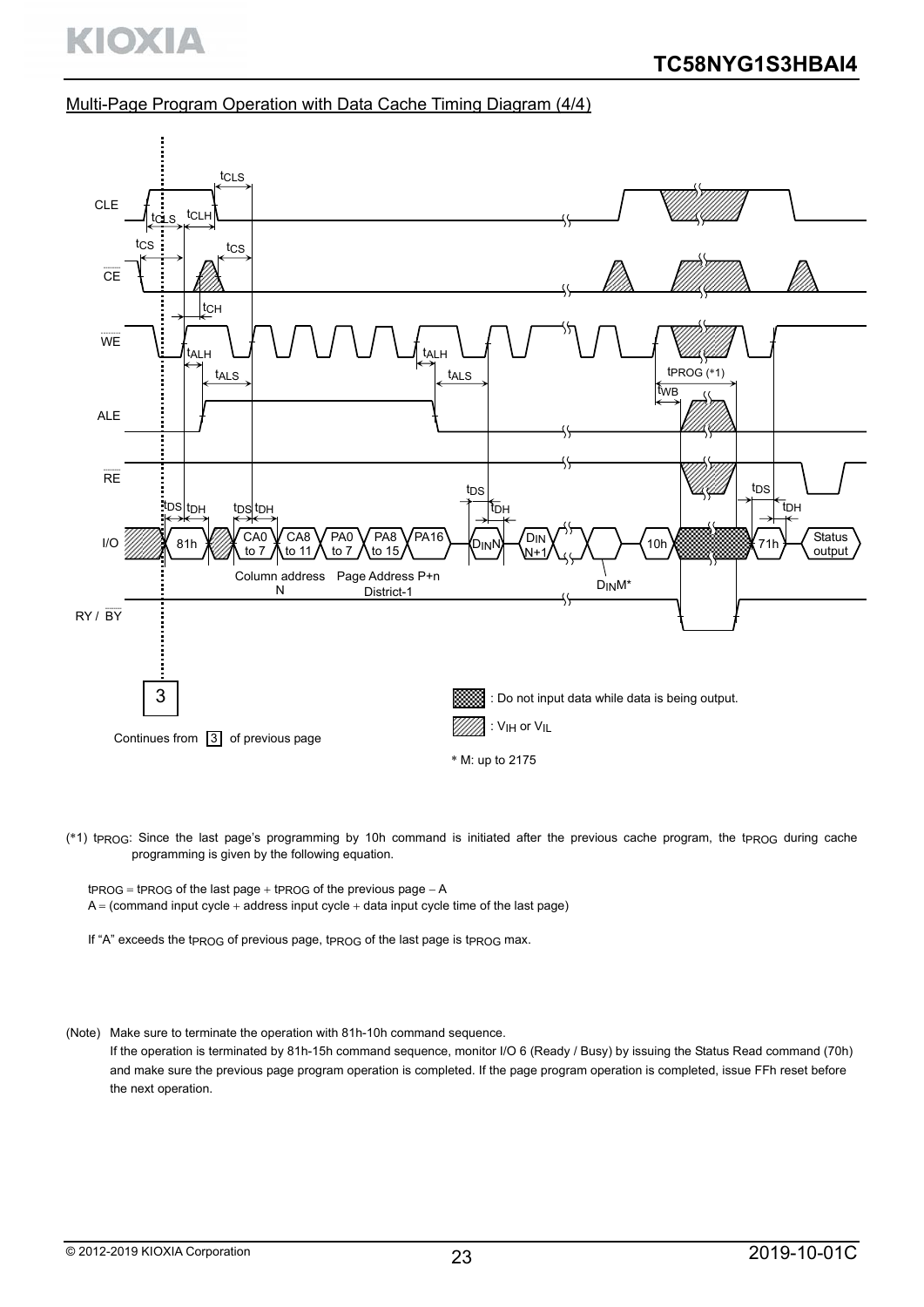### Multi-Page Program Operation with Data Cache Timing Diagram (4/4)



(\*1) tprog: Since the last page's programming by 10h command is initiated after the previous cache program, the tprog during cache programming is given by the following equation.

 $t_{PROG}$  = tprog of the last page  $+$  tprog of the previous page  $-A$  $A = (command input cycle + address input cycle + data input cycle time of the last page)$ 

If "A" exceeds the tpROG of previous page, tpROG of the last page is tpROG max.

(Note) Make sure to terminate the operation with 81h-10h command sequence.

If the operation is terminated by 81h-15h command sequence, monitor I/O 6 (Ready / Busy) by issuing the Status Read command (70h) and make sure the previous page program operation is completed. If the page program operation is completed, issue FFh reset before the next operation.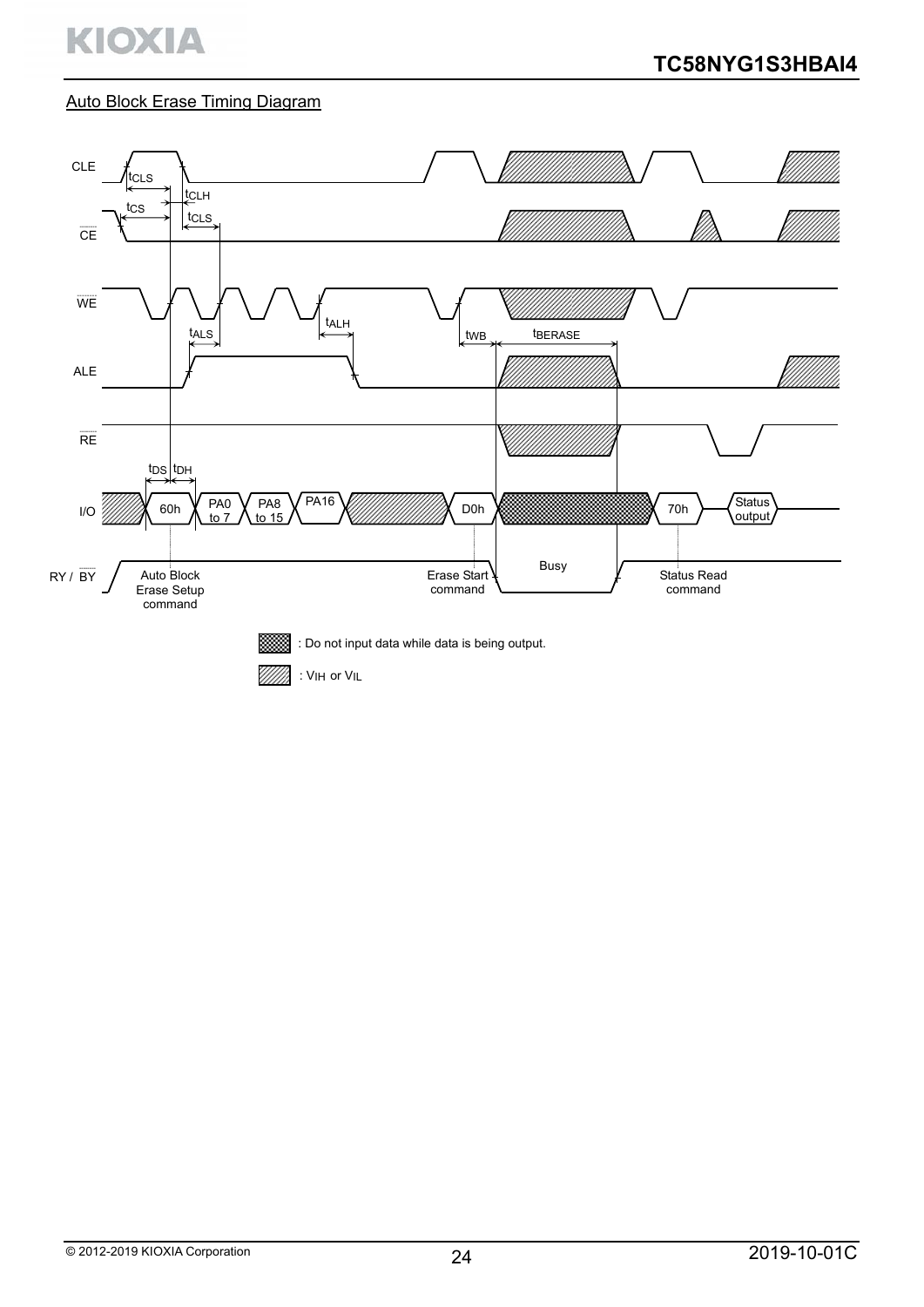

# Auto Block Erase Timing Diagram

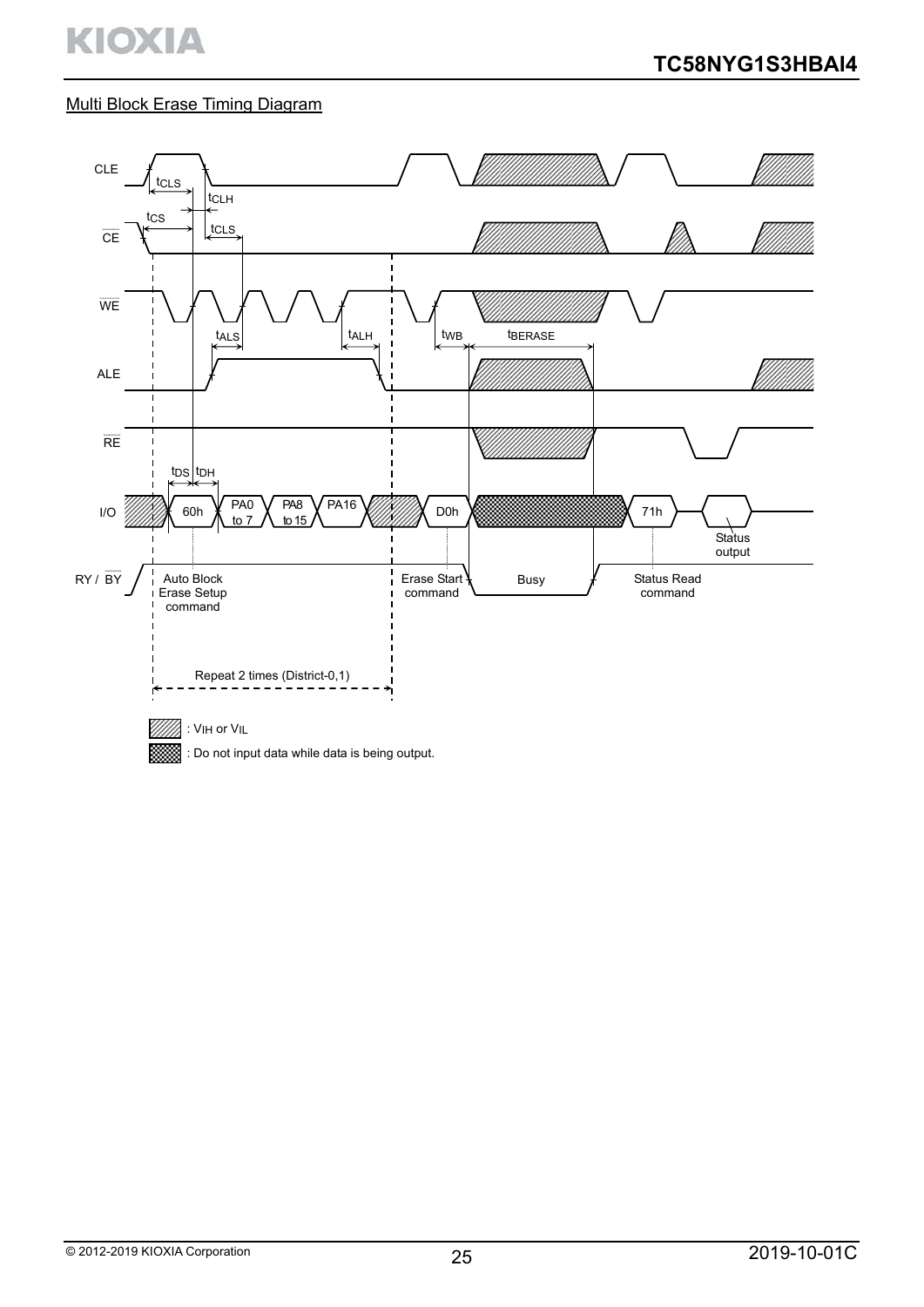# Multi Block Erase Timing Diagram

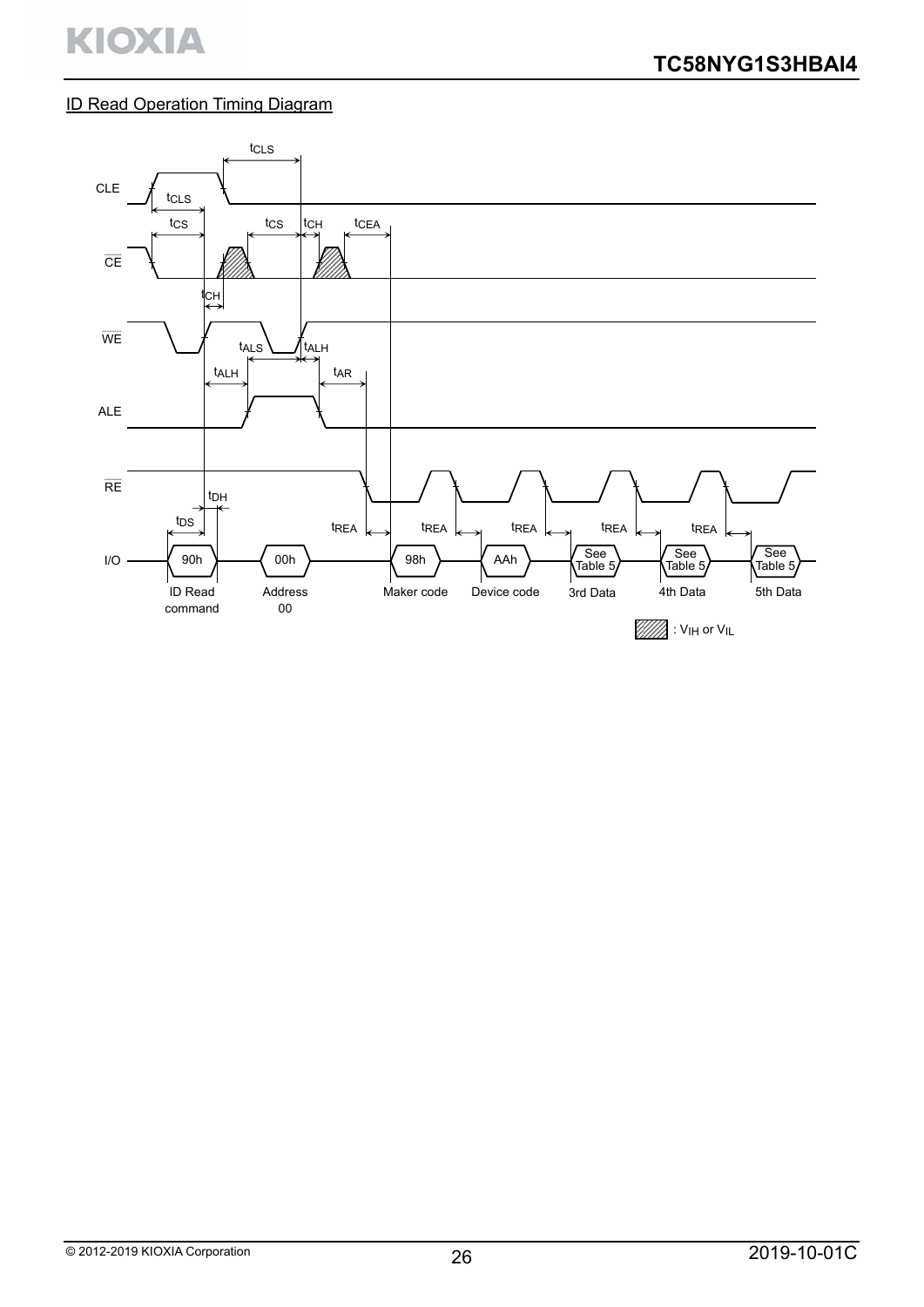# ID Read Operation Timing Diagram

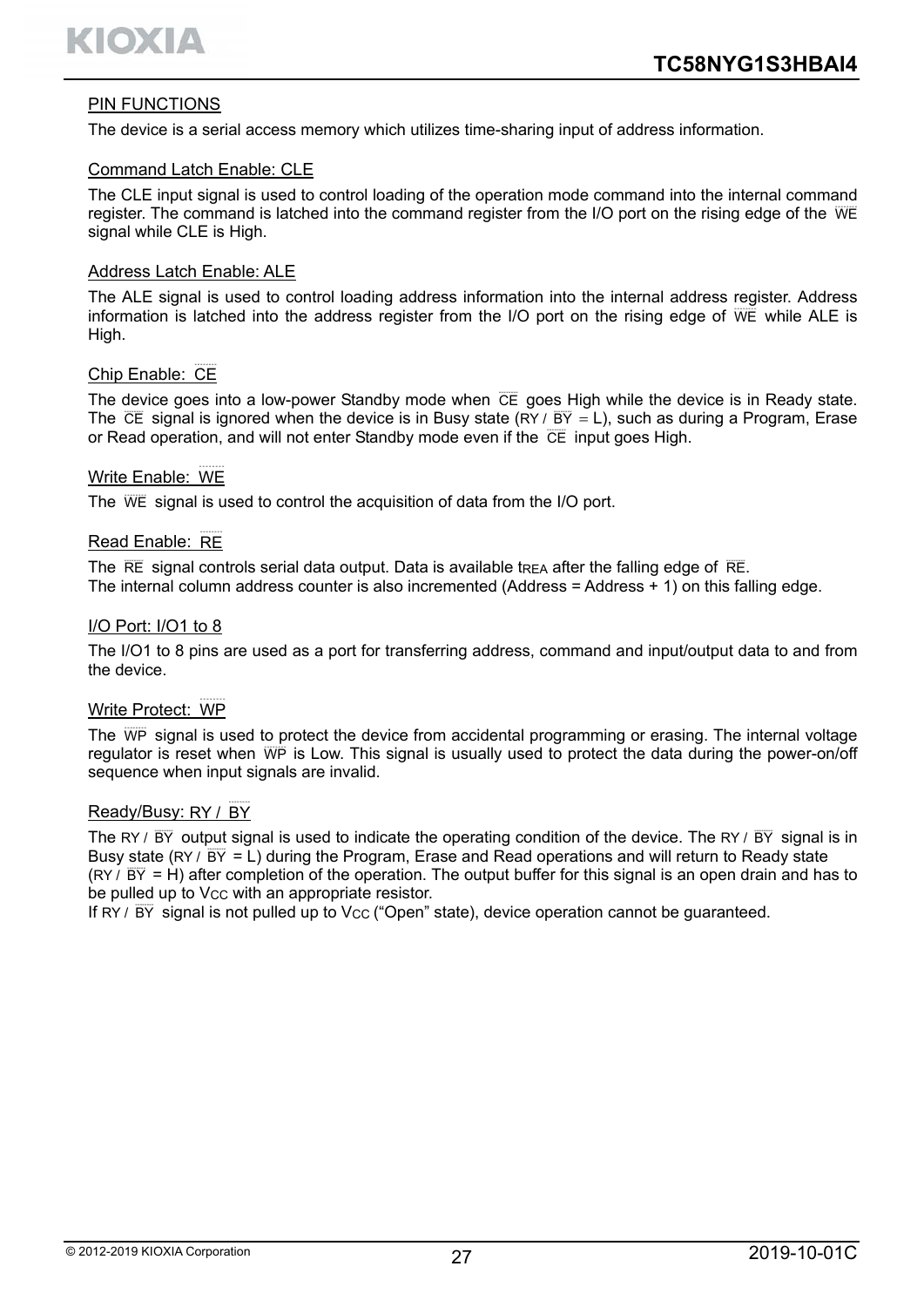

## PIN FUNCTIONS

The device is a serial access memory which utilizes time-sharing input of address information.

#### Command Latch Enable: CLE

The CLE input signal is used to control loading of the operation mode command into the internal command register. The command is latched into the command register from the I/O port on the rising edge of the WE signal while CLE is High.

#### Address Latch Enable: ALE

The ALE signal is used to control loading address information into the internal address register. Address information is latched into the address register from the I/O port on the rising edge of WE while ALE is High.

# Chip Enable: CE

The device goes into a low-power Standby mode when CE goes High while the device is in Ready state. The  $\overline{CE}$  signal is ignored when the device is in Busy state (RY /  $\overline{BY} = L$ ), such as during a Program, Erase or Read operation, and will not enter Standby mode even if the CE input goes High.

# Write Enable: WE

The WE signal is used to control the acquisition of data from the I/O port.

# Read Enable: RE

The  $RE$  signal controls serial data output. Data is available trea after the falling edge of  $RE$ . The internal column address counter is also incremented (Address = Address  $+$  1) on this falling edge.

#### I/O Port: I/O1 to 8

The I/O1 to 8 pins are used as a port for transferring address, command and input/output data to and from the device.

# Write Protect: WP

The WP signal is used to protect the device from accidental programming or erasing. The internal voltage regulator is reset when WP is Low. This signal is usually used to protect the data during the power-on/off sequence when input signals are invalid.

#### Ready/Busy: RY / BY

The RY /  $\overline{BY}$  output signal is used to indicate the operating condition of the device. The RY /  $\overline{BY}$  signal is in Busy state (RY /  $\overline{BY}$  = L) during the Program, Erase and Read operations and will return to Ready state (RY /  $\overline{BY}$  = H) after completion of the operation. The output buffer for this signal is an open drain and has to be pulled up to V<sub>CC</sub> with an appropriate resistor.

If  $RY / \overline{BY}$  signal is not pulled up to Vcc ("Open" state), device operation cannot be guaranteed.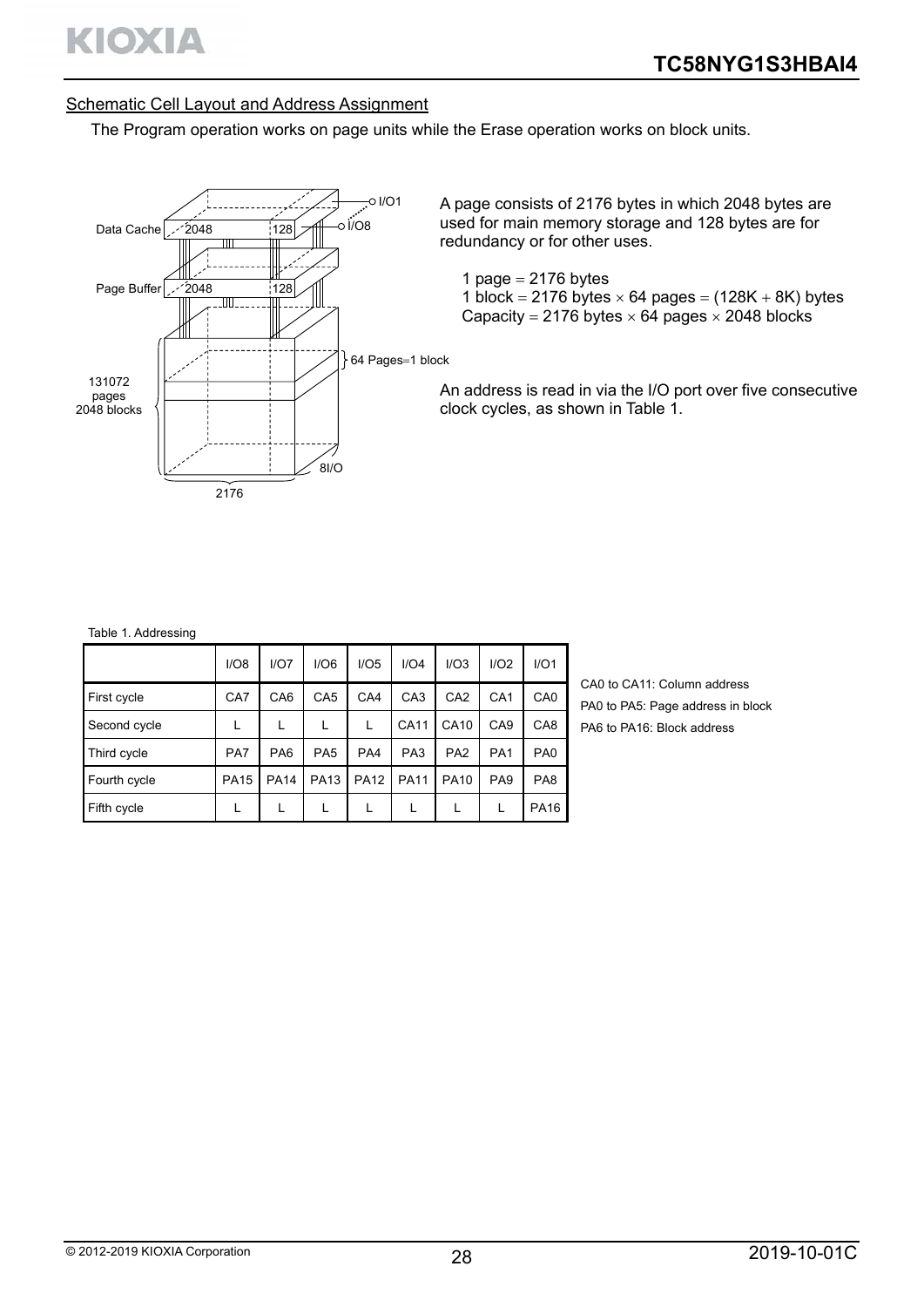# Schematic Cell Layout and Address Assignment

The Program operation works on page units while the Erase operation works on block units.



A page consists of 2176 bytes in which 2048 bytes are used for main memory storage and 128 bytes are for redundancy or for other uses.

1 page  $= 2176$  bytes

1 block = 2176 bytes  $\times$  64 pages = (128K + 8K) bytes Capacity = 2176 bytes  $\times$  64 pages  $\times$  2048 blocks

An address is read in via the I/O port over five consecutive clock cycles, as shown in Table 1.

#### Table 1. Addressing

|              | I/O8        | I/O7            | I/O6            | I/O5        | I/O4            | I/O3            | I/O2            | I/O1            |
|--------------|-------------|-----------------|-----------------|-------------|-----------------|-----------------|-----------------|-----------------|
| First cycle  | CA7         | CA <sub>6</sub> | CA <sub>5</sub> | CA4         | CA <sub>3</sub> | CA <sub>2</sub> | CA <sub>1</sub> | CA <sub>0</sub> |
| Second cycle |             |                 |                 |             | <b>CA11</b>     | CA10            | CA <sub>9</sub> | CA <sub>8</sub> |
| Third cycle  | PA7         | PA <sub>6</sub> | PA <sub>5</sub> | PA4         | PA <sub>3</sub> | PA <sub>2</sub> | PA <sub>1</sub> | PA <sub>0</sub> |
| Fourth cycle | <b>PA15</b> | <b>PA14</b>     | <b>PA13</b>     | <b>PA12</b> | <b>PA11</b>     | <b>PA10</b>     | PA <sub>9</sub> | PA <sub>8</sub> |
| Fifth cycle  |             |                 |                 |             |                 |                 |                 | <b>PA16</b>     |

CA0 to CA11: Column address PA0 to PA5: Page address in block PA6 to PA16: Block address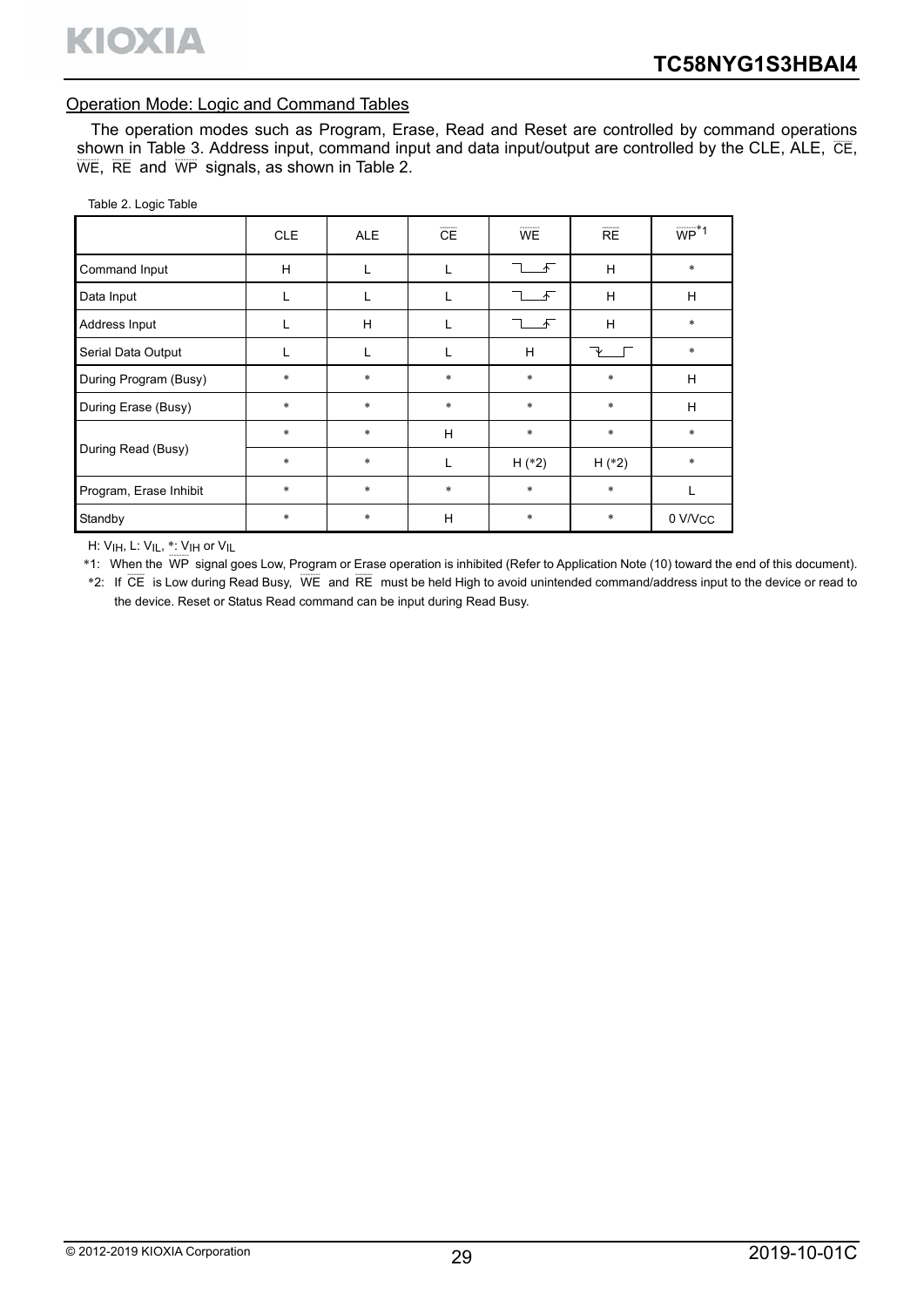#### Operation Mode: Logic and Command Tables

The operation modes such as Program, Erase, Read and Reset are controlled by command operations shown in Table 3. Address input, command input and data input/output are controlled by the CLE, ALE,  $\overline{\text{CE}}$ ,  $\overline{\text{WE}}$ ,  $\overline{\text{RE}}$  and  $\overline{\text{WP}}$  signals, as shown in Table 2.

| Table 2. Logic Table |  |  |
|----------------------|--|--|
|                      |  |  |

|                        | <b>CLE</b> | <b>ALE</b> | CE     | <b>WE</b>  | RE       | $\overline{WP}^*1$ |
|------------------------|------------|------------|--------|------------|----------|--------------------|
| Command Input          | H          |            |        | $\sqrt{ }$ | H        | $\ast$             |
| Data Input             |            | L          |        | 禾          | H        | H                  |
| Address Input          |            | H          |        | $\sqrt{ }$ | H        | $\ast$             |
| Serial Data Output     |            | L          | L      | H          |          | $\ast$             |
| During Program (Busy)  | $\ast$     | $\ast$     | $\ast$ | $\ast$     | $\ast$   | H                  |
| During Erase (Busy)    | $\ast$     | $\ast$     | $\ast$ | $\ast$     | $\ast$   | H                  |
|                        | $\ast$     | $\ast$     | H      | $\ast$     | $\ast$   | $\ast$             |
| During Read (Busy)     | $\ast$     | $\ast$     | L      | $H$ (*2)   | $H$ (*2) | $\ast$             |
| Program, Erase Inhibit | $\ast$     | $\ast$     | $\ast$ | *          | $\ast$   | L                  |
| Standby                | $\ast$     | *          | H      | $\ast$     | $\ast$   | 0 V/Vcc            |

H: VIH, L: VIL, \*: VIH or VIL

\*1: When the WP signal goes Low, Program or Erase operation is inhibited (Refer to Application Note (10) toward the end of this document).

\*2: If CE is Low during Read Busy, WE and RE must be held High to avoid unintended command/address input to the device or read to the device. Reset or Status Read command can be input during Read Busy.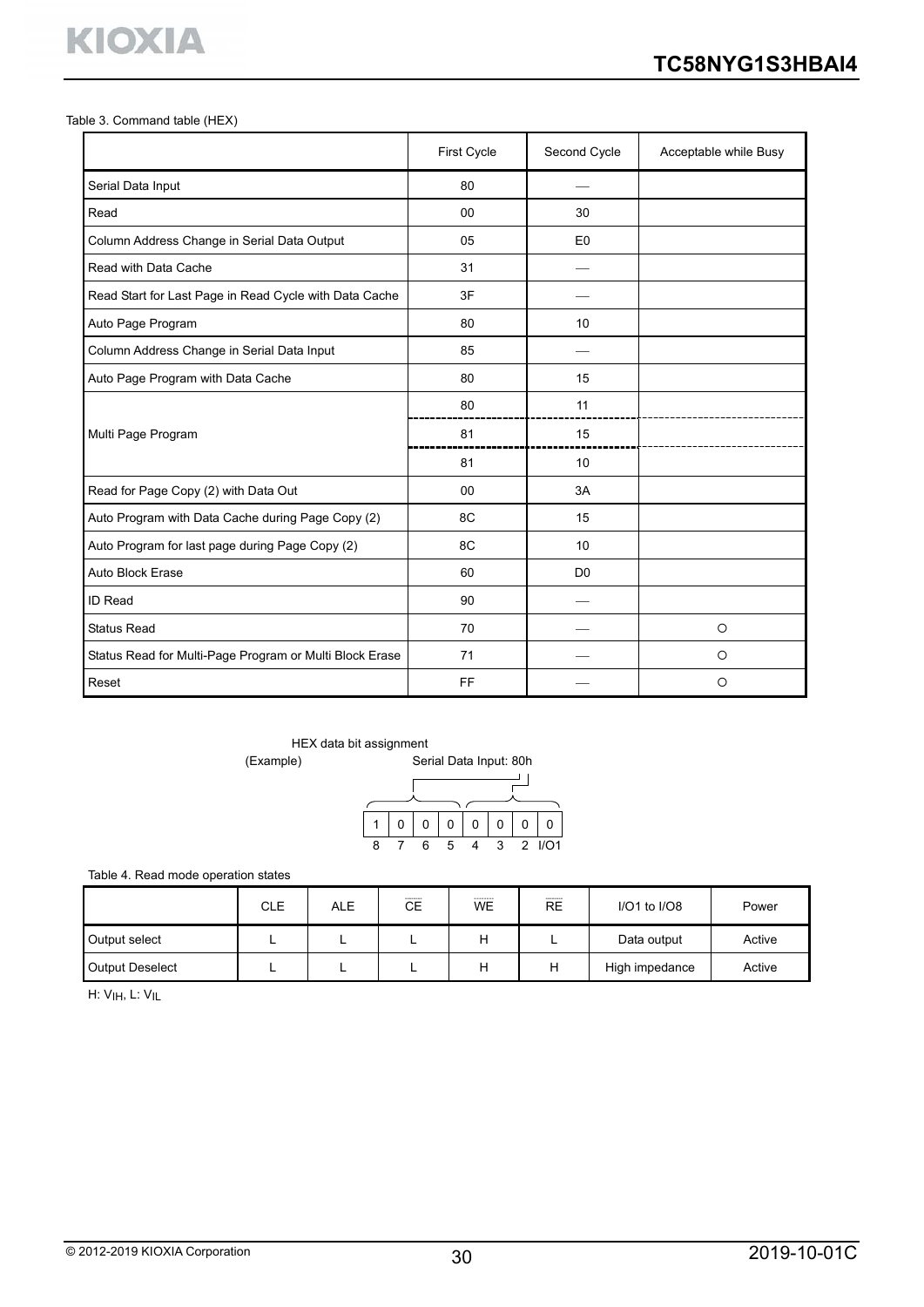Table 3. Command table (HEX)

**KIOXIA** 

|                                                         | First Cycle | Second Cycle   | Acceptable while Busy |
|---------------------------------------------------------|-------------|----------------|-----------------------|
| Serial Data Input                                       | 80          |                |                       |
| Read                                                    | 00          | 30             |                       |
| Column Address Change in Serial Data Output             | 05          | E <sub>0</sub> |                       |
| Read with Data Cache                                    | 31          |                |                       |
| Read Start for Last Page in Read Cycle with Data Cache  | 3F          |                |                       |
| Auto Page Program                                       | 80          | 10             |                       |
| Column Address Change in Serial Data Input              | 85          |                |                       |
| Auto Page Program with Data Cache                       | 80          | 15             |                       |
|                                                         | 80          | 11             |                       |
| Multi Page Program                                      | 81          | 15             |                       |
|                                                         | 81          | 10             |                       |
| Read for Page Copy (2) with Data Out                    | 00          | 3A             |                       |
| Auto Program with Data Cache during Page Copy (2)       | 8C          | 15             |                       |
| Auto Program for last page during Page Copy (2)         | 8C          | 10             |                       |
| Auto Block Erase                                        | 60          | D <sub>0</sub> |                       |
| <b>ID Read</b>                                          | 90          |                |                       |
| <b>Status Read</b>                                      | 70          |                | $\circ$               |
| Status Read for Multi-Page Program or Multi Block Erase | 71          |                | $\circ$               |
| Reset                                                   | FF          |                | $\circ$               |

HEX data bit assignment

(Example)

|                       | ັ<br>Serial Data Input: 80h |  |  |  |  |   |  |  |  |  |
|-----------------------|-----------------------------|--|--|--|--|---|--|--|--|--|
|                       |                             |  |  |  |  |   |  |  |  |  |
| 0<br>0<br>O<br>0<br>ი |                             |  |  |  |  |   |  |  |  |  |
|                       |                             |  |  |  |  | 2 |  |  |  |  |

Table 4. Read mode operation states

|                        | <b>CLE</b> | ALE | --------<br>CЕ | ---------<br><b>WE</b> | --------<br><b>RE</b> | $I/O1$ to $I/O8$ | Power  |
|------------------------|------------|-----|----------------|------------------------|-----------------------|------------------|--------|
| Output select          | -          |     |                |                        |                       | Data output      | Active |
| <b>Output Deselect</b> |            |     |                |                        | Н                     | High impedance   | Active |

H: VIH, L: VIL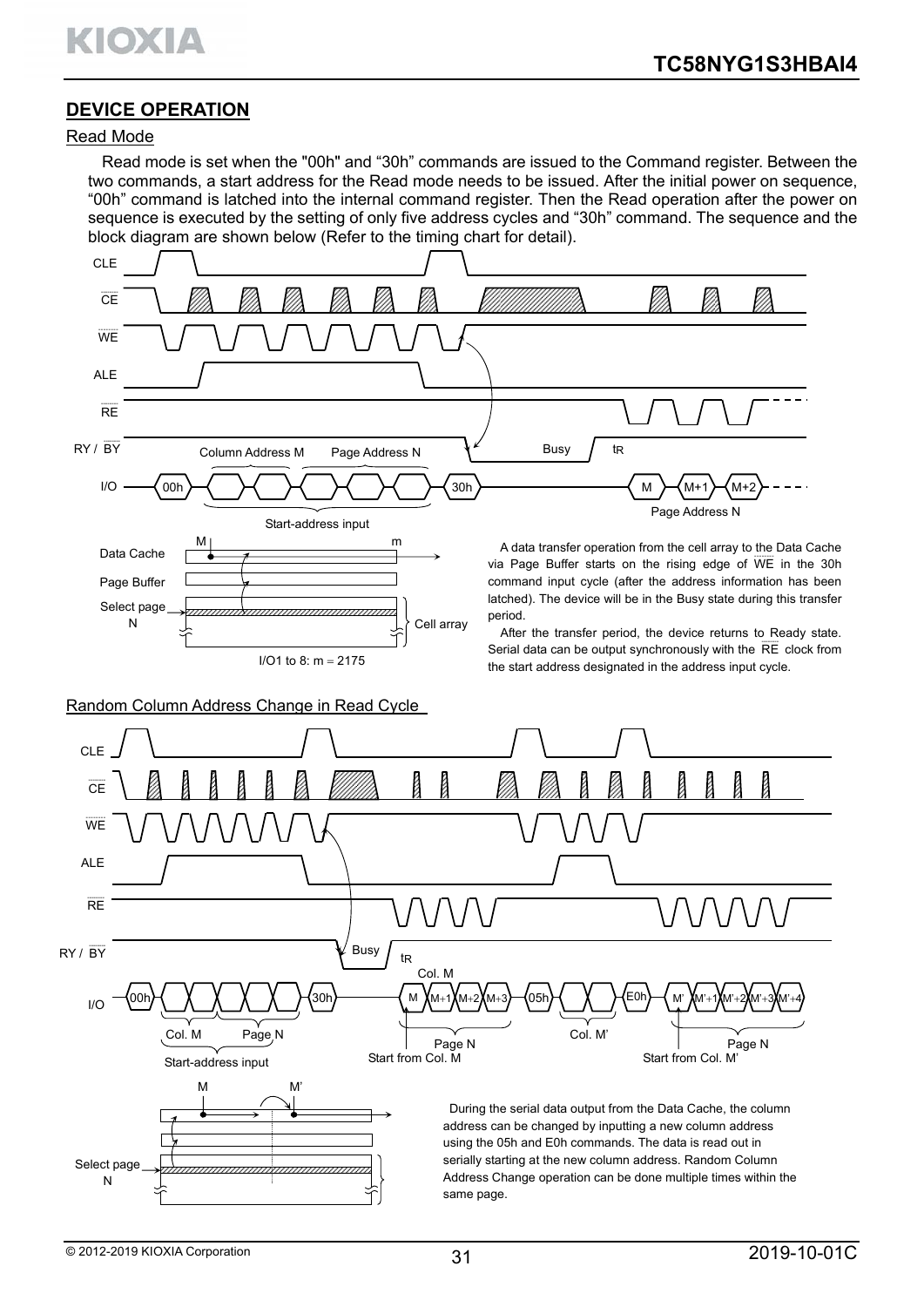# **DEVICE OPERATION**

#### Read Mode

Read mode is set when the "00h" and "30h" commands are issued to the Command register. Between the two commands, a start address for the Read mode needs to be issued. After the initial power on sequence, "00h" command is latched into the internal command register. Then the Read operation after the power on sequence is executed by the setting of only five address cycles and "30h" command. The sequence and the block diagram are shown below (Refer to the timing chart for detail).

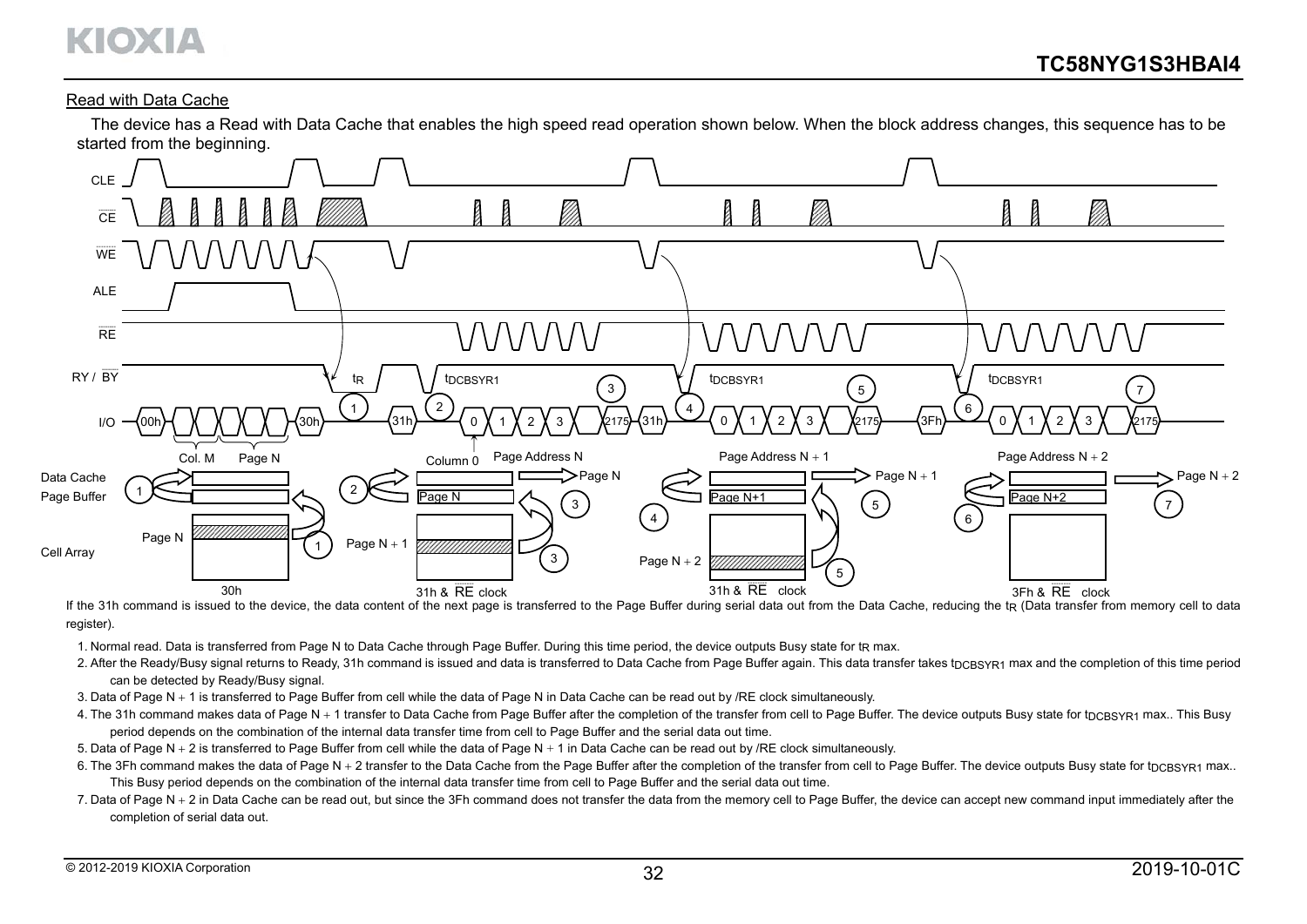# KIOXIA

#### Read with Data Cache

The device has a Read with Data Cache that enables the high speed read operation shown below. When the block address changes, this sequence has to be started from the beginning.



If the 31h command is issued to the device, the data content of the next page is transferred to the Page Buffer during serial data out from the Data Cache, reducing the tR (Data transfer from memory cell to data register).

1. Normal read. Data is transferred from Page N to Data Cache through Page Buffer. During this time period, the device outputs Busy state for tra max.

- 2. After the Ready/Busy signal returns to Ready, 31h command is issued and data is transferred to Data Cache from Page Buffer again. This data transfer takes tnc BSYR1 max and the completion of this time period can be detected by Ready/Busy signal.
- 3. Data of Page N 1 is transferred to Page Buffer from cell while the data of Page N in Data Cache can be read out by /RE clock simultaneously.
- 4. The 31h command makes data of Page N + 1 transfer to Data Cache from Page Buffer after the completion of the transfer from cell to Page Buffer. The device outputs Busy state for t<sub>DCBSYR1</sub> max.. This Busy period depends on the combination of the internal data transfer time from cell to Page Buffer and the serial data out time.
- 5. Data of Page N  $+$  2 is transferred to Page Buffer from cell while the data of Page N  $+$  1 in Data Cache can be read out by /RE clock simultaneously.
- 6. The 3Fh command makes the data of Page N + 2 transfer to the Data Cache from the Page Buffer after the completion of the transfer from cell to Page Buffer. The device outputs Busy state for tpc BSYR1 max.. This Busy period depends on the combination of the internal data transfer time from cell to Page Buffer and the serial data out time.
- 7. Data of Page N + 2 in Data Cache can be read out, but since the 3Fh command does not transfer the data from the memory cell to Page Buffer, the device can accept new command input immediately after the completion of serial data out.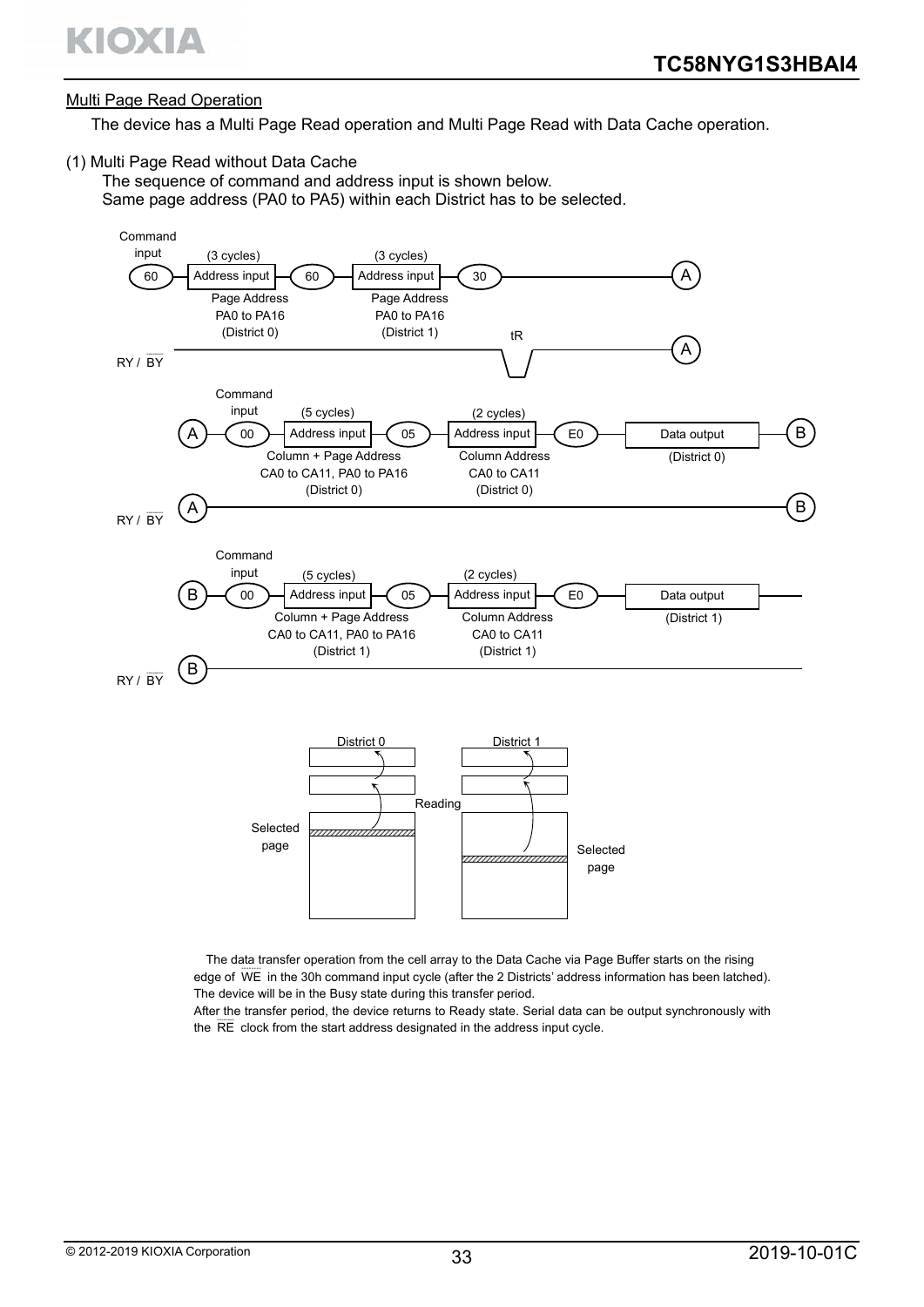### Multi Page Read Operation

The device has a Multi Page Read operation and Multi Page Read with Data Cache operation.

(1) Multi Page Read without Data Cache

The sequence of command and address input is shown below. Same page address (PA0 to PA5) within each District has to be selected.



The data transfer operation from the cell array to the Data Cache via Page Buffer starts on the rising edge of WE in the 30h command input cycle (after the 2 Districts' address information has been latched). The device will be in the Busy state during this transfer period.

After the transfer period, the device returns to Ready state. Serial data can be output synchronously with the RE-clock from the start address designated in the address input cycle.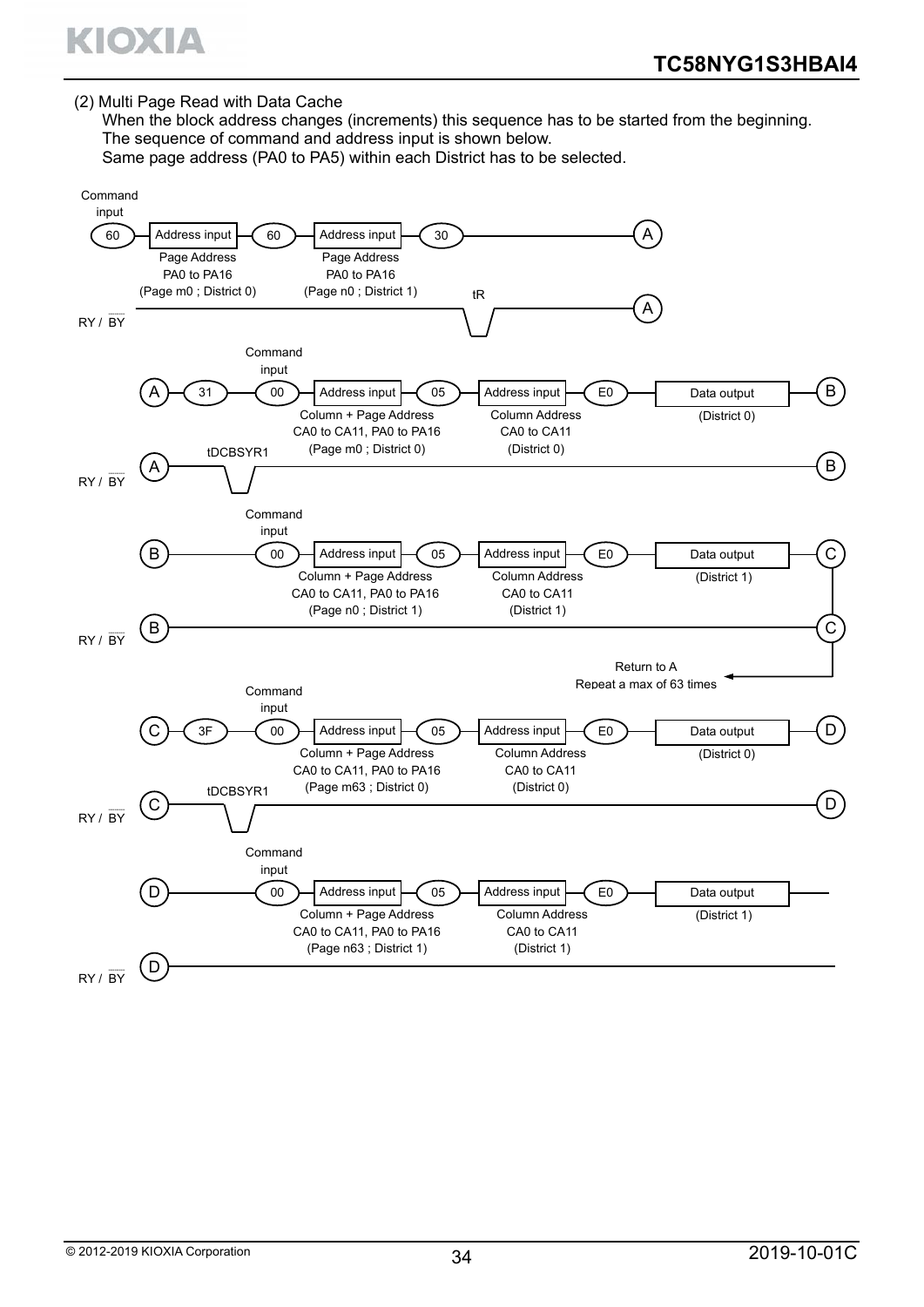

(2) Multi Page Read with Data Cache

When the block address changes (increments) this sequence has to be started from the beginning. The sequence of command and address input is shown below.

Same page address (PA0 to PA5) within each District has to be selected.

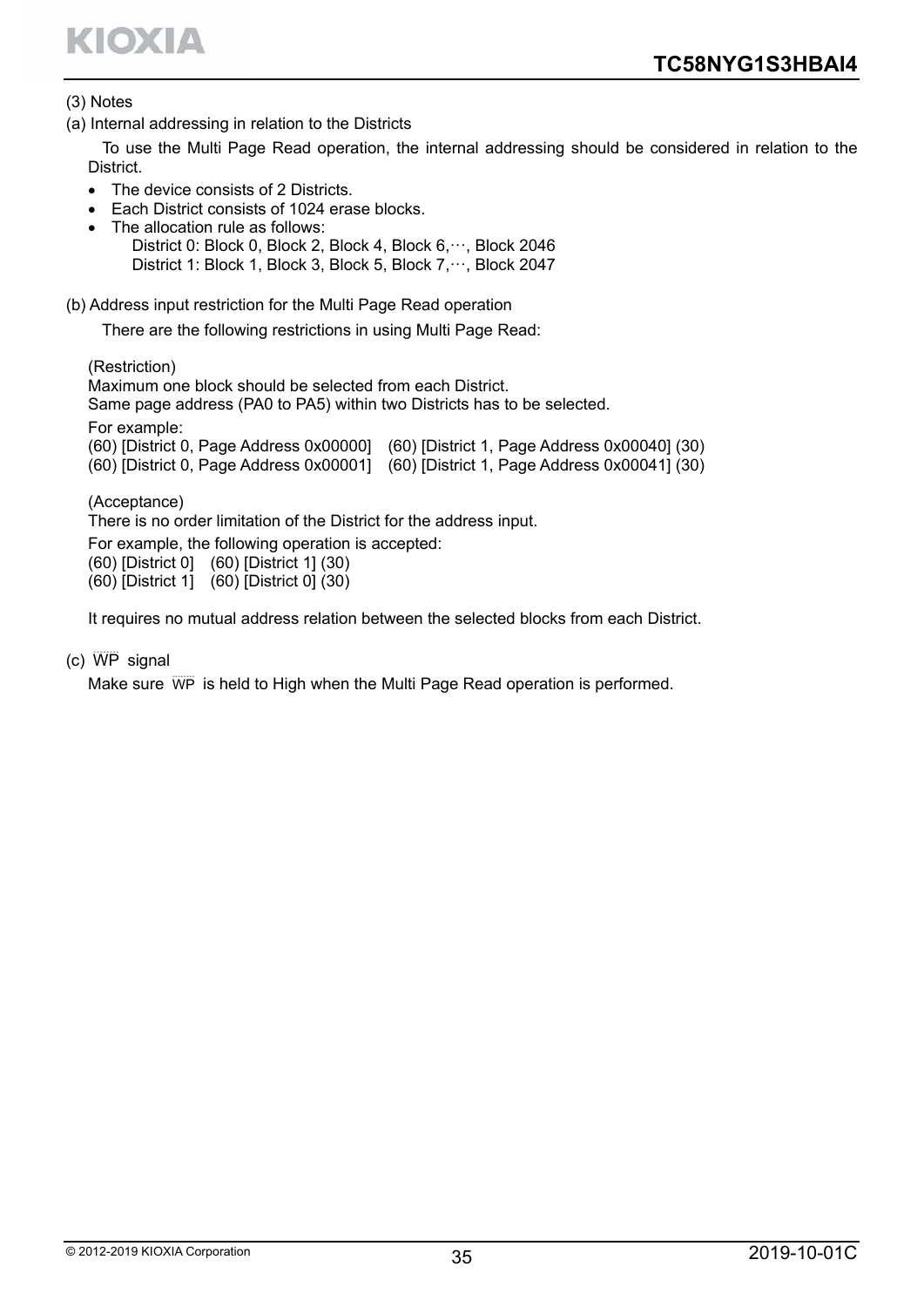

#### (3) Notes

(a) Internal addressing in relation to the Districts

To use the Multi Page Read operation, the internal addressing should be considered in relation to the **District** 

- The device consists of 2 Districts.
- Each District consists of 1024 erase blocks.
- The allocation rule as follows:

District 0: Block 0, Block 2, Block 4, Block 6, ··· , Block 2046 District 1: Block 1, Block 3, Block 5, Block 7, ···, Block 2047

(b) Address input restriction for the Multi Page Read operation

There are the following restrictions in using Multi Page Read:

(Restriction)

Maximum one block should be selected from each District.

Same page address (PA0 to PA5) within two Districts has to be selected.

For example:

| (60) [District 0, Page Address 0x00000] (60) [District 1, Page Address 0x00040] (30) |
|--------------------------------------------------------------------------------------|
| (60) [District 0, Page Address 0x00001] (60) [District 1, Page Address 0x00041] (30) |

(Acceptance)

There is no order limitation of the District for the address input.

For example, the following operation is accepted:

(60) [District 0] (60) [District 1] (30)

 $(60)$  [District 1]  $(60)$  [District 0]  $(30)$ 

It requires no mutual address relation between the selected blocks from each District.

 $(c)$  WP signal

Make sure WP is held to High when the Multi Page Read operation is performed.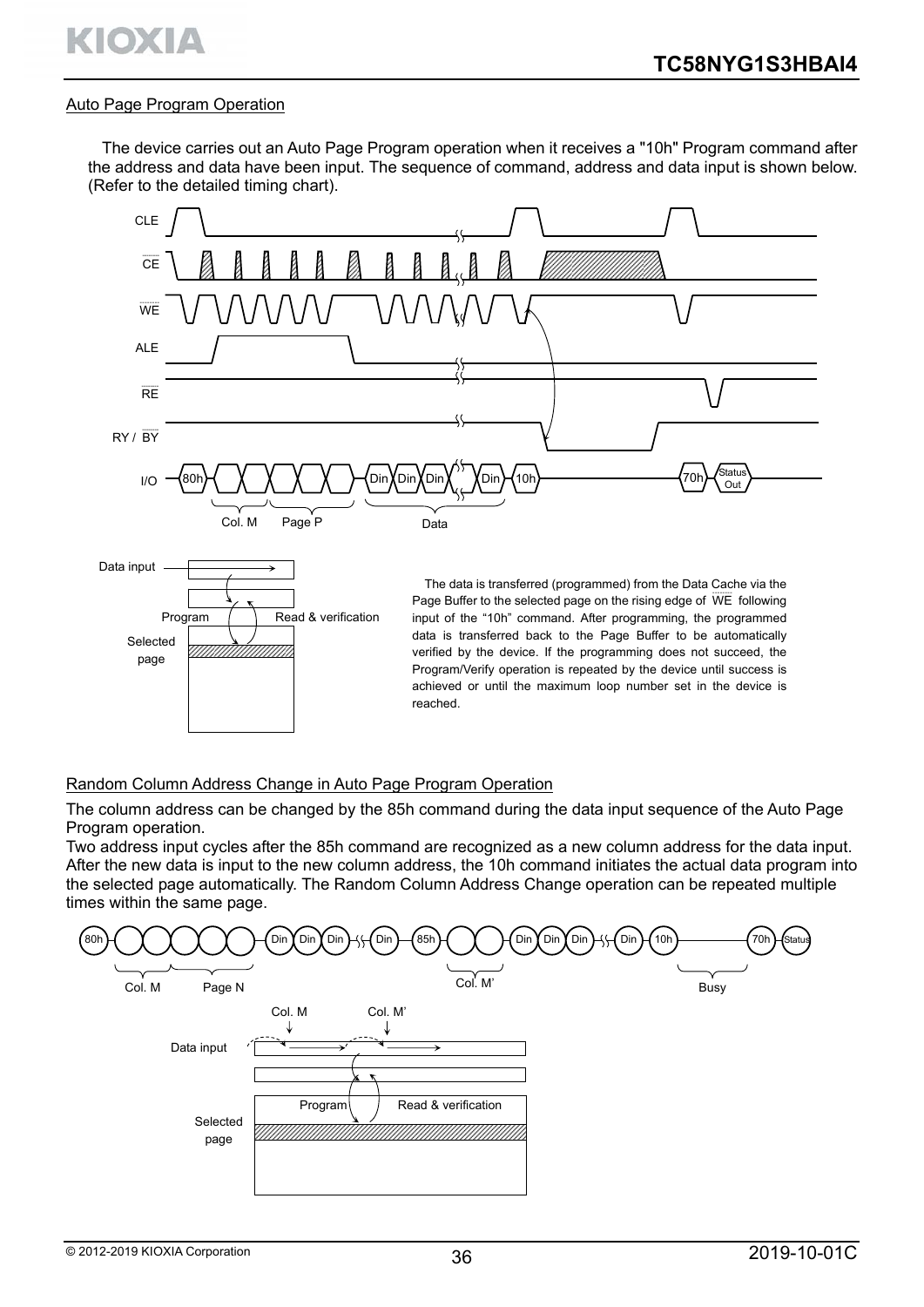#### Auto Page Program Operation

The device carries out an Auto Page Program operation when it receives a "10h" Program command after the address and data have been input. The sequence of command, address and data input is shown below. (Refer to the detailed timing chart).



#### Random Column Address Change in Auto Page Program Operation

The column address can be changed by the 85h command during the data input sequence of the Auto Page Program operation.

Two address input cycles after the 85h command are recognized as a new column address for the data input. After the new data is input to the new column address, the 10h command initiates the actual data program into the selected page automatically. The Random Column Address Change operation can be repeated multiple times within the same page.

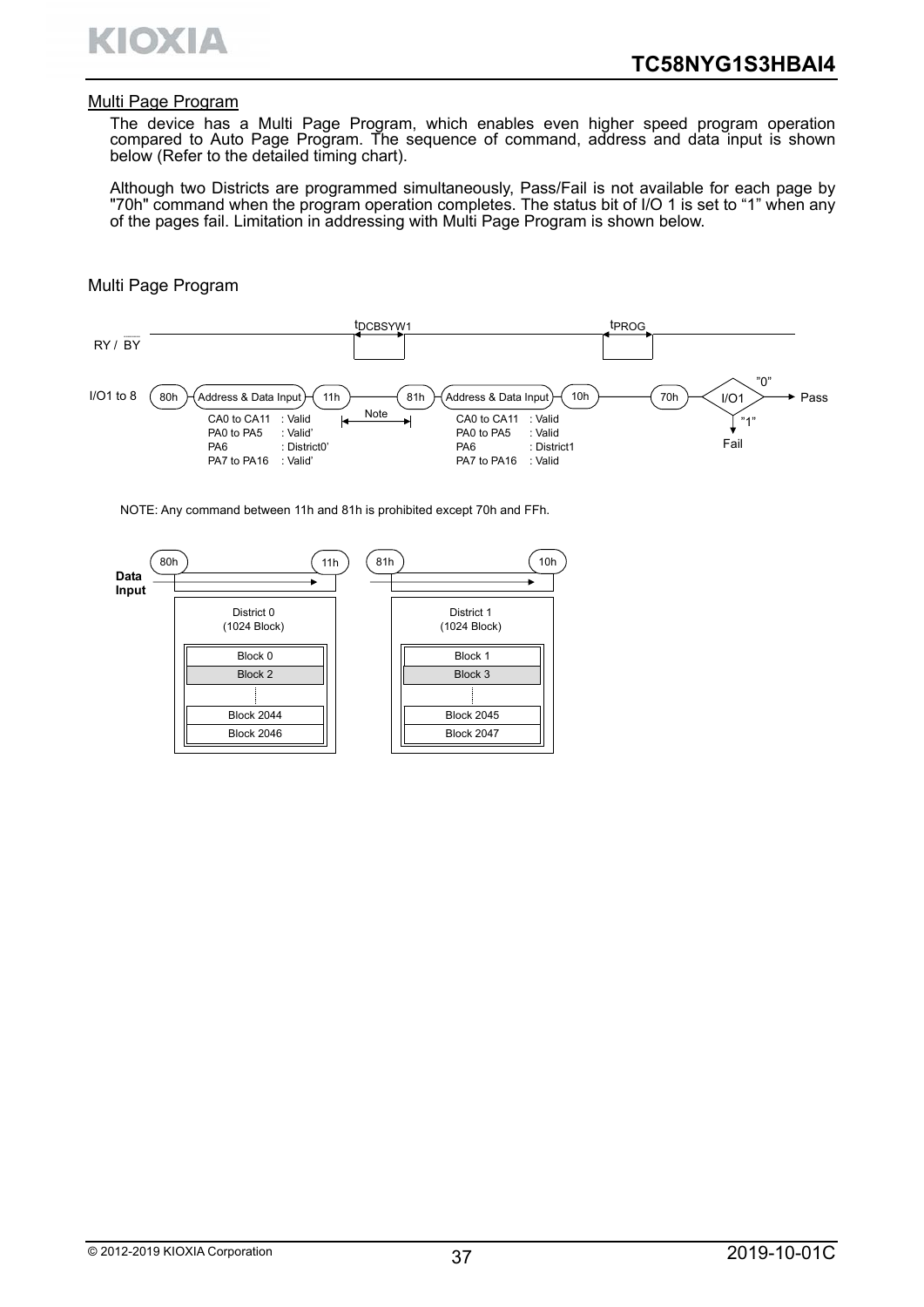

#### Multi Page Program

The device has a Multi Page Program, which enables even higher speed program operation compared to Auto Page Program. The sequence of command, address and data input is shown below (Refer to the detailed timing chart).

Although two Districts are programmed simultaneously, Pass/Fail is not available for each page by "70h" command when the program operation completes. The status bit of I/O 1 is set to "1" when any of the pages fail. Limitation in addressing with Multi Page Program is shown below.

#### Multi Page Program



NOTE: Any command between 11h and 81h is prohibited except 70h and FFh.

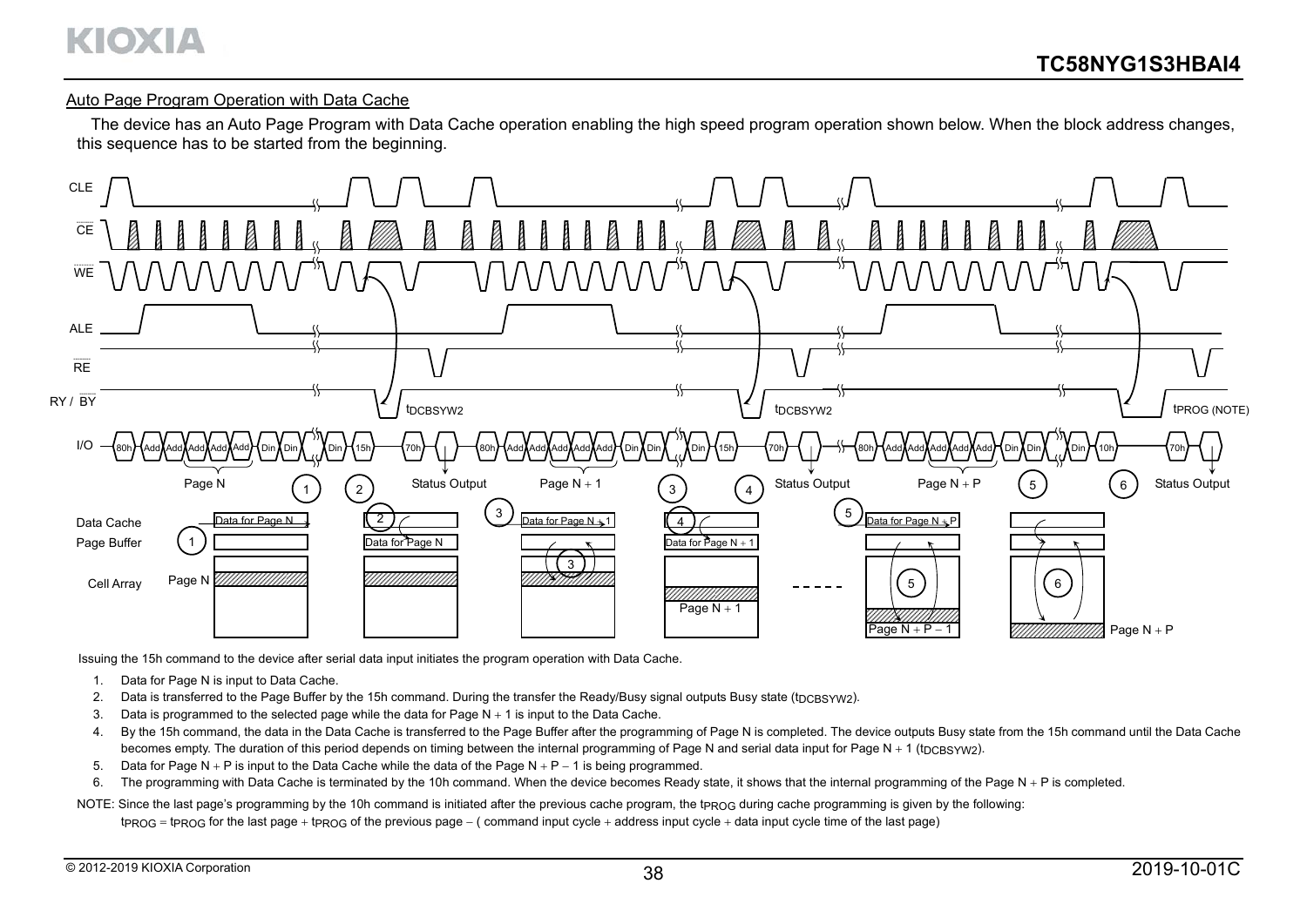# KIOXIA

#### Auto Page Program Operation with Data Cache

The device has an Auto Page Program with Data Cache operation enabling the high speed program operation shown below. When the block address changes, this sequence has to be started from the beginning.



Issuing the 15h command to the device after serial data input initiates the program operation with Data Cache.

- 1. Data for Page N is input to Data Cache.
- 2. Data is transferred to the Page Buffer by the 15h command. During the transfer the Ready/Busy signal outputs Busy state (tpc BSYW2).
- 3. Data is programmed to the selected page while the data for Page  $N + 1$  is input to the Data Cache.
- 4. By the 15h command, the data in the Data Cache is transferred to the Page Buffer after the programming of Page N is completed. The device outputs Busy state from the 15h command until the Data Cache becomes empty. The duration of this period depends on timing between the internal programming of Page N and serial data input for Page N + 1 (tpcBSYW2).
- 5. Data for Page N  $+$  P is input to the Data Cache while the data of the Page N  $+$  P  $-$  1 is being programmed.
- 6. The programming with Data Cache is terminated by the 10h command. When the device becomes Ready state, it shows that the internal programming of the Page N + P is completed.
- NOTE: Since the last page's programming by the 10h command is initiated after the previous cache program, the t<sub>PROG</sub> during cache programming is given by the following:
	- $t_{PROG}$  =  $t_{PROG}$  for the last page +  $t_{PROG}$  of the previous page ( command input cycle + address input cycle + data input cycle time of the last page)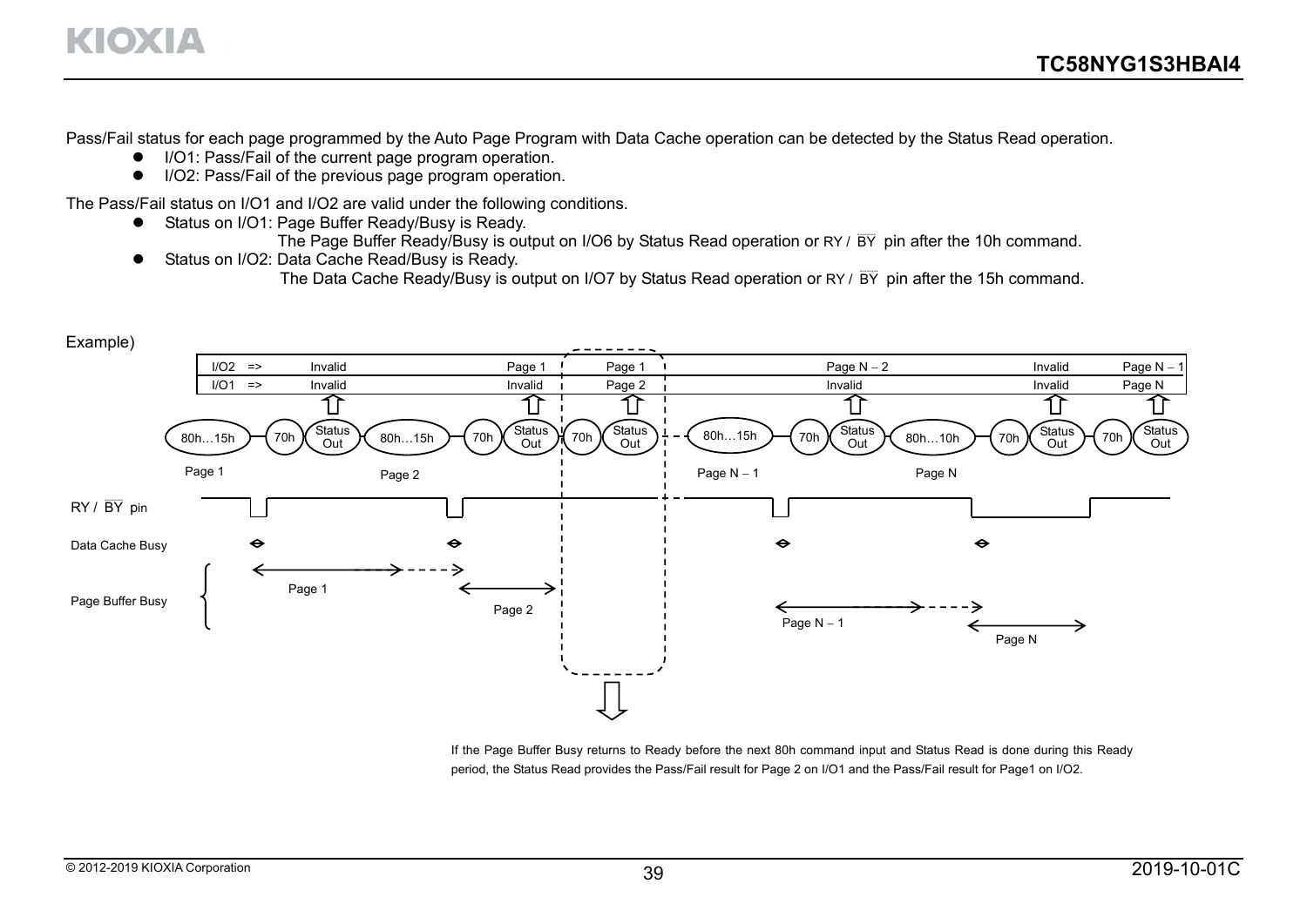Pass/Fail status for each page programmed by the Auto Page Program with Data Cache operation can be detected by the Status Read operation.

- I/O1: Pass/Fail of the current page program operation.
- I/O2: Pass/Fail of the previous page program operation.

The Pass/Fail status on I/O1 and I/O2 are valid under the following conditions.

- Status on I/O1: Page Buffer Ready/Busy is Ready.
	- The Page Buffer Ready/Busy is output on I/O6 by Status Read operation or RY /  $\overline{\text{BY}}$  pin after the 10h command.
- Status on I/O2: Data Cache Read/Busy is Ready.

The Data Cache Ready/Busy is output on I/O7 by Status Read operation or RY /  $\overline{BY}$  pin after the 15h command.



If the Page Buffer Busy returns to Ready before the next 80h command input and Status Read is done during this Ready period, the Status Read provides the Pass/Fail result for Page 2 on I/O1 and the Pass/Fail result for Page1 on I/O2.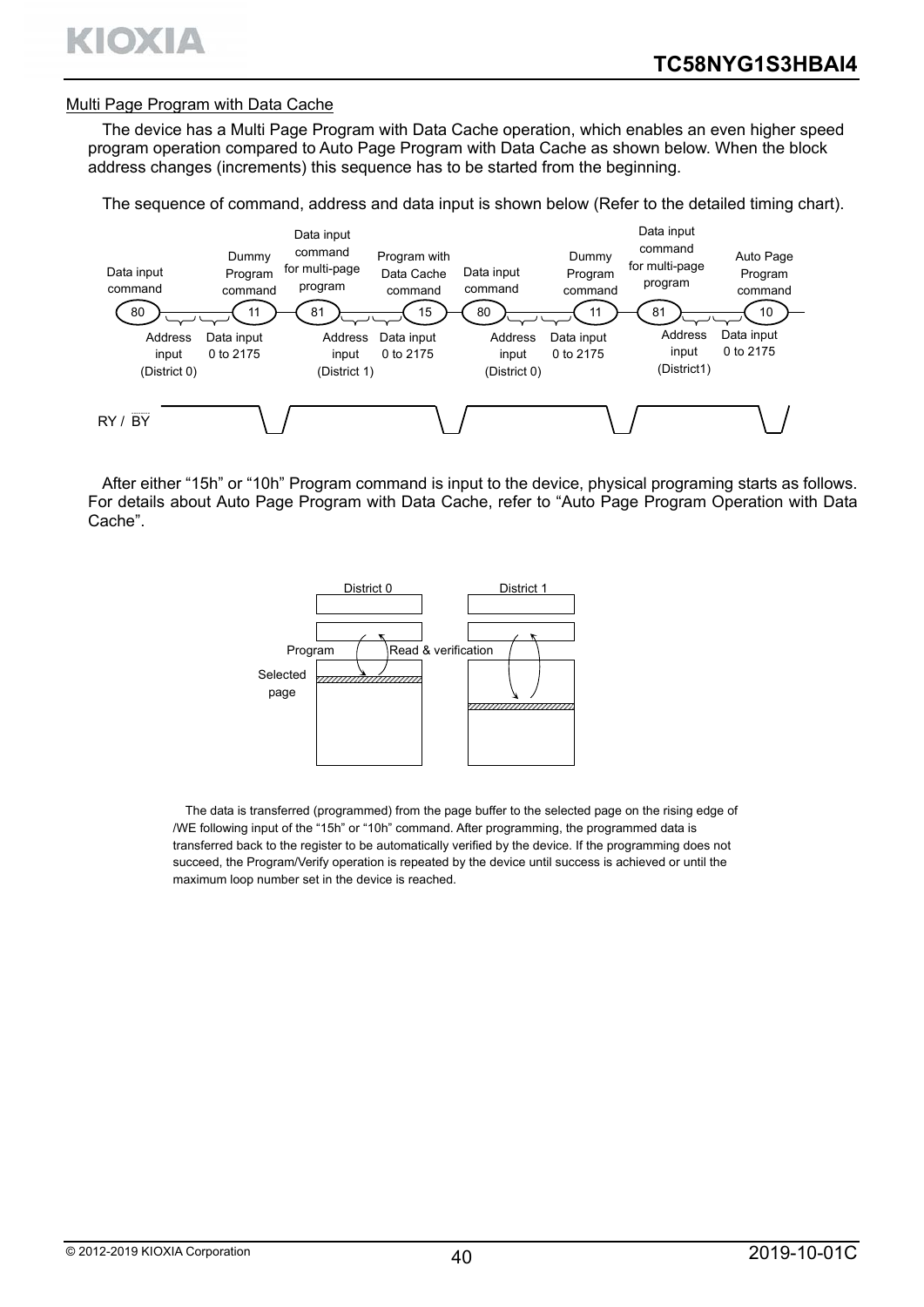

#### Multi Page Program with Data Cache

The device has a Multi Page Program with Data Cache operation, which enables an even higher speed program operation compared to Auto Page Program with Data Cache as shown below. When the block address changes (increments) this sequence has to be started from the beginning.

The sequence of command, address and data input is shown below (Refer to the detailed timing chart).



After either "15h" or "10h" Program command is input to the device, physical programing starts as follows. For details about Auto Page Program with Data Cache, refer to "Auto Page Program Operation with Data Cache".



The data is transferred (programmed) from the page buffer to the selected page on the rising edge of /WE following input of the "15h" or "10h" command. After programming, the programmed data is transferred back to the register to be automatically verified by the device. If the programming does not succeed, the Program/Verify operation is repeated by the device until success is achieved or until the maximum loop number set in the device is reached.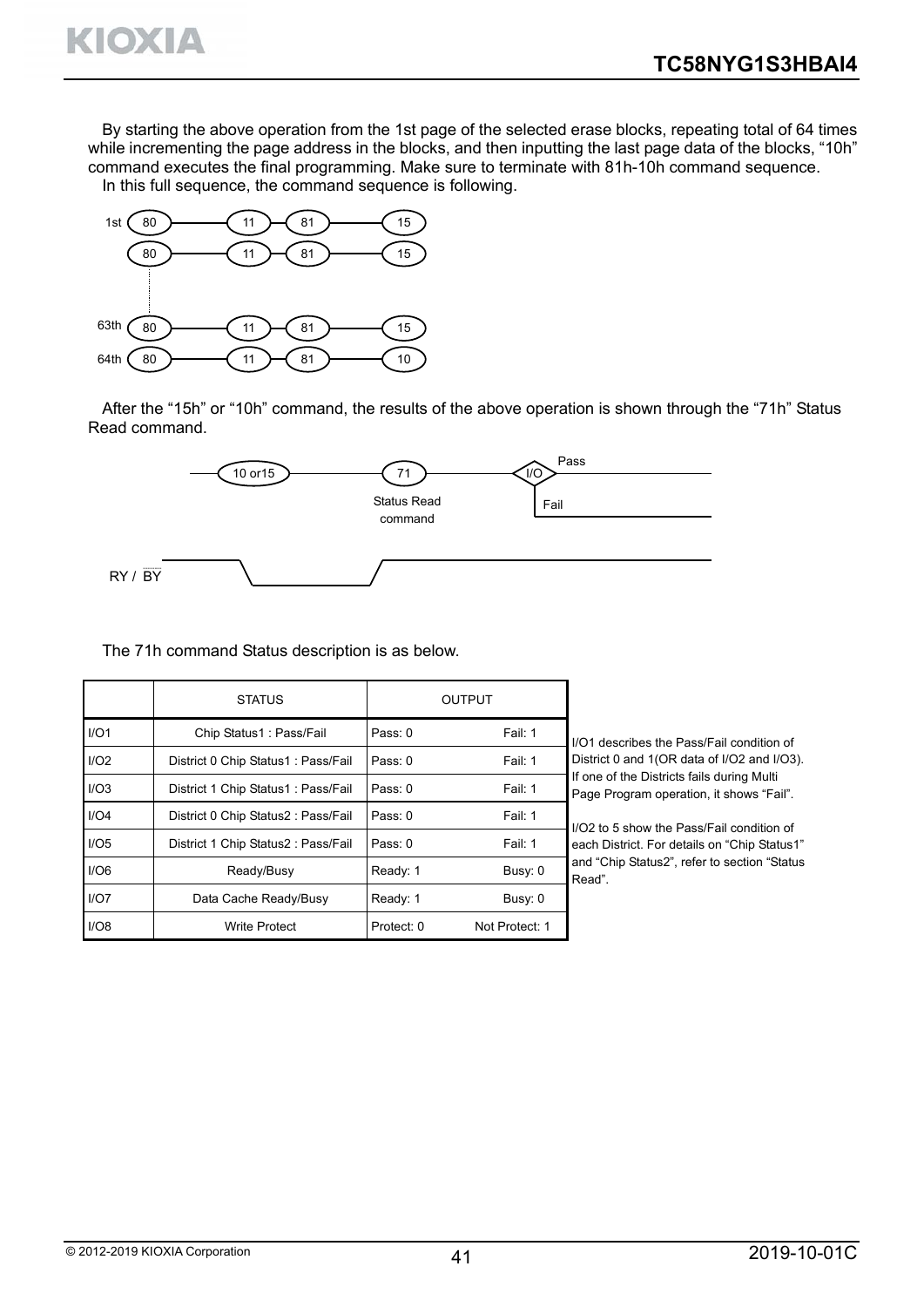By starting the above operation from the 1st page of the selected erase blocks, repeating total of 64 times while incrementing the page address in the blocks, and then inputting the last page data of the blocks, "10h" command executes the final programming. Make sure to terminate with 81h-10h command sequence. In this full sequence, the command sequence is following.



KIOXIA

After the "15h" or "10h" command, the results of the above operation is shown through the "71h" Status Read command.



The 71h command Status description is as below.

|      | <b>STATUS</b>                      |            | <b>OUTPUT</b>  |                                                                                        |
|------|------------------------------------|------------|----------------|----------------------------------------------------------------------------------------|
| I/O1 | Chip Status1: Pass/Fail            | Pass: 0    | Fail: 1        | I/O1 describes the Pass/Fail condition of                                              |
| I/O2 | District 0 Chip Status1: Pass/Fail | Pass: 0    | Fail: 1        | District 0 and 1(OR data of I/O2 and I/O3).                                            |
| I/O3 | District 1 Chip Status1: Pass/Fail | Pass: 0    | Fail: 1        | If one of the Districts fails during Multi<br>Page Program operation, it shows "Fail". |
| I/O4 | District 0 Chip Status2: Pass/Fail | Pass: 0    | Fail: 1        | I/O2 to 5 show the Pass/Fail condition of                                              |
| I/O5 | District 1 Chip Status2: Pass/Fail | Pass: 0    | Fail: 1        | each District. For details on "Chip Status1"                                           |
| I/O6 | Ready/Busy                         | Ready: 1   | Busy: 0        | and "Chip Status2", refer to section "Status<br>Read".                                 |
| I/O7 | Data Cache Ready/Busy              | Ready: 1   | Busy: 0        |                                                                                        |
| I/O8 | <b>Write Protect</b>               | Protect: 0 | Not Protect: 1 |                                                                                        |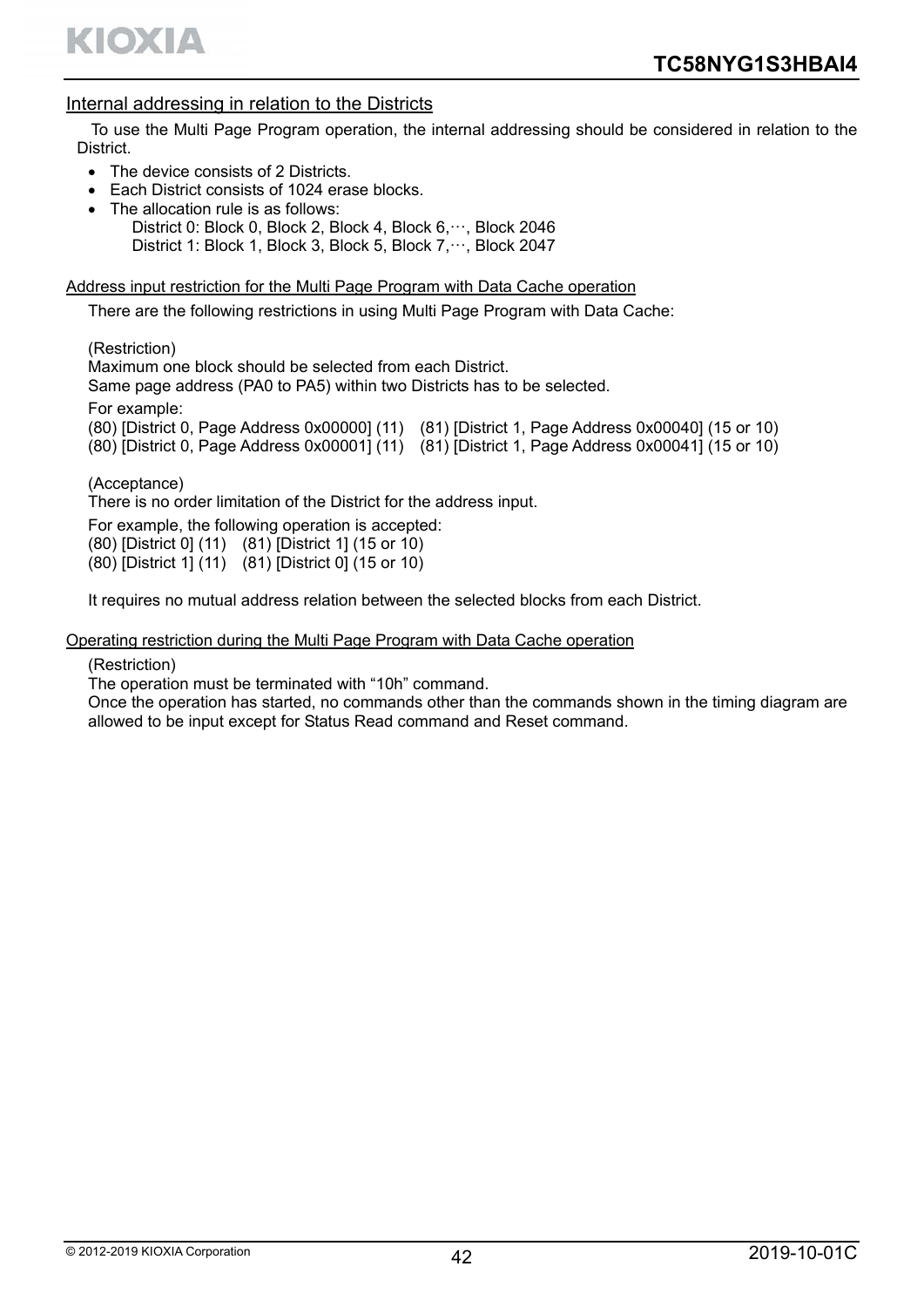

## Internal addressing in relation to the Districts

To use the Multi Page Program operation, the internal addressing should be considered in relation to the District.

- The device consists of 2 Districts.
- Each District consists of 1024 erase blocks.
- The allocation rule is as follows:
	- District 0: Block 0, Block 2, Block 4, Block 6, ···, Block 2046 District 1: Block 1, Block 3, Block 5, Block 7, ···, Block 2047

#### Address input restriction for the Multi Page Program with Data Cache operation

There are the following restrictions in using Multi Page Program with Data Cache:

(Restriction)

Maximum one block should be selected from each District.

Same page address (PA0 to PA5) within two Districts has to be selected.

For example:

(80) [District 0, Page Address 0x00000] (11) (81) [District 1, Page Address 0x00040] (15 or 10)

(80) [District 0, Page Address 0x00001] (11) (81) [District 1, Page Address 0x00041] (15 or 10)

(Acceptance)

There is no order limitation of the District for the address input.

For example, the following operation is accepted:

(80) [District 0] (11) (81) [District 1] (15 or 10)

(80) [District 1] (11) (81) [District 0] (15 or 10)

It requires no mutual address relation between the selected blocks from each District.

#### Operating restriction during the Multi Page Program with Data Cache operation

#### (Restriction)

The operation must be terminated with "10h" command.

Once the operation has started, no commands other than the commands shown in the timing diagram are allowed to be input except for Status Read command and Reset command.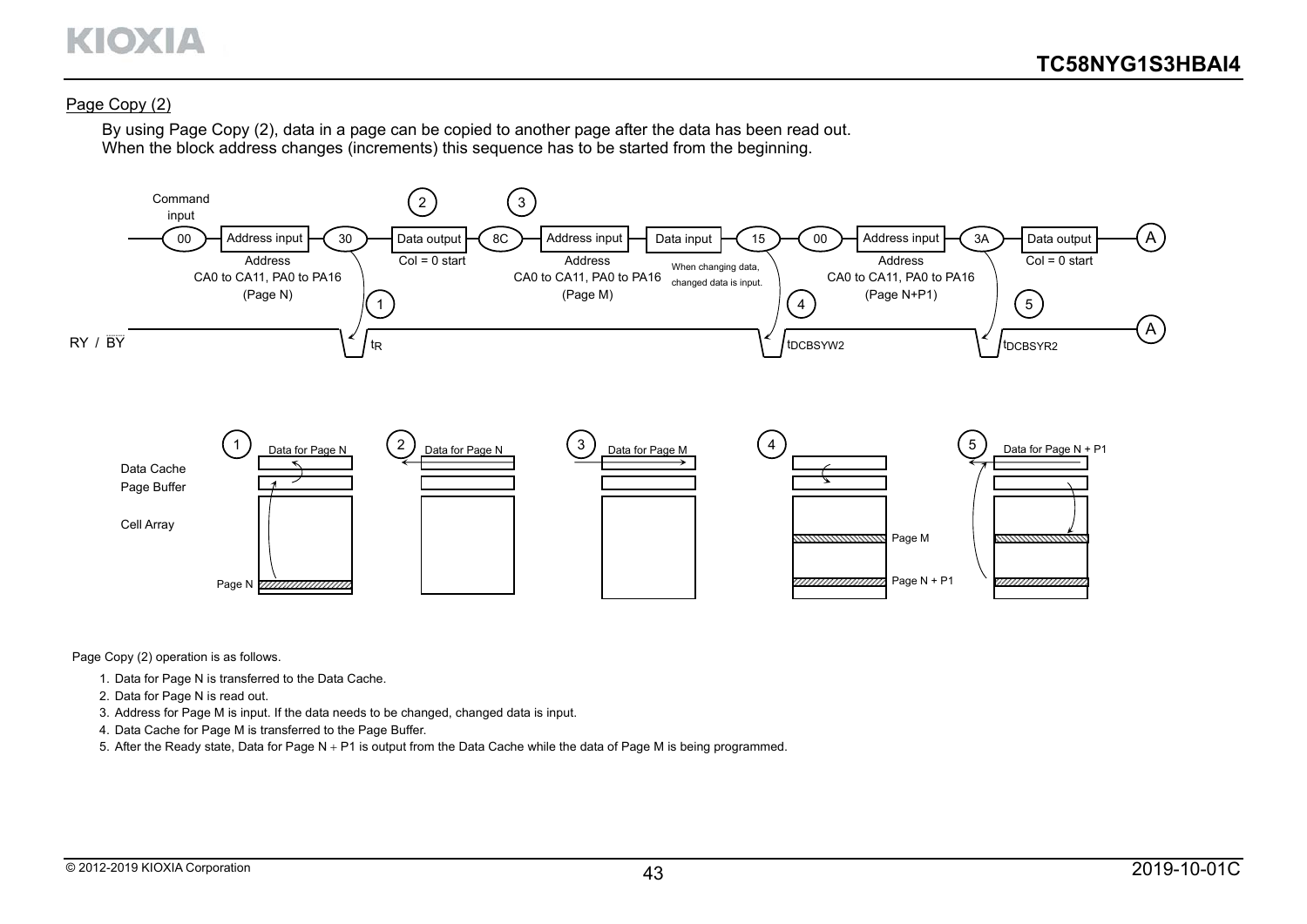#### Page Copy (2)

By using Page Copy (2), data in a page can be copied to another page after the data has been read out. When the block address changes (increments) this sequence has to be started from the beginning.



Page Copy (2) operation is as follows.

- 1. Data for Page N is transferred to the Data Cache.
- 2. Data for Page N is read out.
- 3. Address for Page M is input. If the data needs to be changed, changed data is input.
- 4. Data Cache for Page M is transferred to the Page Buffer.
- 5. After the Ready state, Data for Page  $N + P1$  is output from the Data Cache while the data of Page M is being programmed.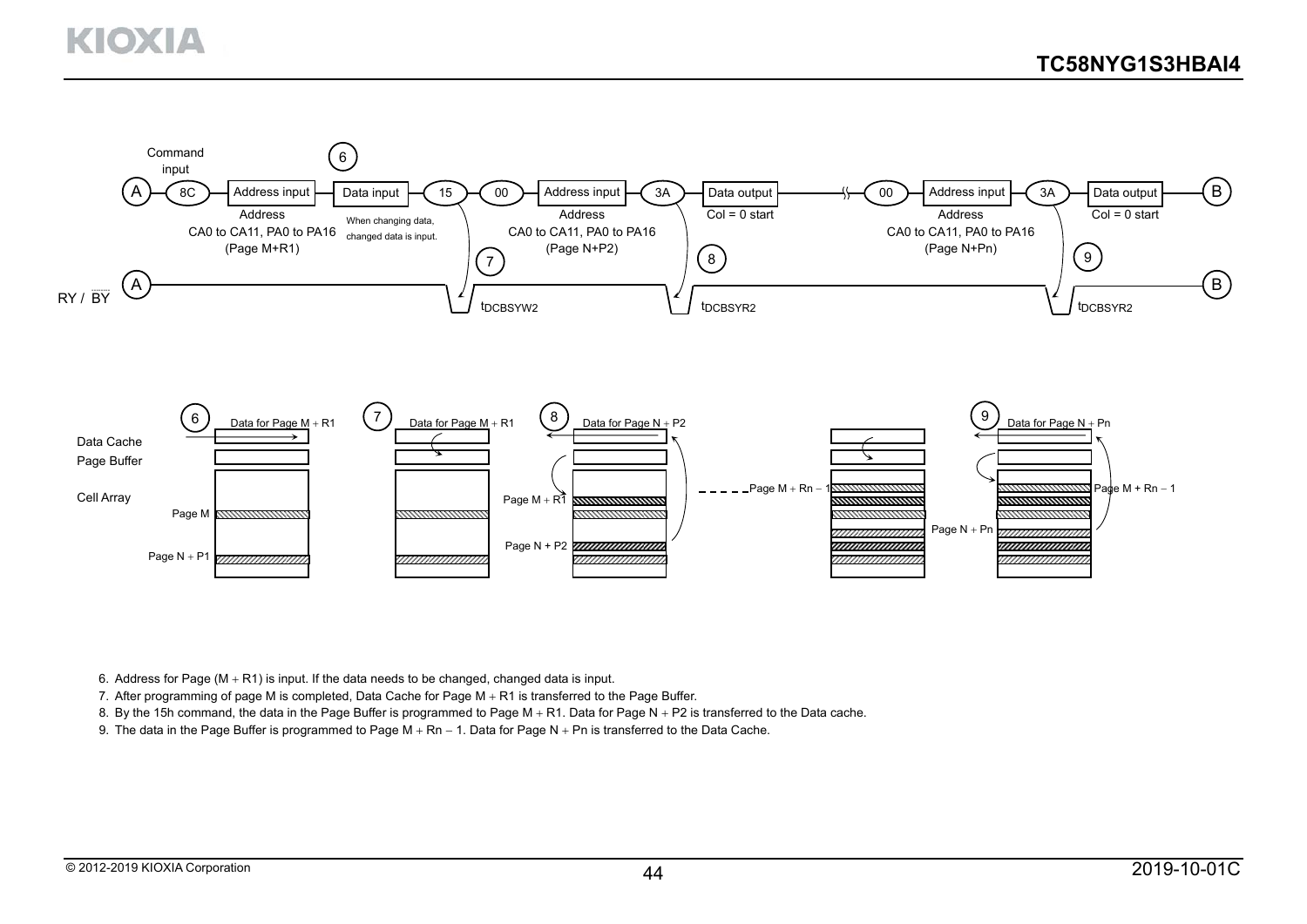

6. Address for Page  $(M + R1)$  is input. If the data needs to be changed, changed data is input.

7. After programming of page M is completed, Data Cache for Page M  $+$  R1 is transferred to the Page Buffer.

8. By the 15h command, the data in the Page Buffer is programmed to Page M  $+$  R1. Data for Page N  $+$  P2 is transferred to the Data cache.

9. The data in the Page Buffer is programmed to Page M  $+$  Rn  $-$  1. Data for Page N  $+$  Pn is transferred to the Data Cache.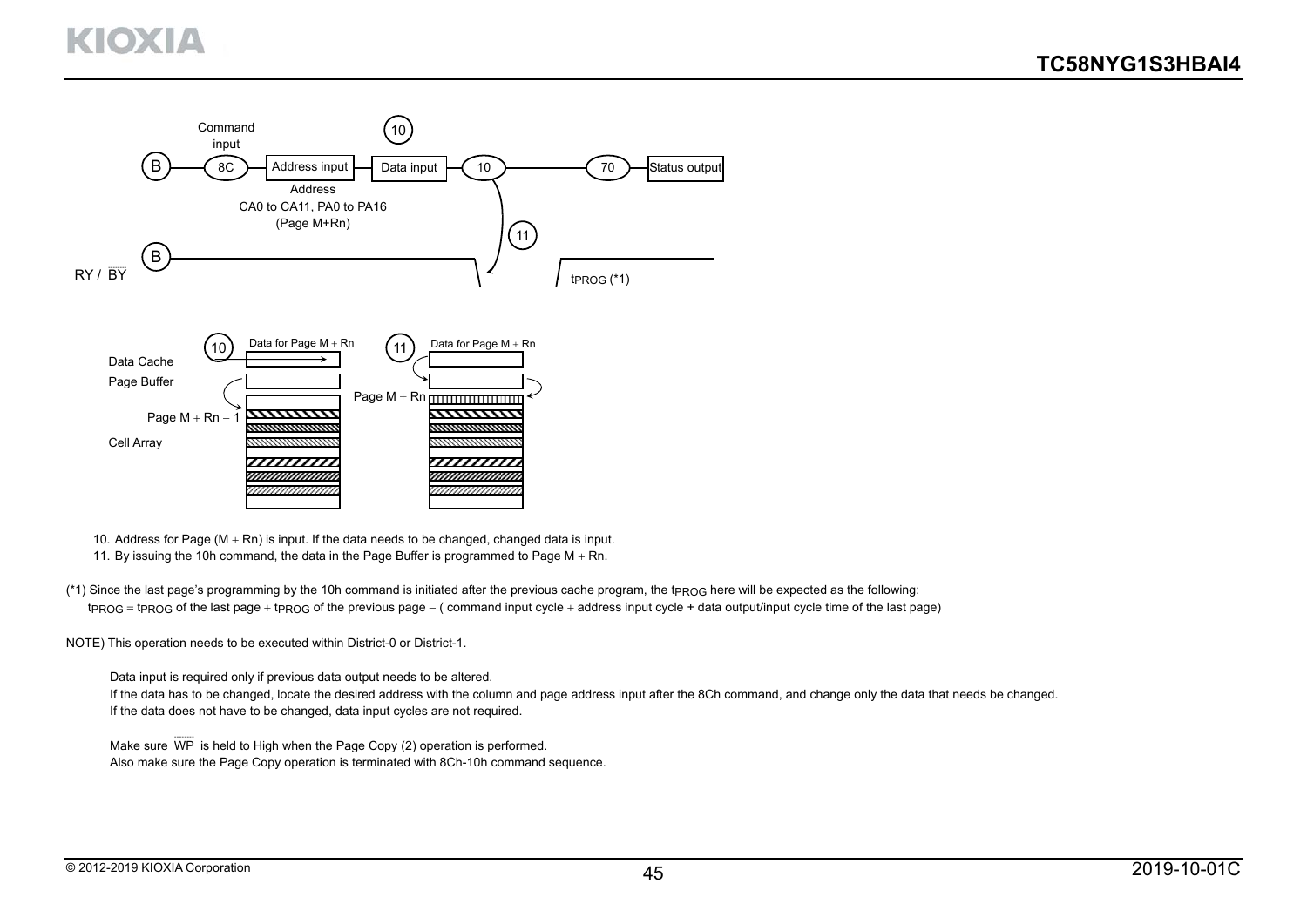

- 10. Address for Page ( $M + Rn$ ) is input. If the data needs to be changed, changed data is input.
- 11. By issuing the 10h command, the data in the Page Buffer is programmed to Page  $M + Rn$ .
- (\*1) Since the last page's programming by the 10h command is initiated after the previous cache program, the tPROG here will be expected as the following:  $t_{PROG}$  =  $t_{PROG}$  of the last page +  $t_{PROG}$  of the previous page – ( command input cycle + address input cycle + data output/input cycle time of the last page)
- NOTE) This operation needs to be executed within District-0 or District-1.
	- Data input is required only if previous data output needs to be altered.
	- If the data has to be changed, locate the desired address with the column and page address input after the 8Ch command, and change only the data that needs be changed. If the data does not have to be changed, data input cycles are not required.
	- Make sure WP ........<br>WP is held to High when the Page Copy (2) operation is performed. Also make sure the Page Copy operation is terminated with 8Ch-10h command sequence.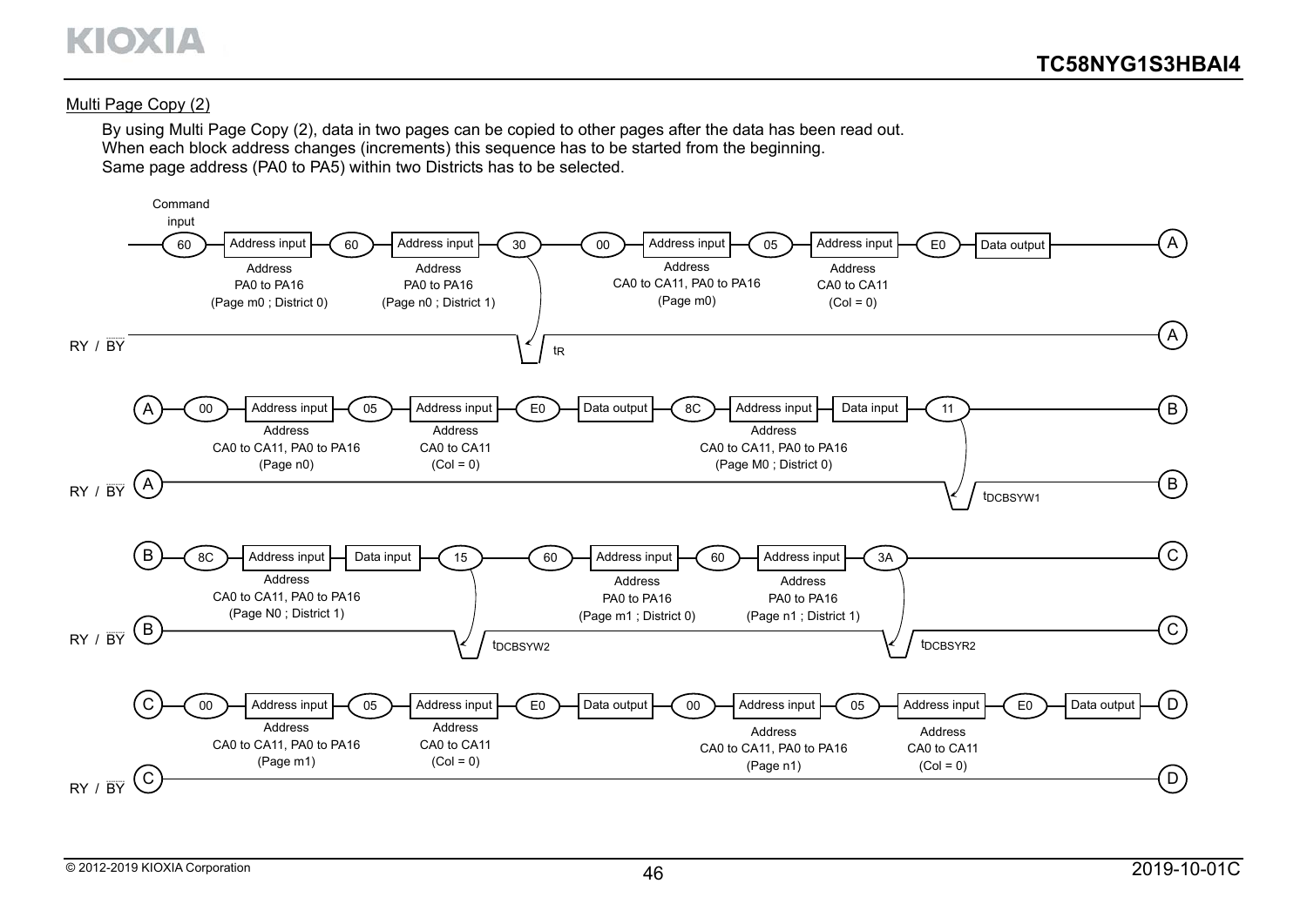

#### Multi Page Copy (2)

By using Multi Page Copy (2), data in two pages can be copied to other pages after the data has been read out. When each block address changes (increments) this sequence has to be started from the beginning. Same page address (PA0 to PA5) within two Districts has to be selected.

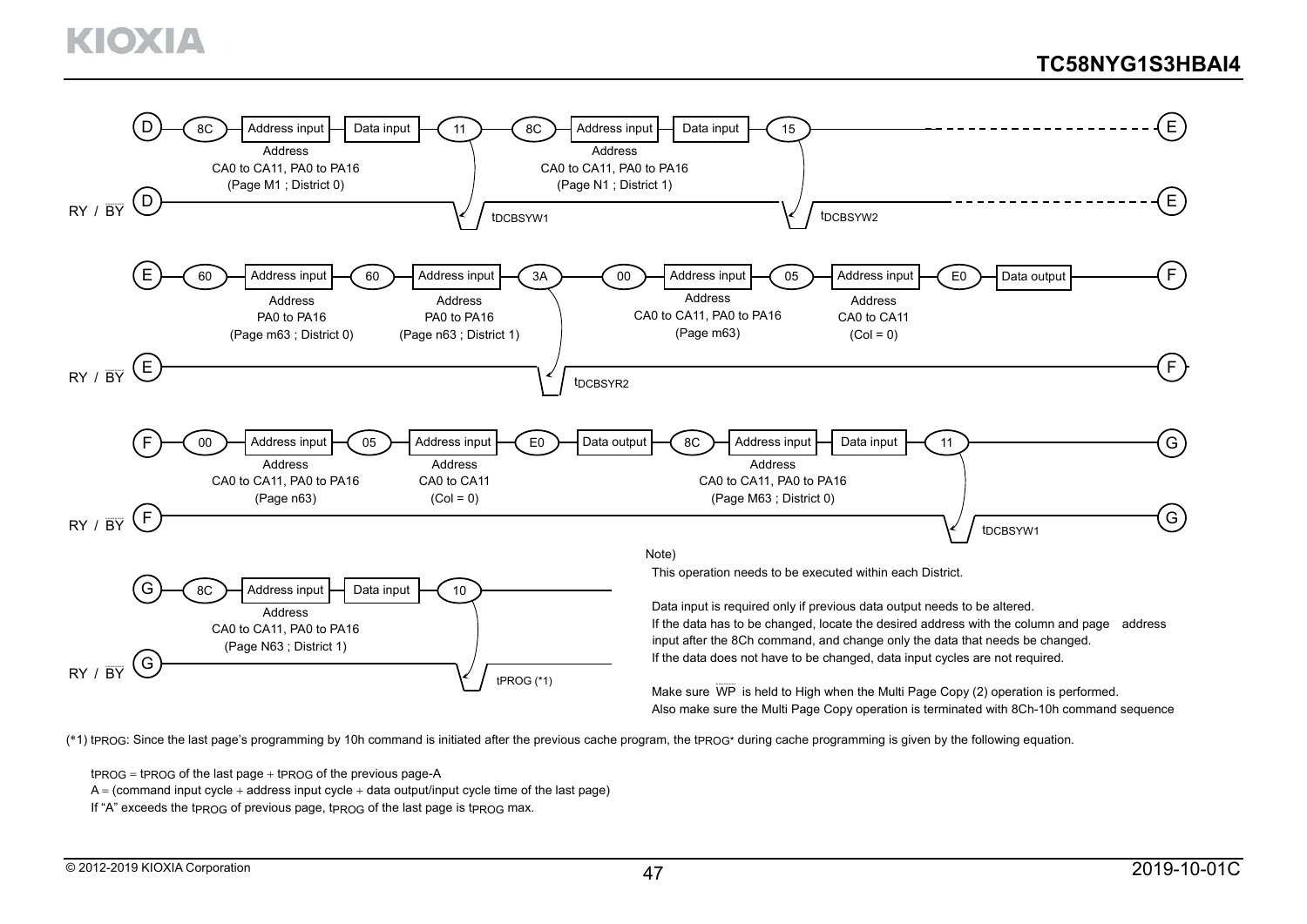

(\*1) tpROG: Since the last page's programming by 10h command is initiated after the previous cache program, the tpROG\* during cache programming is given by the following equation.

 $t_{PROG}$  = tprog of the last page  $+$  tprog of the previous page-A

 $A = (command input cycle + address input cycle + data output input cycle)$ 

If "A" exceeds the tpROG of previous page, tpROG of the last page is tpROG max.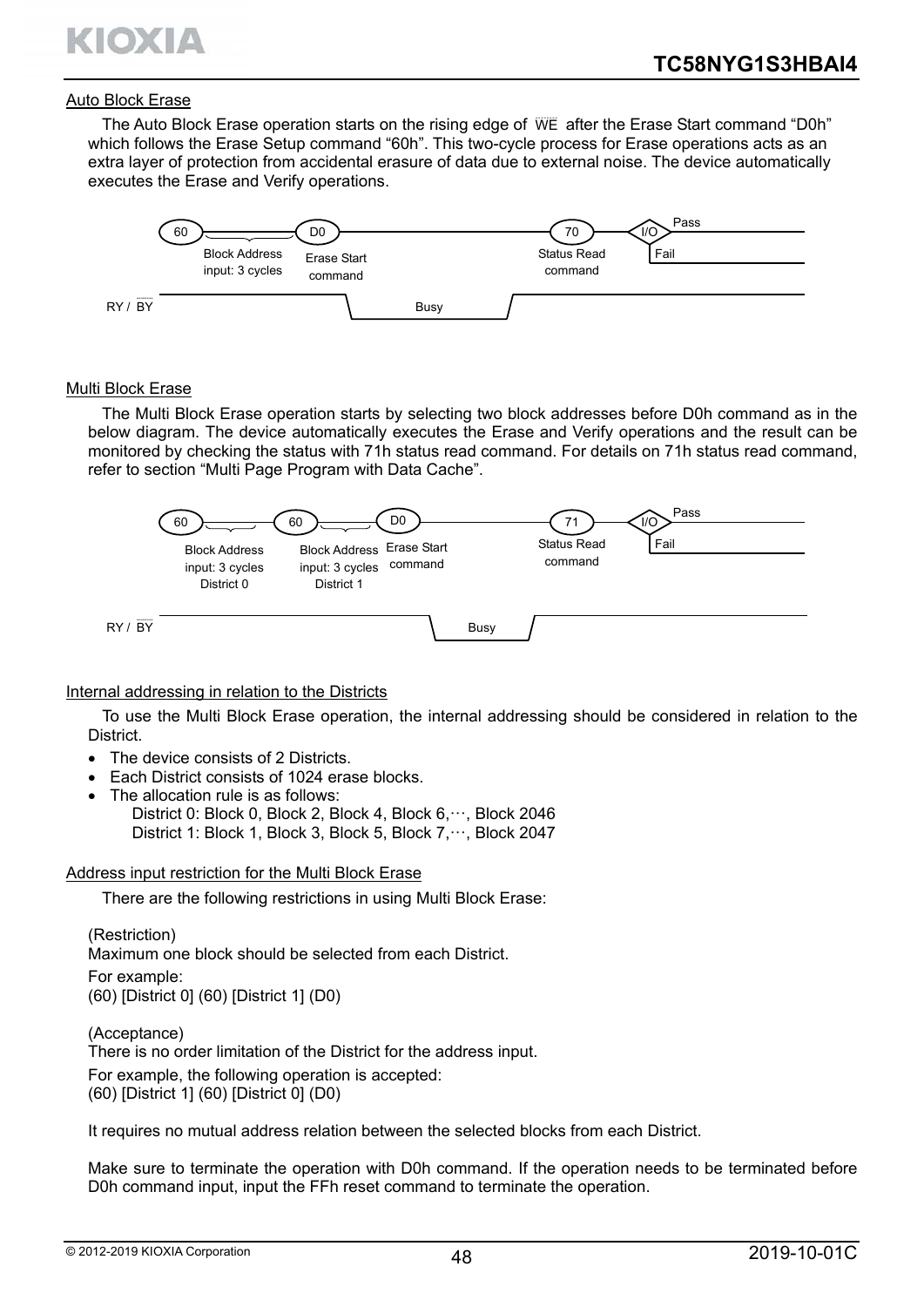

#### Auto Block Erase

The Auto Block Erase operation starts on the rising edge of WE after the Erase Start command "D0h" which follows the Erase Setup command "60h". This two-cycle process for Erase operations acts as an extra layer of protection from accidental erasure of data due to external noise. The device automatically executes the Erase and Verify operations.



#### Multi Block Erase

The Multi Block Erase operation starts by selecting two block addresses before D0h command as in the below diagram. The device automatically executes the Erase and Verify operations and the result can be monitored by checking the status with 71h status read command. For details on 71h status read command, refer to section "Multi Page Program with Data Cache".



#### Internal addressing in relation to the Districts

To use the Multi Block Erase operation, the internal addressing should be considered in relation to the District.

- The device consists of 2 Districts.
- Each District consists of 1024 erase blocks.
- The allocation rule is as follows:
	- District 0: Block 0, Block 2, Block 4, Block 6, ···, Block 2046 District 1: Block 1, Block 3, Block 5, Block 7, ···, Block 2047

#### Address input restriction for the Multi Block Erase

There are the following restrictions in using Multi Block Erase:

(Restriction) Maximum one block should be selected from each District. For example: (60) [District 0] (60) [District 1] (D0)

(Acceptance) There is no order limitation of the District for the address input. For example, the following operation is accepted: (60) [District 1] (60) [District 0] (D0)

It requires no mutual address relation between the selected blocks from each District.

Make sure to terminate the operation with D0h command. If the operation needs to be terminated before D0h command input, input the FFh reset command to terminate the operation.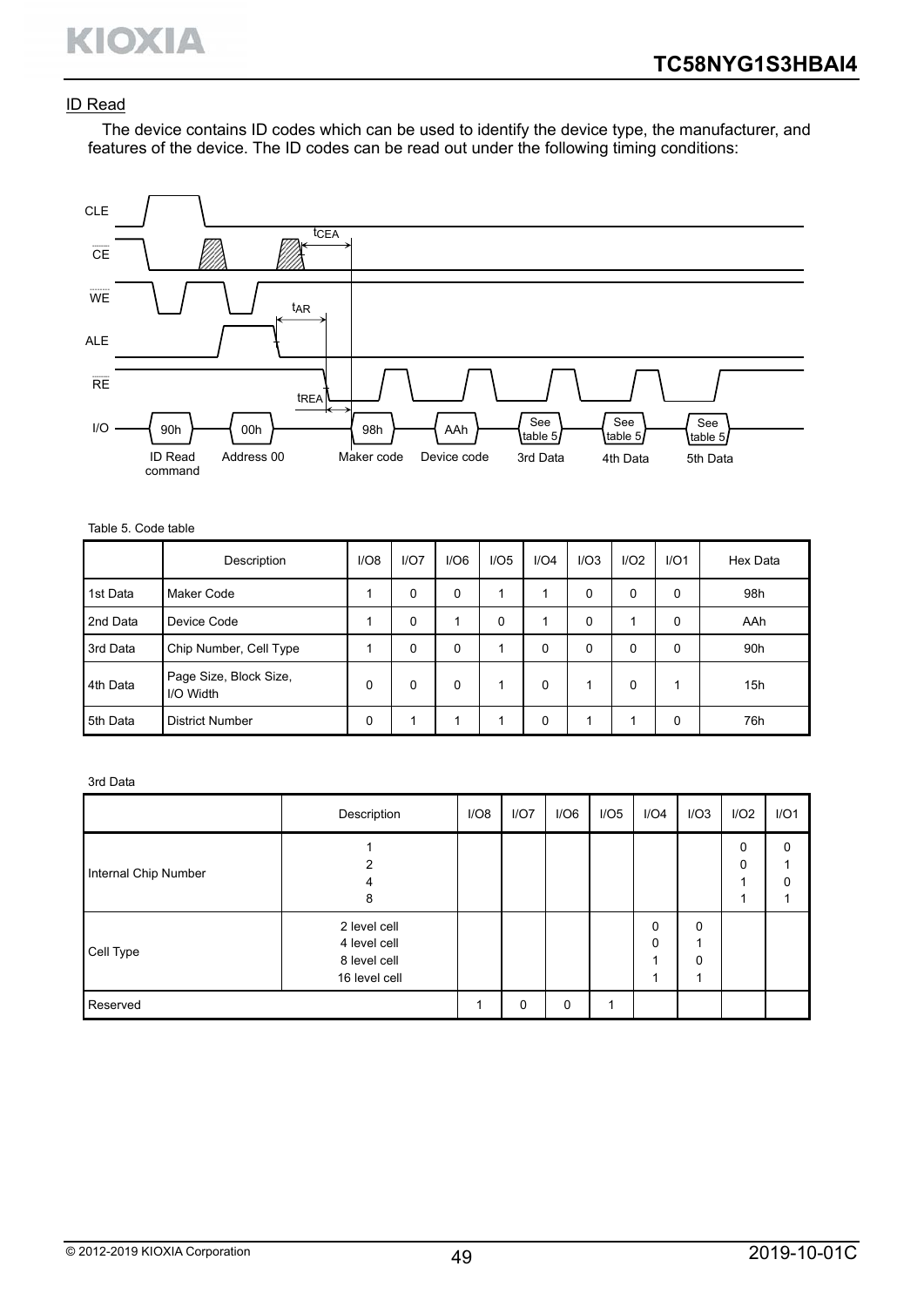# ID Read

The device contains ID codes which can be used to identify the device type, the manufacturer, and features of the device. The ID codes can be read out under the following timing conditions:



#### Table 5. Code table

|          | Description                         | I/O8 | I/O7 | I/O6 | I/O5 | I/O4     | I/O3 | I/O2         | I/O1 | Hex Data |
|----------|-------------------------------------|------|------|------|------|----------|------|--------------|------|----------|
| 1st Data | Maker Code                          |      | 0    | 0    |      | 4        | 0    | 0            | 0    | 98h      |
| 2nd Data | Device Code                         |      | 0    | 1    | 0    | 4        | 0    | 4            | 0    | AAh      |
| 3rd Data | Chip Number, Cell Type              |      | 0    | 0    |      | $\Omega$ | 0    | $\mathbf{0}$ | 0    | 90h      |
| 4th Data | Page Size, Block Size,<br>I/O Width | 0    | 0    | 0    |      | $\Omega$ |      | 0            |      | 15h      |
| 5th Data | <b>District Number</b>              | 0    |      |      |      | 0        | 1    |              | 0    | 76h      |

#### 3rd Data

|                      | Description                                                   | I/O8 | I/O7     | I/O6        | I/O5 | I/O4          | I/O3               | I/O2   | I/O1          |
|----------------------|---------------------------------------------------------------|------|----------|-------------|------|---------------|--------------------|--------|---------------|
| Internal Chip Number | ົ<br>4<br>8                                                   |      |          |             |      |               |                    | 0<br>0 | $\Omega$<br>O |
| Cell Type            | 2 level cell<br>4 level cell<br>8 level cell<br>16 level cell |      |          |             |      | 0<br>$\Omega$ | 0<br>$\Omega$<br>◢ |        |               |
| Reserved             |                                                               |      | $\Omega$ | $\mathbf 0$ | 1    |               |                    |        |               |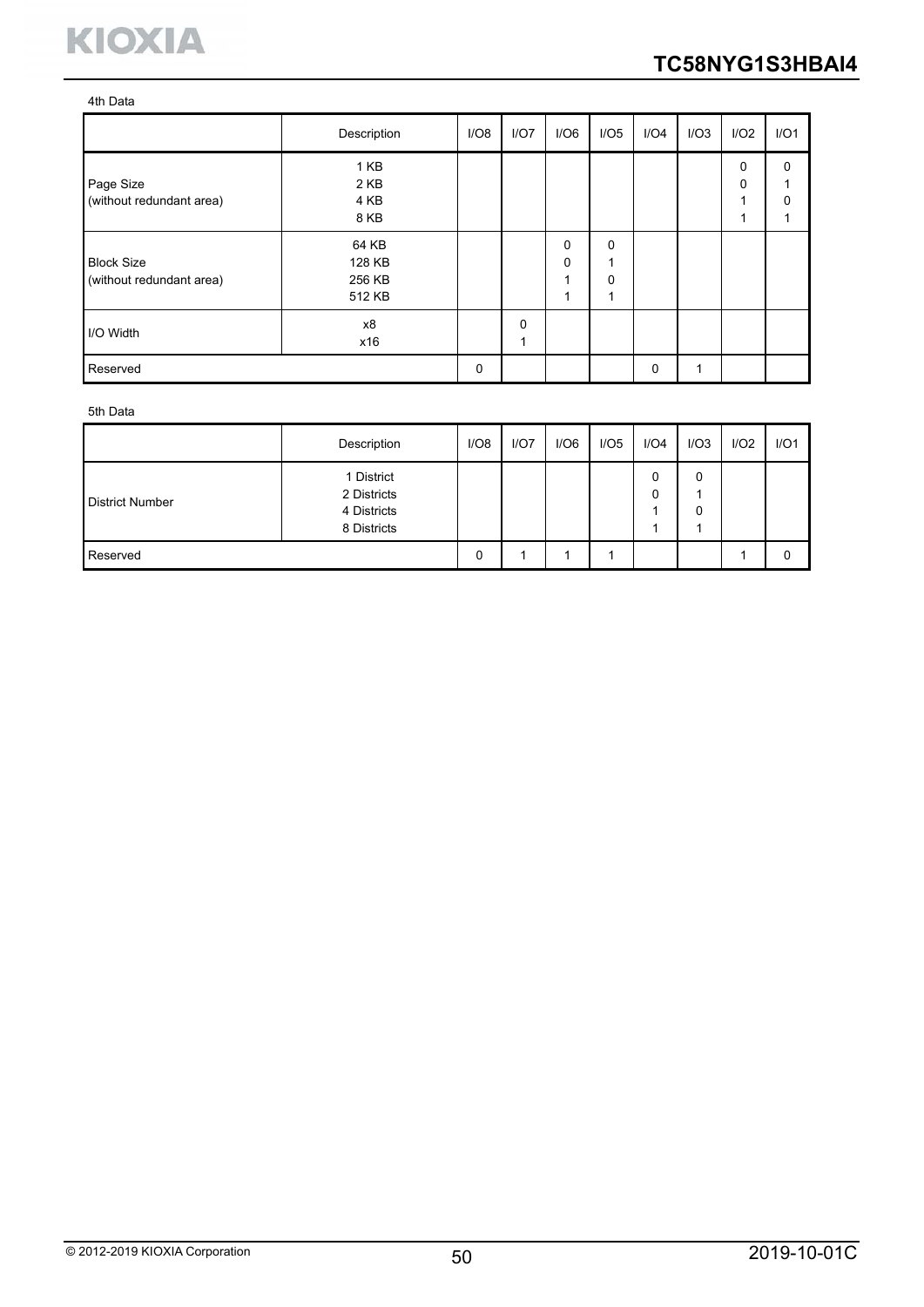

#### 4th Data

|                                               | Description                         | I/O8 | I/O7          | I/O6                                 | I/O5                           | I/O4 | I/O3 | I/O2        | I/O1                 |
|-----------------------------------------------|-------------------------------------|------|---------------|--------------------------------------|--------------------------------|------|------|-------------|----------------------|
| Page Size<br>(without redundant area)         | 1 KB<br>2 KB<br>4 KB<br>8 KB        |      |               |                                      |                                |      |      | 0<br>0<br>и | $\Omega$<br>$\Omega$ |
| <b>Block Size</b><br>(without redundant area) | 64 KB<br>128 KB<br>256 KB<br>512 KB |      |               | $\mathbf 0$<br>$\mathbf 0$<br>٠<br>и | $\Omega$<br>4<br>$\Omega$<br>4 |      |      |             |                      |
| I/O Width                                     | x8<br>x16                           |      | $\Omega$<br>1 |                                      |                                |      |      |             |                      |
| Reserved                                      |                                     | 0    |               |                                      |                                | 0    |      |             |                      |

#### 5th Data

|                        | Description                                             | I/O8 | I/O7 | I/O6 | I/O5 | I/O4   | I/O3 | I/O2 | I/O1 |
|------------------------|---------------------------------------------------------|------|------|------|------|--------|------|------|------|
| <b>District Number</b> | 1 District<br>2 Districts<br>4 Districts<br>8 Districts |      |      |      |      | 0<br>0 | 0    |      |      |
| Reserved               |                                                         | 0    |      |      |      |        |      |      | 0    |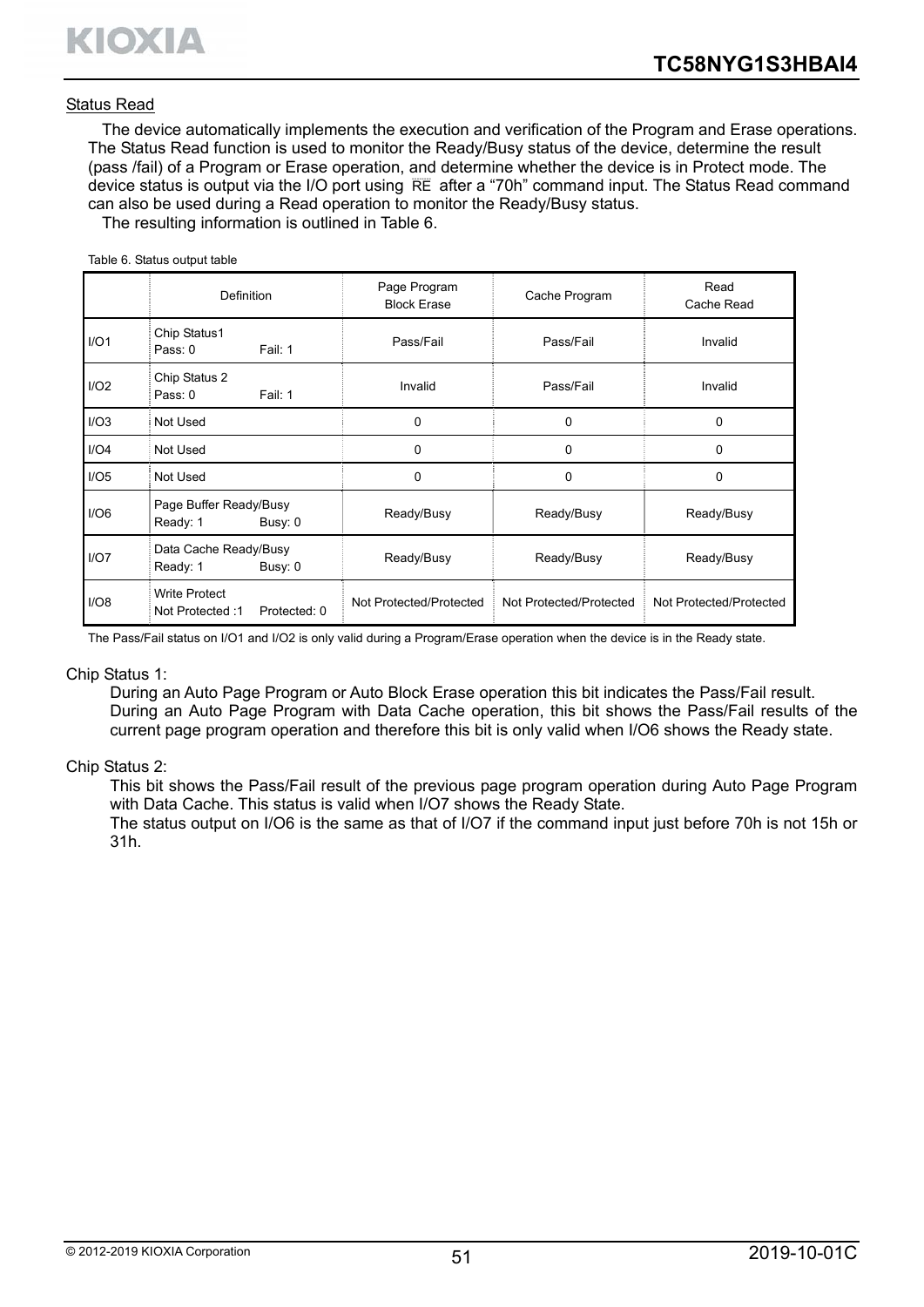Table 6. Status output table

#### Status Read

The device automatically implements the execution and verification of the Program and Erase operations. The Status Read function is used to monitor the Ready/Busy status of the device, determine the result (pass /fail) of a Program or Erase operation, and determine whether the device is in Protect mode. The device status is output via the I/O port using RE after a "70h" command input. The Status Read command can also be used during a Read operation to monitor the Ready/Busy status.

The resulting information is outlined in Table 6.

|      | <b>Definition</b>                                        | Page Program<br><b>Block Erase</b> | Cache Program           | Read<br>Cache Read      |
|------|----------------------------------------------------------|------------------------------------|-------------------------|-------------------------|
| I/O1 | Chip Status1<br>Pass: $0$<br>Fail: 1                     | Pass/Fail                          | Pass/Fail               | Invalid                 |
| I/O2 | Chip Status 2<br>Fail: 1<br>Pass: 0                      | Invalid                            | Pass/Fail               | Invalid                 |
| I/O3 | Not Used                                                 | $\Omega$                           | $\Omega$                | $\mathbf{0}$            |
| I/O4 | Not Used                                                 | 0                                  | 0                       | $\Omega$                |
| I/O5 | Not Used                                                 | 0                                  | $\Omega$                | $\Omega$                |
| I/O6 | Page Buffer Ready/Busy<br>Ready: 1<br>Busy: 0            | Ready/Busy                         | Ready/Busy              | Ready/Busy              |
| I/O7 | Data Cache Ready/Busy<br>Ready: 1<br>Busy: 0             | Ready/Busy                         | Ready/Busy              | Ready/Busy              |
| I/O8 | <b>Write Protect</b><br>Not Protected: 1<br>Protected: 0 | Not Protected/Protected            | Not Protected/Protected | Not Protected/Protected |

The Pass/Fail status on I/O1 and I/O2 is only valid during a Program/Erase operation when the device is in the Ready state.

#### Chip Status 1:

During an Auto Page Program or Auto Block Erase operation this bit indicates the Pass/Fail result. During an Auto Page Program with Data Cache operation, this bit shows the Pass/Fail results of the current page program operation and therefore this bit is only valid when I/O6 shows the Ready state.

#### Chip Status 2:

This bit shows the Pass/Fail result of the previous page program operation during Auto Page Program with Data Cache. This status is valid when I/O7 shows the Ready State.

The status output on I/O6 is the same as that of I/O7 if the command input just before 70h is not 15h or 31h.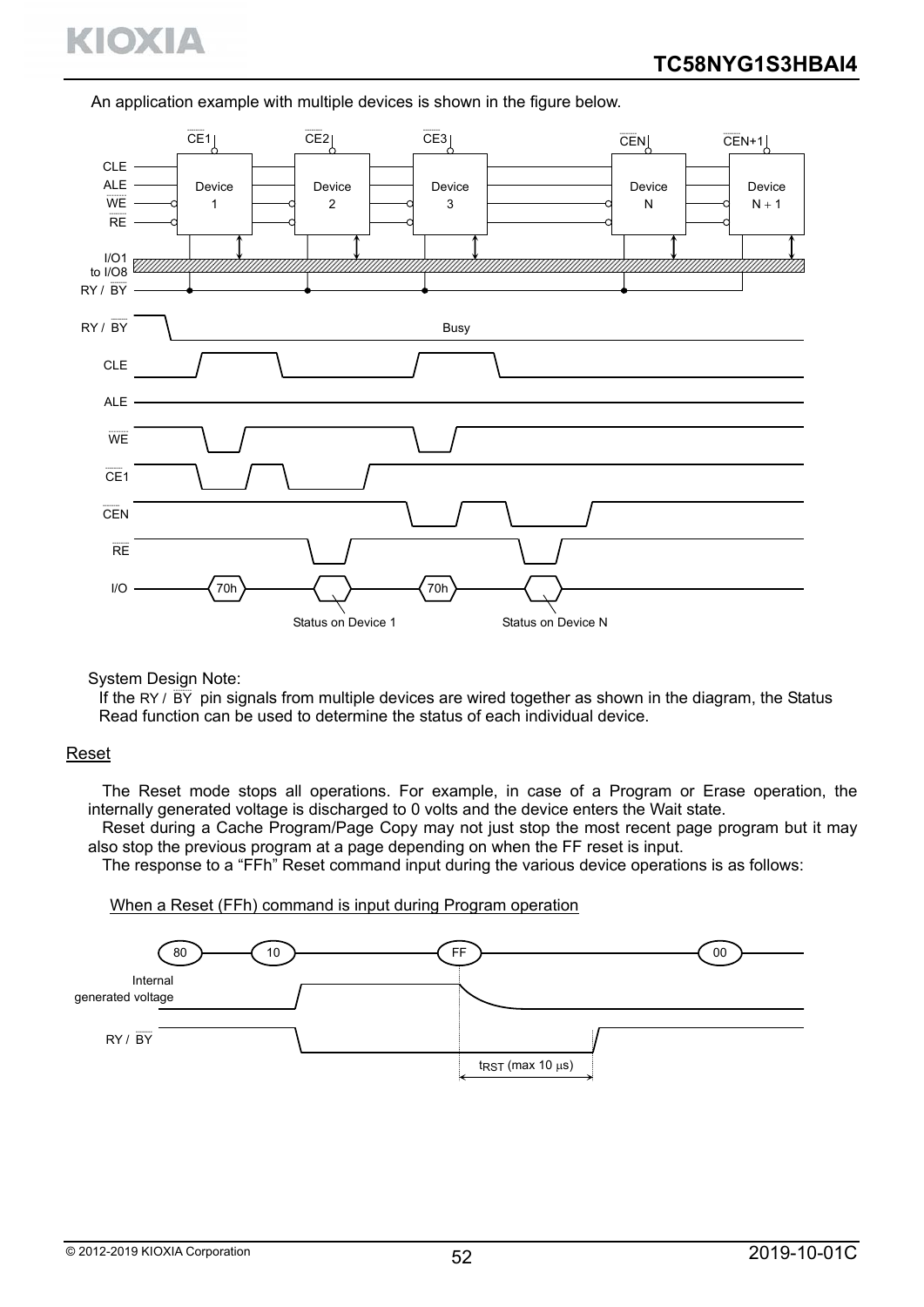# KIOXIA

An application example with multiple devices is shown in the figure below.



System Design Note:

If the RY /  $\overline{BY}$  pin signals from multiple devices are wired together as shown in the diagram, the Status Read function can be used to determine the status of each individual device.

#### Reset

The Reset mode stops all operations. For example, in case of a Program or Erase operation, the internally generated voltage is discharged to 0 volts and the device enters the Wait state.

Reset during a Cache Program/Page Copy may not just stop the most recent page program but it may also stop the previous program at a page depending on when the FF reset is input.

The response to a "FFh" Reset command input during the various device operations is as follows:

#### When a Reset (FFh) command is input during Program operation

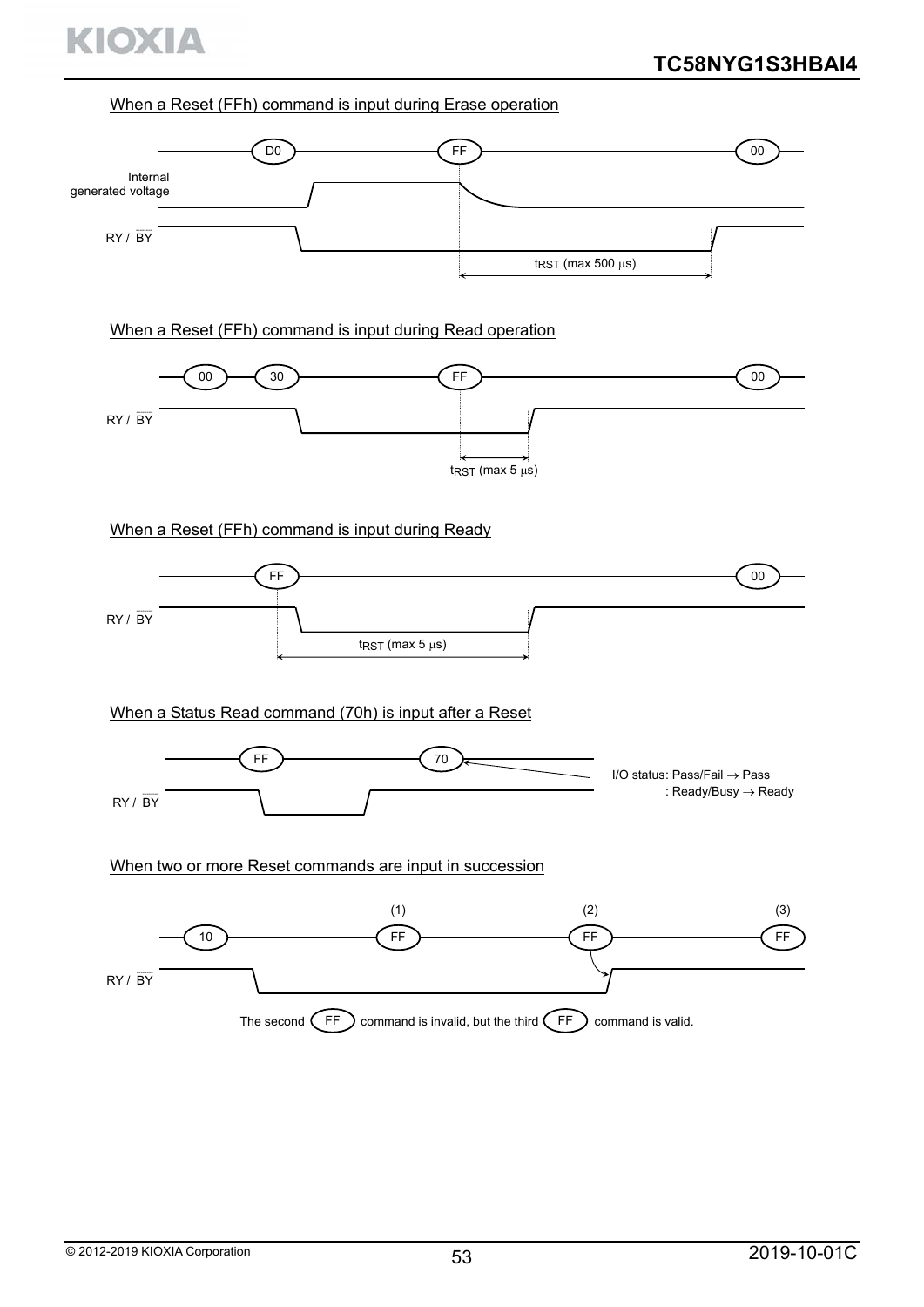

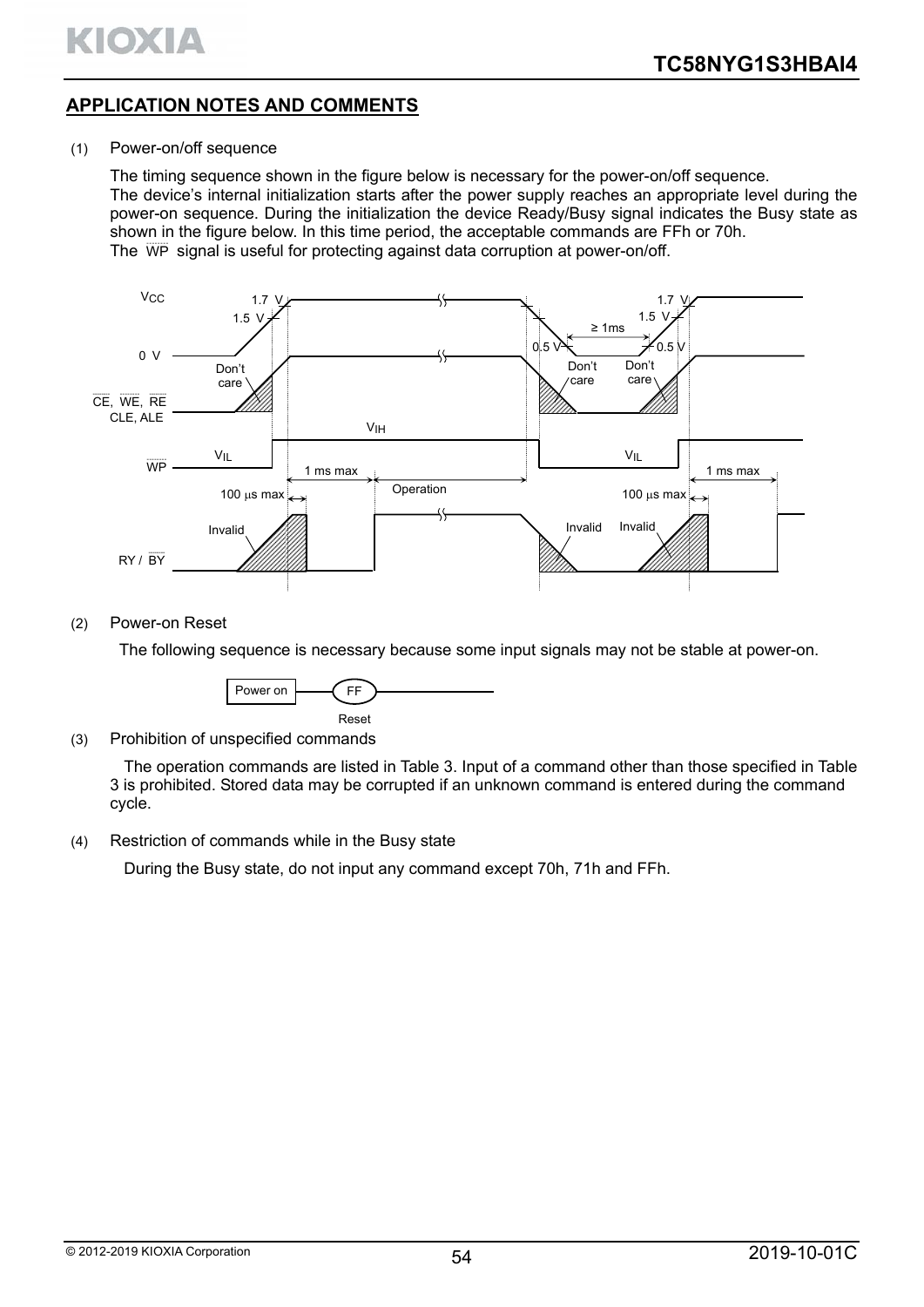

# **APPLICATION NOTES AND COMMENTS**

#### (1) Power-on/off sequence

The timing sequence shown in the figure below is necessary for the power-on/off sequence. The device's internal initialization starts after the power supply reaches an appropriate level during the power-on sequence. During the initialization the device Ready/Busy signal indicates the Busy state as shown in the figure below. In this time period, the acceptable commands are FFh or 70h. The WP signal is useful for protecting against data corruption at power-on/off.



#### (2) Power-on Reset

The following sequence is necessary because some input signals may not be stable at power-on.



(3) Prohibition of unspecified commands

The operation commands are listed in Table 3. Input of a command other than those specified in Table 3 is prohibited. Stored data may be corrupted if an unknown command is entered during the command cycle.

(4) Restriction of commands while in the Busy state

During the Busy state, do not input any command except 70h, 71h and FFh.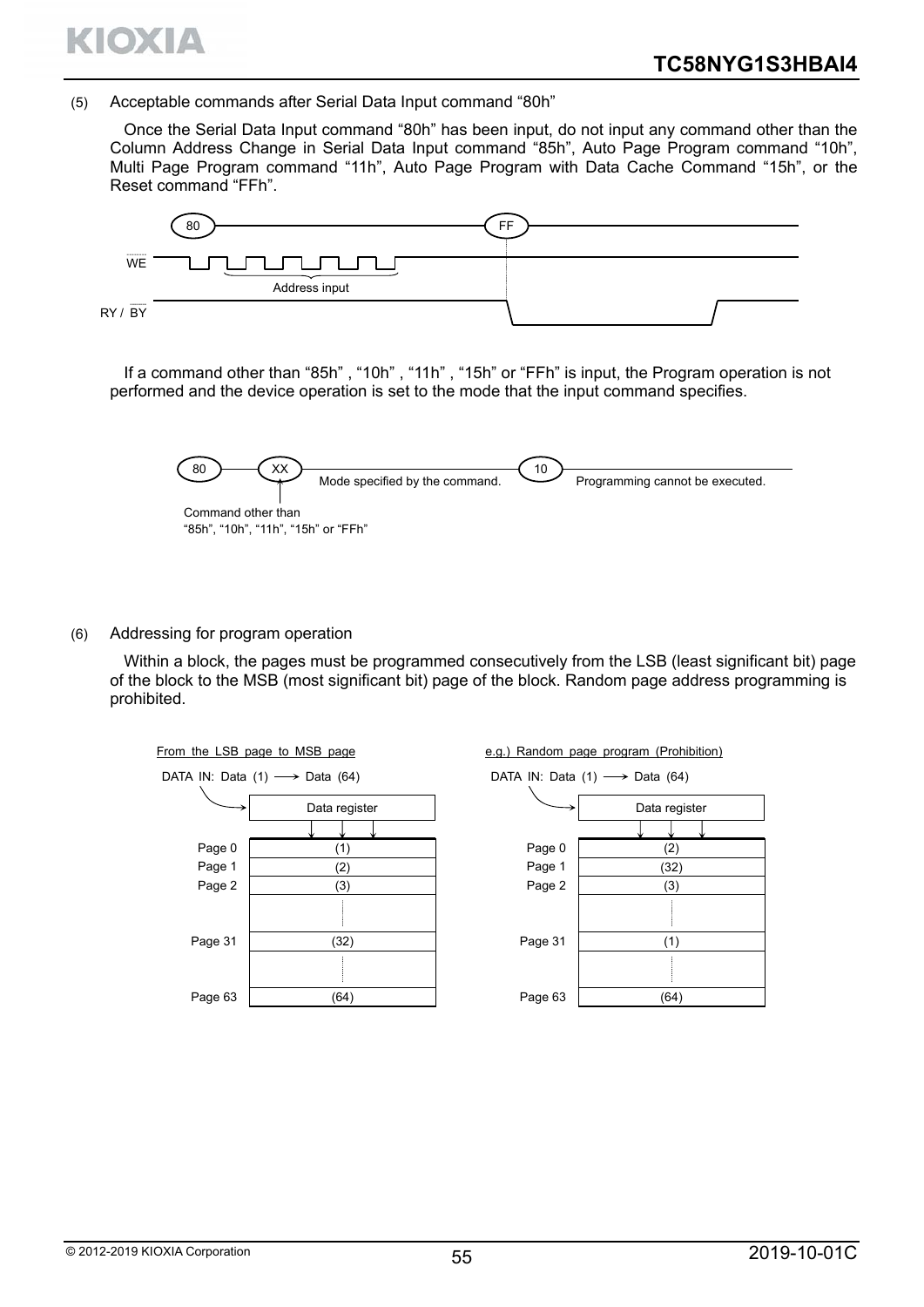

(5) Acceptable commands after Serial Data Input command "80h"

Once the Serial Data Input command "80h" has been input, do not input any command other than the Column Address Change in Serial Data Input command "85h", Auto Page Program command "10h", Multi Page Program command "11h", Auto Page Program with Data Cache Command "15h", or the Reset command "FFh".



If a command other than "85h" , "10h" , "11h" , "15h" or "FFh" is input, the Program operation is not performed and the device operation is set to the mode that the input command specifies.



(6) Addressing for program operation

Within a block, the pages must be programmed consecutively from the LSB (least significant bit) page of the block to the MSB (most significant bit) page of the block. Random page address programming is prohibited.



e.g.) Random page program (Prohibition)

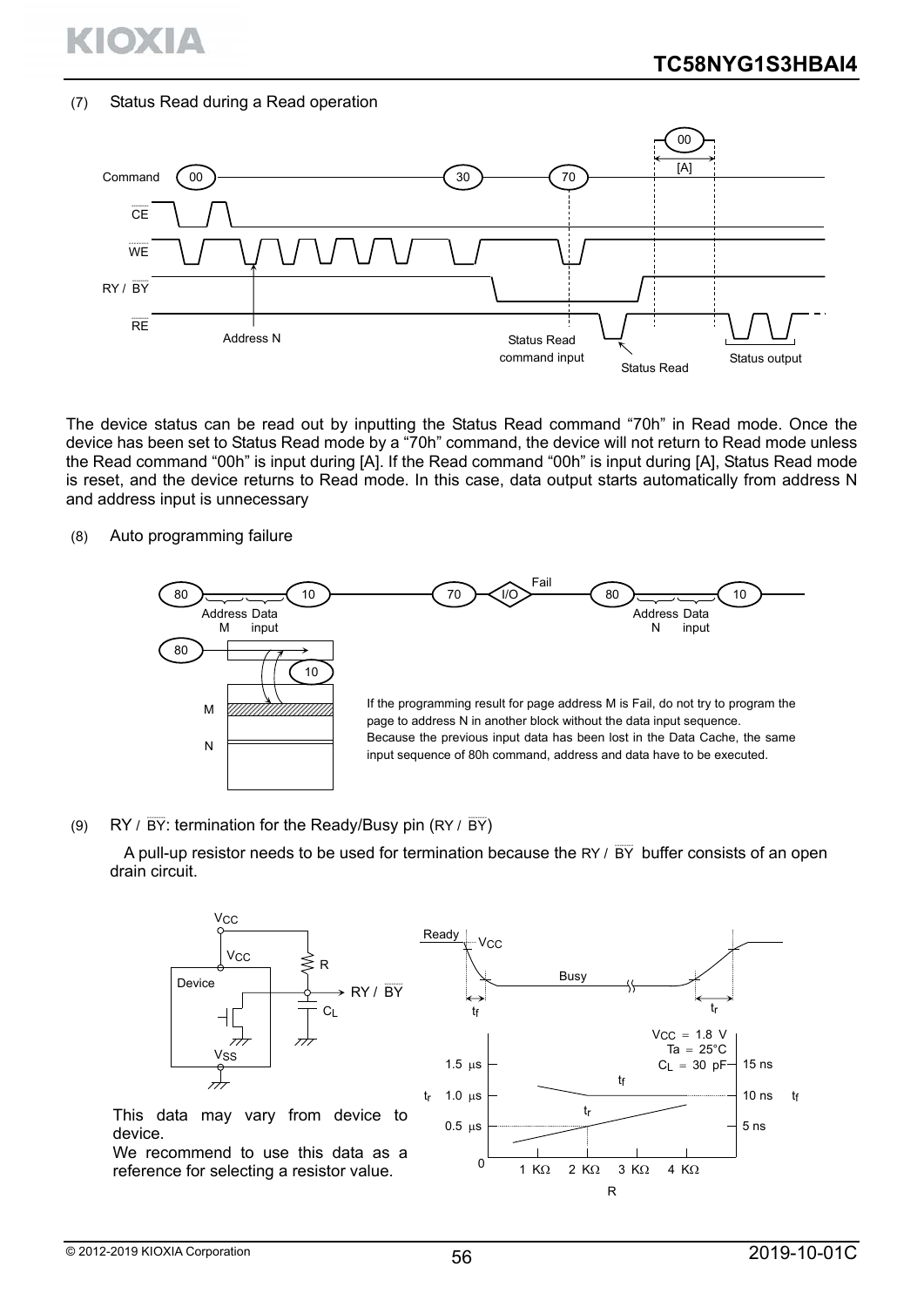

#### (7) Status Read during a Read operation



The device status can be read out by inputting the Status Read command "70h" in Read mode. Once the device has been set to Status Read mode by a "70h" command, the device will not return to Read mode unless the Read command "00h" is input during [A]. If the Read command "00h" is input during [A], Status Read mode is reset, and the device returns to Read mode. In this case, data output starts automatically from address N and address input is unnecessary

#### (8) Auto programming failure



#### (9) RY /  $\overline{BY}$ : termination for the Ready/Busy pin (RY /  $\overline{BY}$ )

A pull-up resistor needs to be used for termination because the RY  $/$  BY-buffer consists of an open drain circuit.



15 ns

10 ns

5 ns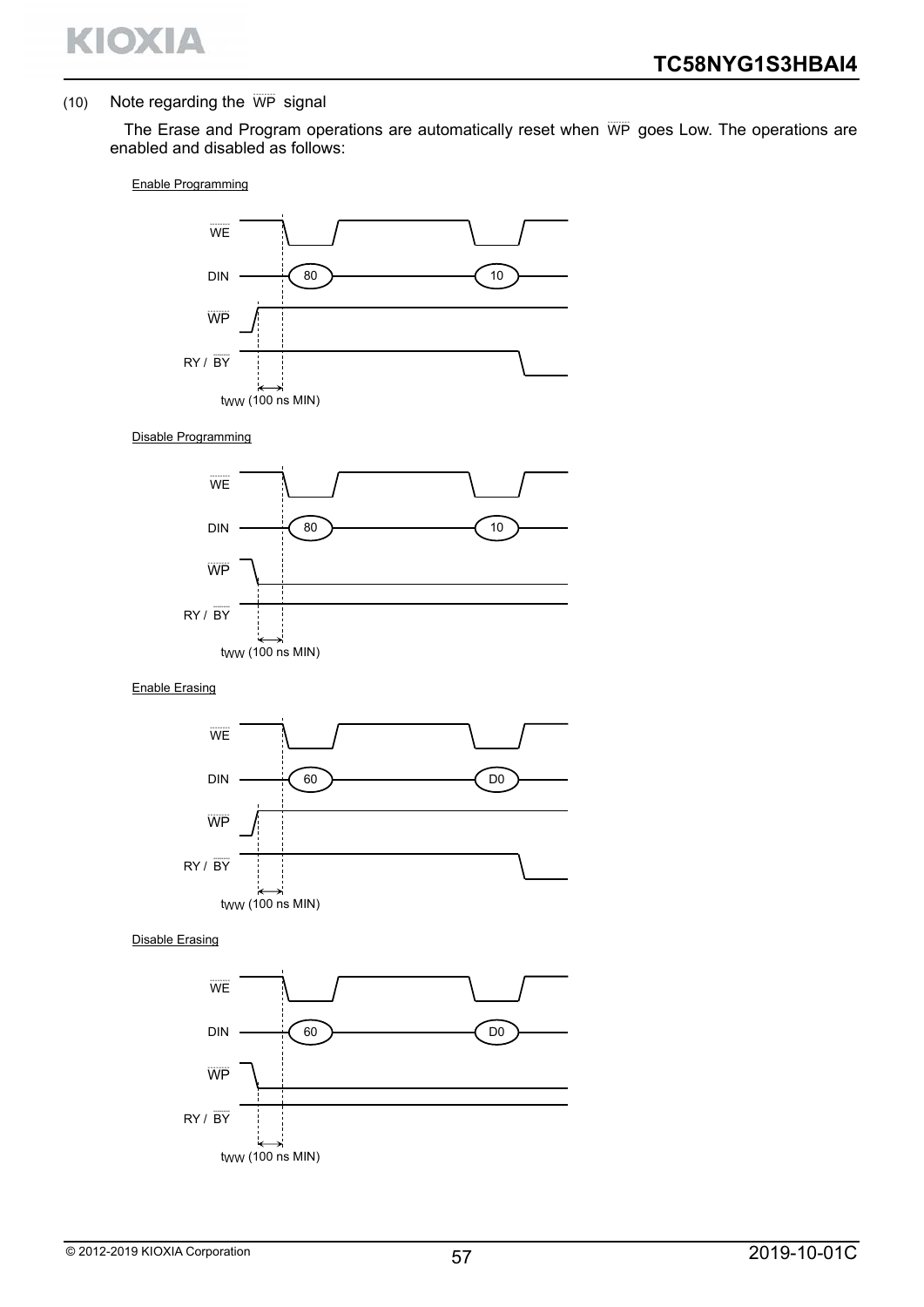

#### $(10)$  Note regarding the  $\overline{WP}$  signal

The Erase and Program operations are automatically reset when WP goes Low. The operations are enabled and disabled as follows:

#### Enable Programming



#### Disable Programming



#### Enable Erasing



Disable Erasing

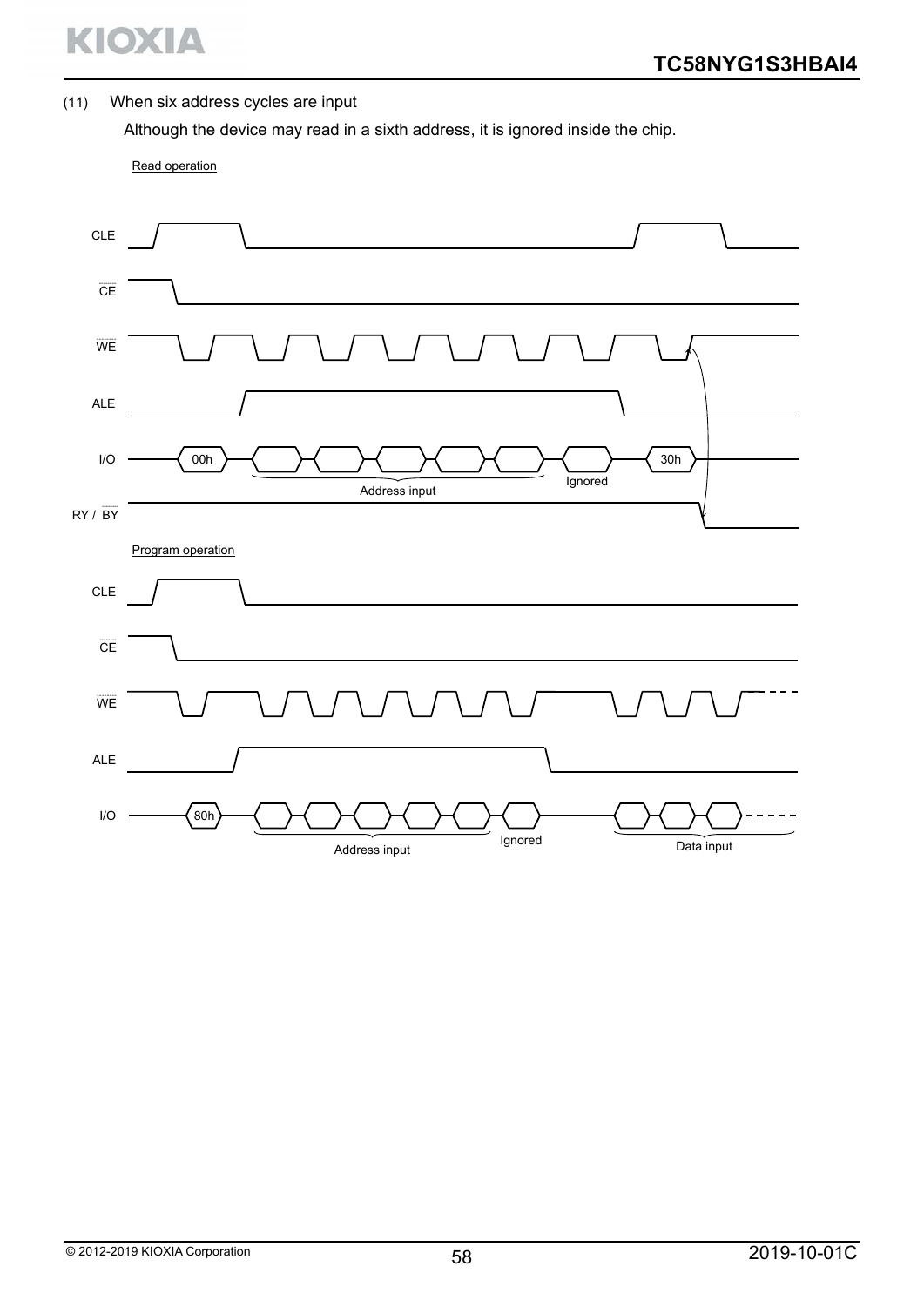

#### (11) When six address cycles are input

Although the device may read in a sixth address, it is ignored inside the chip.

Read operation

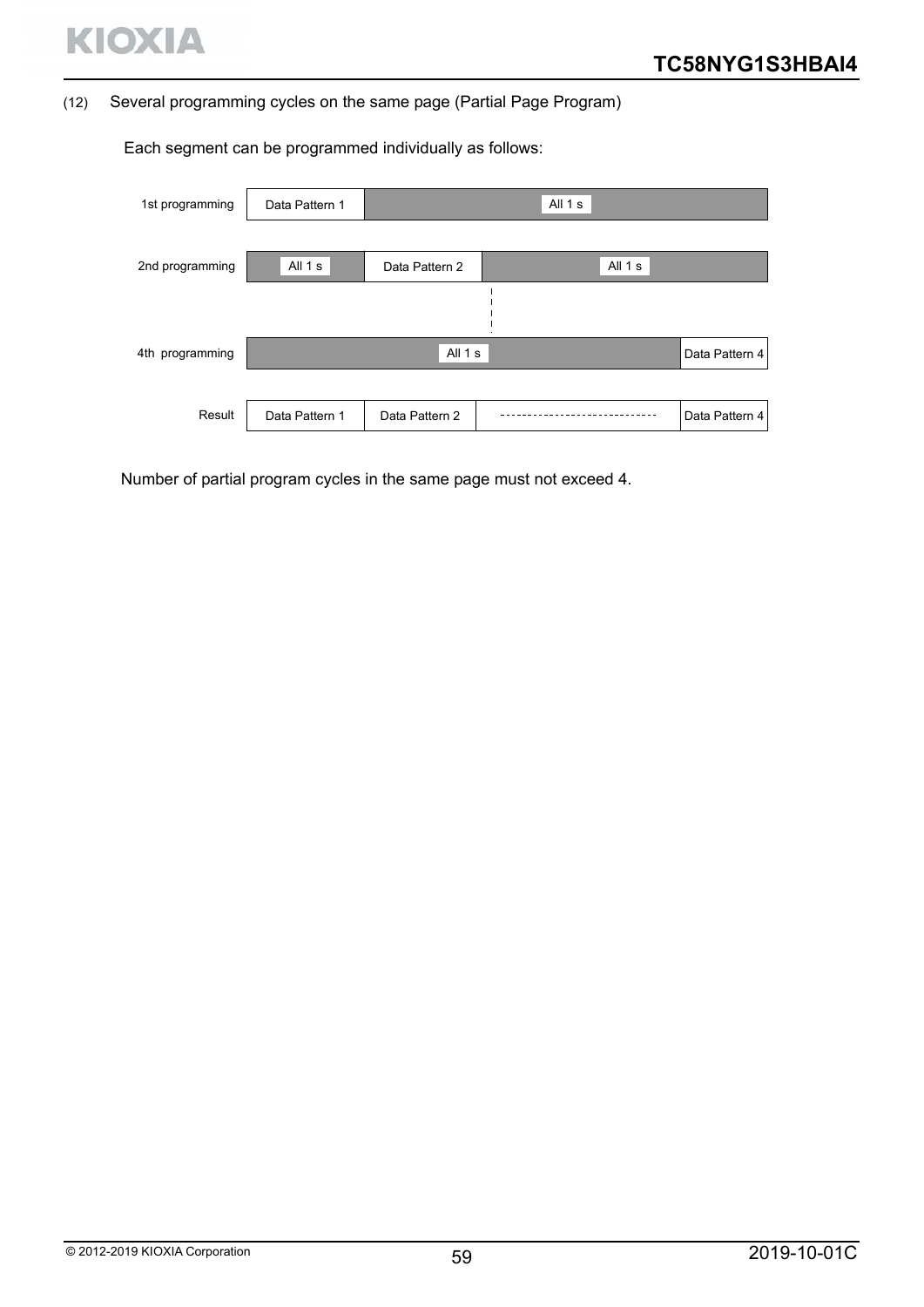

#### (12) Several programming cycles on the same page (Partial Page Program)

Data Pattern 4 Data Pattern 1 All 1 s All 1 s | Data Pattern 2 | Desemblace All 1 s All  $1 s$ 1st programming 2nd programming 4th programming Result | Data Pattern 1 | Data Pattern 2 Data Pattern 4

Each segment can be programmed individually as follows:

Number of partial program cycles in the same page must not exceed 4.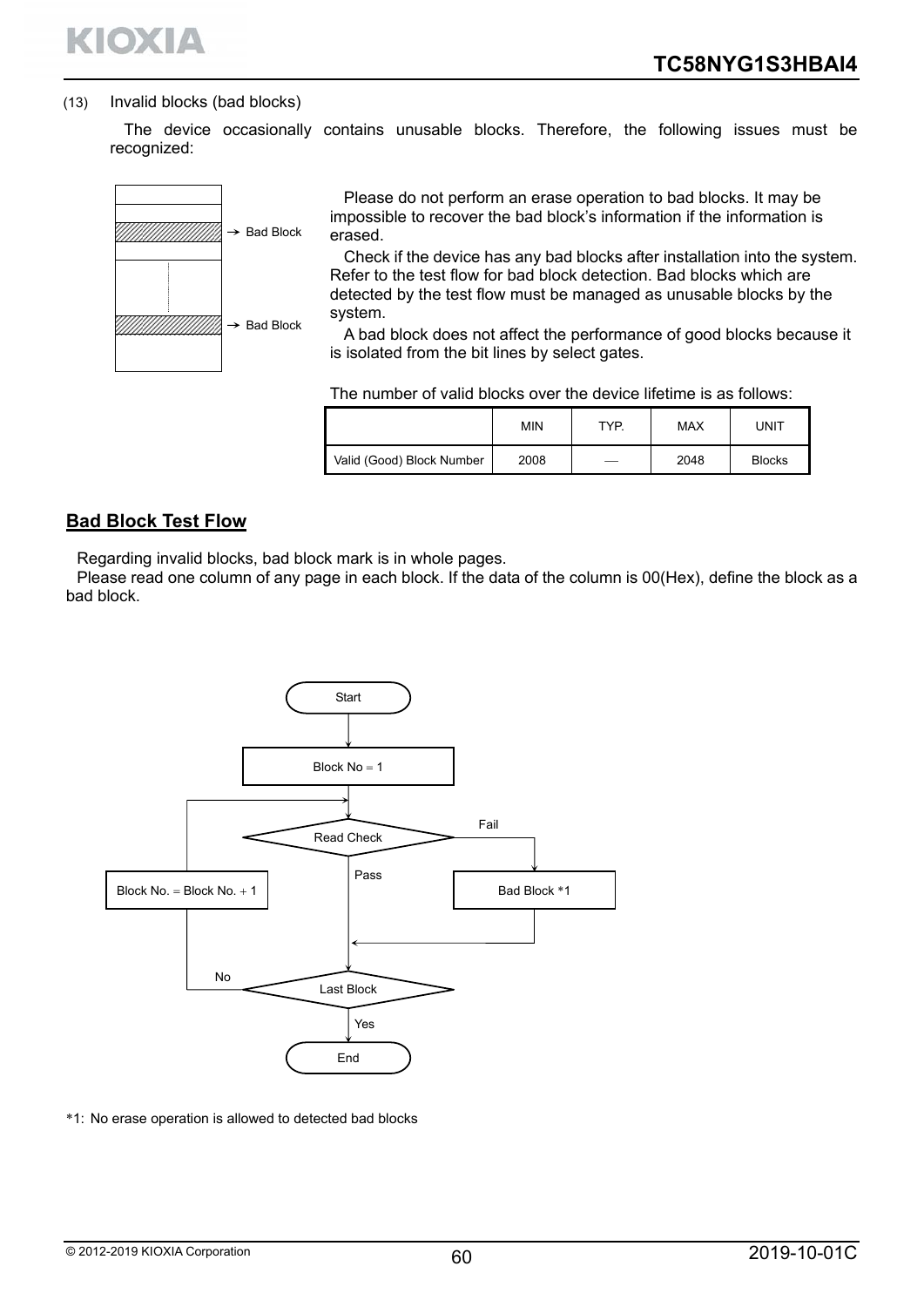

#### (13) Invalid blocks (bad blocks)

The device occasionally contains unusable blocks. Therefore, the following issues must be recognized:



Please do not perform an erase operation to bad blocks. It may be impossible to recover the bad block's information if the information is erased.

Check if the device has any bad blocks after installation into the system. Refer to the test flow for bad block detection. Bad blocks which are detected by the test flow must be managed as unusable blocks by the system.

A bad block does not affect the performance of good blocks because it is isolated from the bit lines by select gates.

|                           | MIN  | TYP. | <b>MAX</b> | UNIT          |
|---------------------------|------|------|------------|---------------|
| Valid (Good) Block Number | 2008 |      | 2048       | <b>Blocks</b> |

# **Bad Block Test Flow**

Regarding invalid blocks, bad block mark is in whole pages.

Please read one column of any page in each block. If the data of the column is 00(Hex), define the block as a bad block.



\*1: No erase operation is allowed to detected bad blocks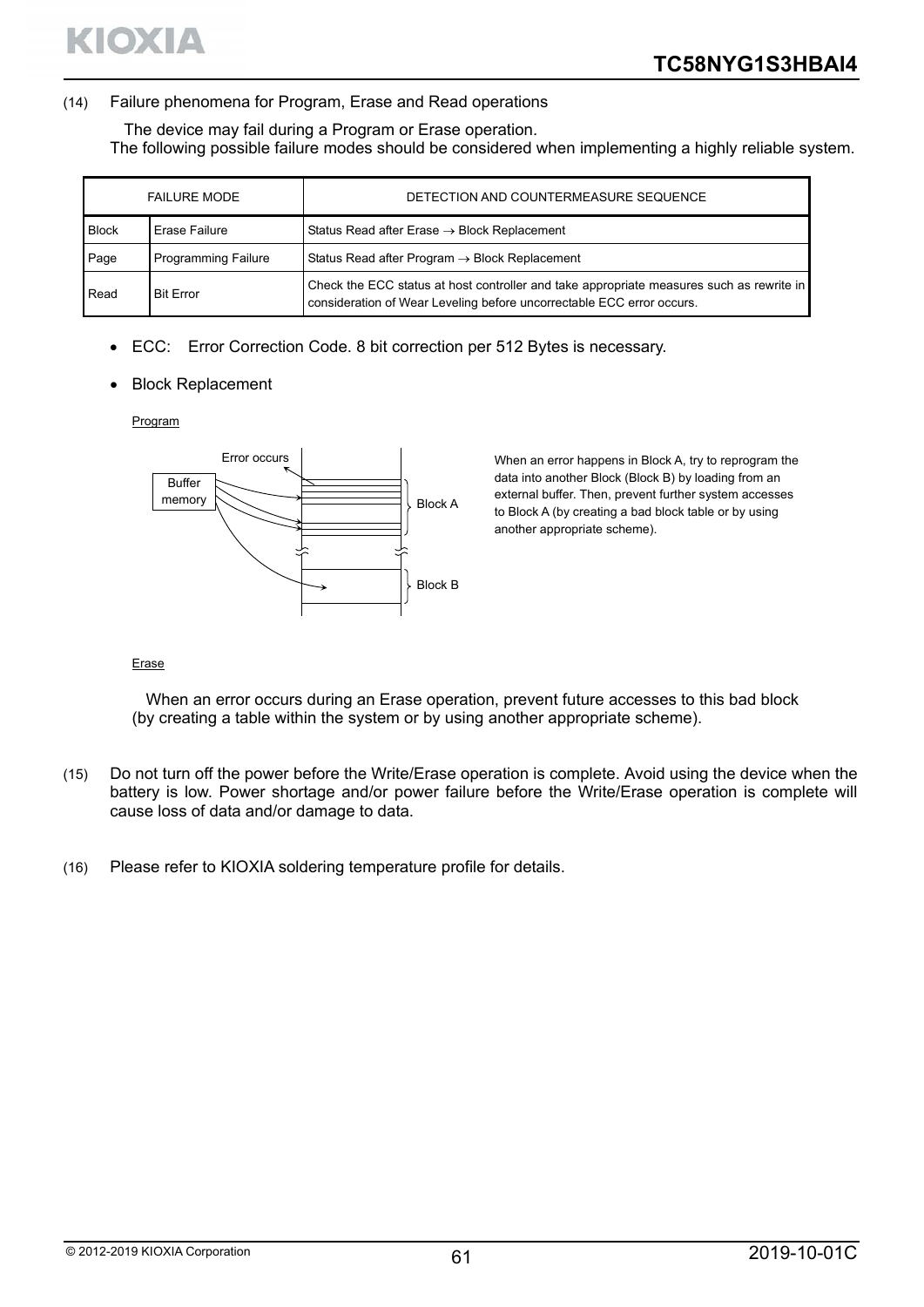#### (14) Failure phenomena for Program, Erase and Read operations

The device may fail during a Program or Erase operation.

The following possible failure modes should be considered when implementing a highly reliable system.

|              | <b>FAILURE MODE</b>        | DETECTION AND COUNTERMEASURE SEQUENCE                                                                                                                             |
|--------------|----------------------------|-------------------------------------------------------------------------------------------------------------------------------------------------------------------|
| <b>Block</b> | Erase Failure              | Status Read after Erase $\rightarrow$ Block Replacement                                                                                                           |
| Page         | <b>Programming Failure</b> | Status Read after Program $\rightarrow$ Block Replacement                                                                                                         |
| Read         | <b>Bit Error</b>           | Check the ECC status at host controller and take appropriate measures such as rewrite in<br>consideration of Wear Leveling before uncorrectable ECC error occurs. |

- ECC: Error Correction Code. 8 bit correction per 512 Bytes is necessary.
- Block Replacement

Program



When an error happens in Block A, try to reprogram the data into another Block (Block B) by loading from an external buffer. Then, prevent further system accesses to Block A (by creating a bad block table or by using another appropriate scheme).

#### Erase

When an error occurs during an Erase operation, prevent future accesses to this bad block (by creating a table within the system or by using another appropriate scheme).

- (15) Do not turn off the power before the Write/Erase operation is complete. Avoid using the device when the battery is low. Power shortage and/or power failure before the Write/Erase operation is complete will cause loss of data and/or damage to data.
- (16) Please refer to KIOXIA soldering temperature profile for details.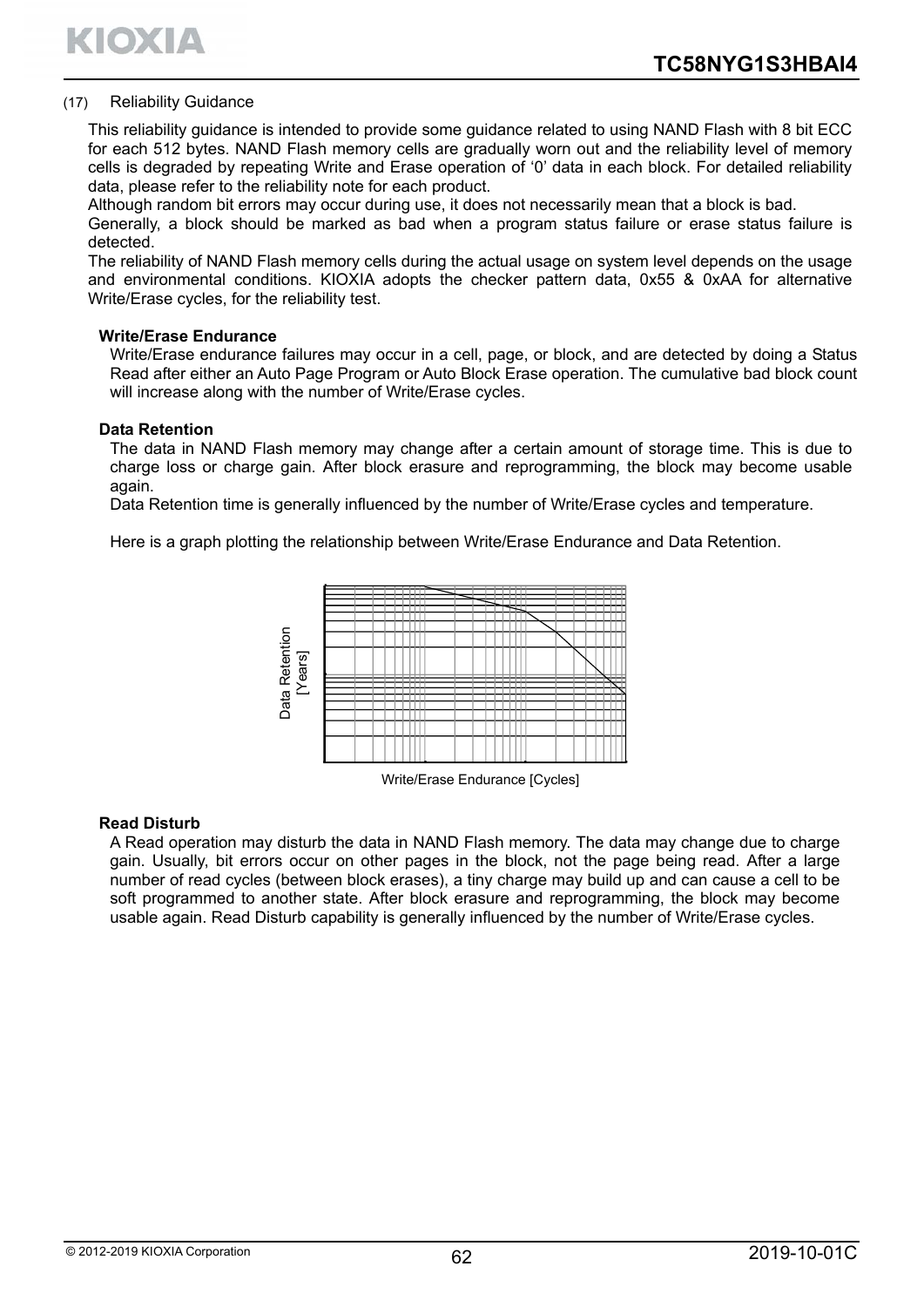KIOXIA

#### (17) Reliability Guidance

This reliability guidance is intended to provide some guidance related to using NAND Flash with 8 bit ECC for each 512 bytes. NAND Flash memory cells are gradually worn out and the reliability level of memory cells is degraded by repeating Write and Erase operation of '0' data in each block. For detailed reliability data, please refer to the reliability note for each product.

Although random bit errors may occur during use, it does not necessarily mean that a block is bad.

Generally, a block should be marked as bad when a program status failure or erase status failure is detected.

The reliability of NAND Flash memory cells during the actual usage on system level depends on the usage and environmental conditions. KIOXIA adopts the checker pattern data, 0x55 & 0xAA for alternative Write/Erase cycles, for the reliability test.

#### **Write/Erase Endurance**

Write/Erase endurance failures may occur in a cell, page, or block, and are detected by doing a Status Read after either an Auto Page Program or Auto Block Erase operation. The cumulative bad block count will increase along with the number of Write/Erase cycles.

#### **Data Retention**

The data in NAND Flash memory may change after a certain amount of storage time. This is due to charge loss or charge gain. After block erasure and reprogramming, the block may become usable again.

Data Retention time is generally influenced by the number of Write/Erase cycles and temperature.

Here is a graph plotting the relationship between Write/Erase Endurance and Data Retention.



Write/Erase Endurance [Cycles]

#### **Read Disturb**

A Read operation may disturb the data in NAND Flash memory. The data may change due to charge gain. Usually, bit errors occur on other pages in the block, not the page being read. After a large number of read cycles (between block erases), a tiny charge may build up and can cause a cell to be soft programmed to another state. After block erasure and reprogramming, the block may become usable again. Read Disturb capability is generally influenced by the number of Write/Erase variable and Disturb A Read operation may disturb the data in NAND Flash memory. The data may change due to changain. Usually, bit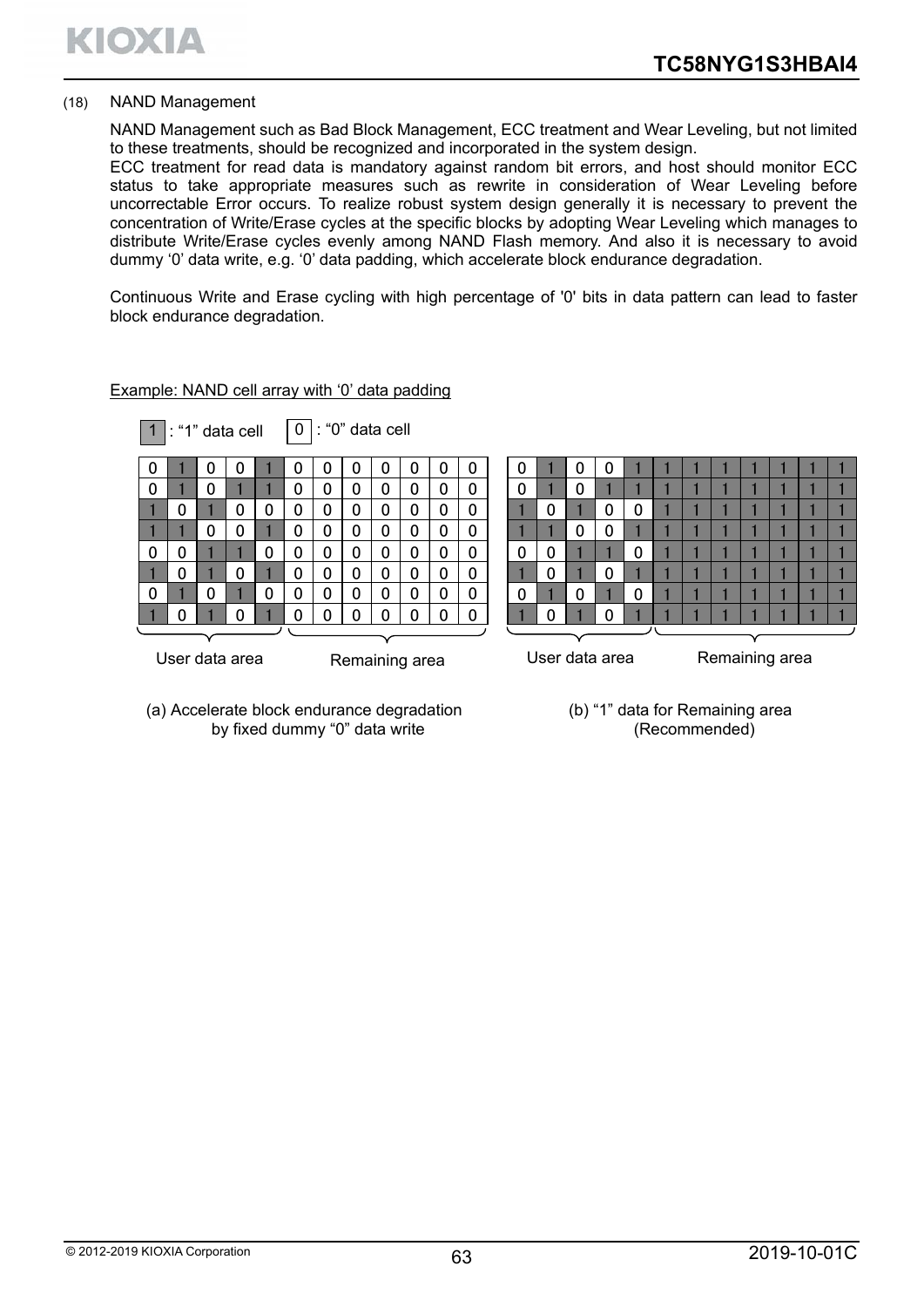#### (18) NAND Management

NAND Management such as Bad Block Management, ECC treatment and Wear Leveling, but not limited to these treatments, should be recognized and incorporated in the system design.

ECC treatment for read data is mandatory against random bit errors, and host should monitor ECC status to take appropriate measures such as rewrite in consideration of Wear Leveling before uncorrectable Error occurs. To realize robust system design generally it is necessary to prevent the concentration of Write/Erase cycles at the specific blocks by adopting Wear Leveling which manages to distribute Write/Erase cycles evenly among NAND Flash memory. And also it is necessary to avoid dummy '0' data write, e.g. '0' data padding, which accelerate block endurance degradation.

Continuous Write and Erase cycling with high percentage of '0' bits in data pattern can lead to faster block endurance degradation.

|                                  |          |          | $1$ : "1" data cell |   |          | $ 0 $ : "0" data cell            |   |             |              |             |   |   |          |              |          |   |  |  |  |  |  |
|----------------------------------|----------|----------|---------------------|---|----------|----------------------------------|---|-------------|--------------|-------------|---|---|----------|--------------|----------|---|--|--|--|--|--|
|                                  |          | U        | U                   |   | 0        | 0                                |   |             | U            | 0           | 0 | U |          |              | U        |   |  |  |  |  |  |
| $\Omega$                         |          | $\Omega$ |                     |   | 0        | 0                                | 0 | 0           | 0            | 0           | 0 | 0 |          | $\mathbf{0}$ |          |   |  |  |  |  |  |
|                                  | $\Omega$ |          | 0                   | 0 | 0        | $\mathbf 0$                      | 0 | $\Omega$    | $\Omega$     | $\mathbf 0$ | 0 |   | $\Omega$ |              | 0        | 0 |  |  |  |  |  |
|                                  |          | 0        | 0                   |   | 0        | 0                                | 0 | $\Omega$    | $\Omega$     | 0           | 0 |   |          | $\Omega$     | 0        |   |  |  |  |  |  |
| $\Omega$                         | 0        |          |                     | 0 | 0        | $\mathbf 0$                      | 0 | 0           | 0            | 0           | 0 | 0 | $\Omega$ |              |          | 0 |  |  |  |  |  |
|                                  | $\Omega$ |          | 0                   |   | $\Omega$ | $\mathbf 0$                      | 0 | $\mathbf 0$ | $\mathbf{0}$ | 0           | 0 |   | $\Omega$ |              | $\Omega$ |   |  |  |  |  |  |
| $\Omega$                         |          | $\Omega$ |                     | 0 | 0        | $\mathbf 0$                      | 0 | $\mathbf 0$ | $\Omega$     | $\mathbf 0$ | 0 | 0 |          | $\Omega$     |          | 0 |  |  |  |  |  |
|                                  | $\Omega$ |          | n                   |   | ∩        | ŋ                                |   |             | ∩            | $\Omega$    |   |   | $\Omega$ |              | ∩        |   |  |  |  |  |  |
|                                  |          |          |                     |   |          |                                  |   |             |              |             |   |   |          |              |          |   |  |  |  |  |  |
| User data area<br>Remaining area |          |          |                     |   |          | User data area<br>Remaining area |   |             |              |             |   |   |          |              |          |   |  |  |  |  |  |

#### Example: NAND cell array with '0' data padding

(a) Accelerate block endurance degradation by fixed dummy "0" data write

(b) "1" data for Remaining area (Recommended)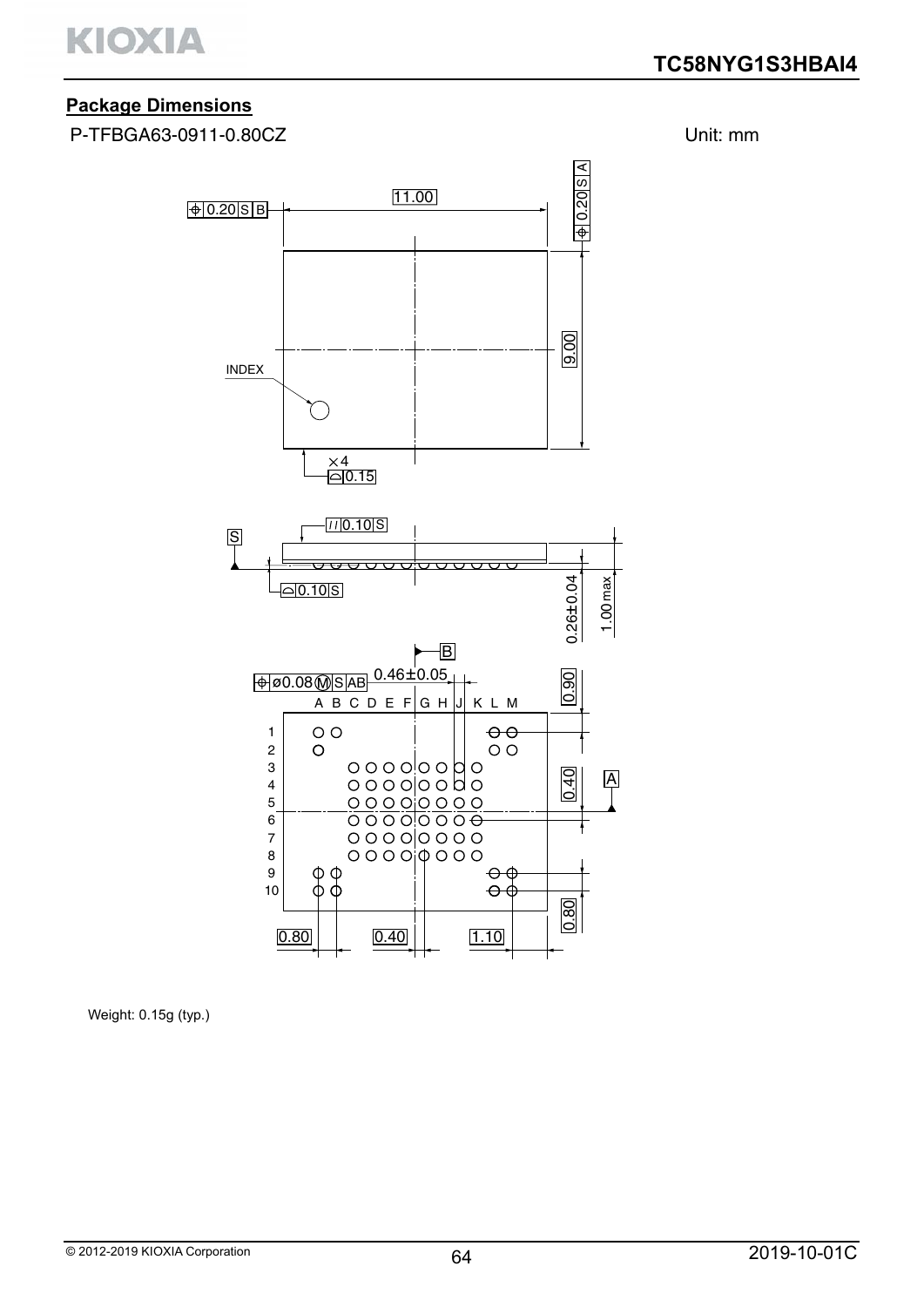

# **Package Dimensions**

P-TFBGA63-0911-0.80CZ Unit: mm



Weight: 0.15g (typ.)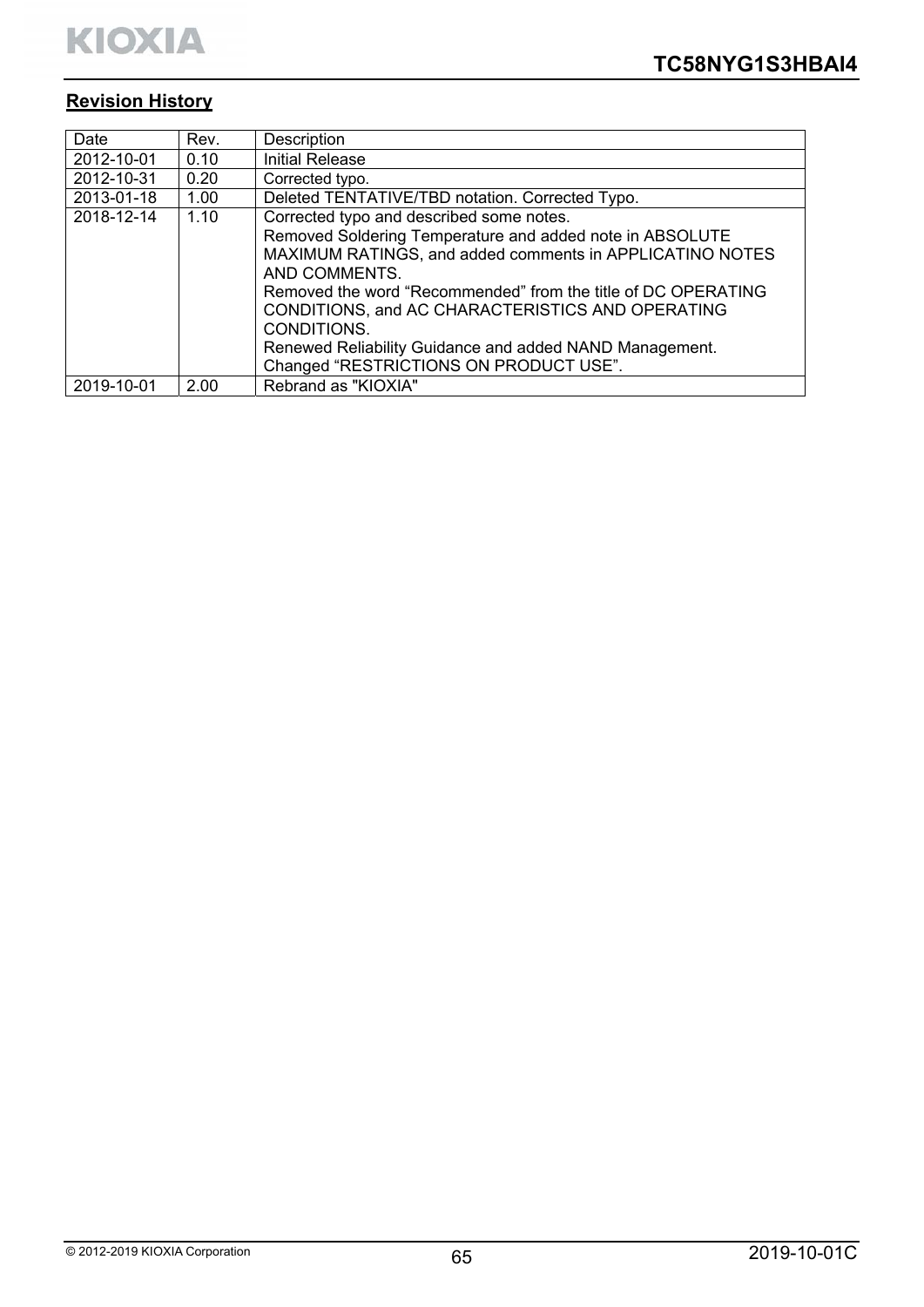# **Revision History**

| Date       | Rev. | Description                                                   |
|------------|------|---------------------------------------------------------------|
| 2012-10-01 | 0.10 | <b>Initial Release</b>                                        |
| 2012-10-31 | 0.20 | Corrected typo.                                               |
| 2013-01-18 | 1.00 | Deleted TENTATIVE/TBD notation. Corrected Typo.               |
| 2018-12-14 | 1.10 | Corrected typo and described some notes.                      |
|            |      | Removed Soldering Temperature and added note in ABSOLUTE      |
|            |      | MAXIMUM RATINGS, and added comments in APPLICATINO NOTES      |
|            |      | AND COMMENTS.                                                 |
|            |      | Removed the word "Recommended" from the title of DC OPERATING |
|            |      | CONDITIONS, and AC CHARACTERISTICS AND OPERATING              |
|            |      | CONDITIONS.                                                   |
|            |      | Renewed Reliability Guidance and added NAND Management.       |
|            |      | Changed "RESTRICTIONS ON PRODUCT USE".                        |
| 2019-10-01 | 2.00 | Rebrand as "KIOXIA"                                           |